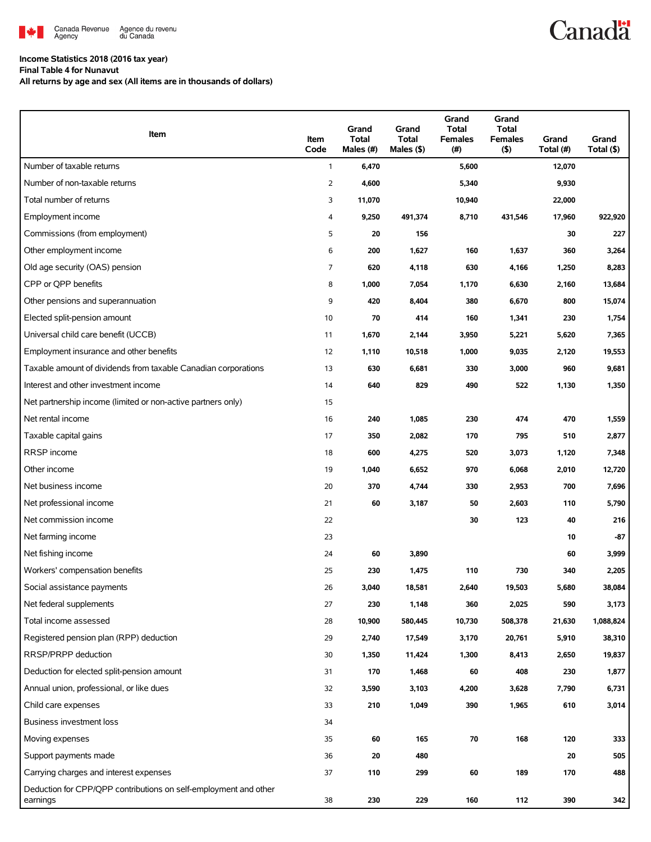

## **Income Statistics 2018 (2016 tax year)**

**Final Table 4 for Nunavut**

**All returns by age and sex (All items are in thousands of dollars)**

| Item                                                                         | Item<br>Code   | Grand<br><b>Total</b><br>Males (#) | Grand<br><b>Total</b><br>Males $(\$)$ | Grand<br><b>Total</b><br><b>Females</b><br>(# ) | Grand<br><b>Total</b><br><b>Females</b><br>(5) | Grand<br>Total (#) | Grand<br>Total (\$) |
|------------------------------------------------------------------------------|----------------|------------------------------------|---------------------------------------|-------------------------------------------------|------------------------------------------------|--------------------|---------------------|
| Number of taxable returns                                                    | $\mathbf{1}$   | 6,470                              |                                       | 5,600                                           |                                                | 12,070             |                     |
| Number of non-taxable returns                                                | $\overline{2}$ | 4,600                              |                                       | 5,340                                           |                                                | 9,930              |                     |
| Total number of returns                                                      | 3              | 11,070                             |                                       | 10,940                                          |                                                | 22,000             |                     |
| Employment income                                                            | 4              | 9,250                              | 491,374                               | 8,710                                           | 431,546                                        | 17,960             | 922,920             |
| Commissions (from employment)                                                | 5              | 20                                 | 156                                   |                                                 |                                                | 30                 | 227                 |
| Other employment income                                                      | 6              | 200                                | 1,627                                 | 160                                             | 1,637                                          | 360                | 3,264               |
| Old age security (OAS) pension                                               | 7              | 620                                | 4,118                                 | 630                                             | 4,166                                          | 1,250              | 8,283               |
| CPP or QPP benefits                                                          | 8              | 1,000                              | 7,054                                 | 1,170                                           | 6,630                                          | 2,160              | 13,684              |
| Other pensions and superannuation                                            | 9              | 420                                | 8,404                                 | 380                                             | 6,670                                          | 800                | 15,074              |
| Elected split-pension amount                                                 | 10             | 70                                 | 414                                   | 160                                             | 1,341                                          | 230                | 1,754               |
| Universal child care benefit (UCCB)                                          | 11             | 1,670                              | 2,144                                 | 3,950                                           | 5,221                                          | 5,620              | 7,365               |
| Employment insurance and other benefits                                      | 12             | 1,110                              | 10,518                                | 1,000                                           | 9,035                                          | 2,120              | 19,553              |
| Taxable amount of dividends from taxable Canadian corporations               | 13             | 630                                | 6,681                                 | 330                                             | 3,000                                          | 960                | 9,681               |
| Interest and other investment income                                         | 14             | 640                                | 829                                   | 490                                             | 522                                            | 1,130              | 1,350               |
| Net partnership income (limited or non-active partners only)                 | 15             |                                    |                                       |                                                 |                                                |                    |                     |
| Net rental income                                                            | 16             | 240                                | 1,085                                 | 230                                             | 474                                            | 470                | 1,559               |
| Taxable capital gains                                                        | 17             | 350                                | 2,082                                 | 170                                             | 795                                            | 510                | 2,877               |
| RRSP income                                                                  | 18             | 600                                | 4,275                                 | 520                                             | 3,073                                          | 1,120              | 7,348               |
| Other income                                                                 | 19             | 1,040                              | 6,652                                 | 970                                             | 6,068                                          | 2,010              | 12,720              |
| Net business income                                                          | 20             | 370                                | 4,744                                 | 330                                             | 2,953                                          | 700                | 7,696               |
| Net professional income                                                      | 21             | 60                                 | 3,187                                 | 50                                              | 2,603                                          | 110                | 5,790               |
| Net commission income                                                        | 22             |                                    |                                       | 30                                              | 123                                            | 40                 | 216                 |
| Net farming income                                                           | 23             |                                    |                                       |                                                 |                                                | 10                 | $-87$               |
| Net fishing income                                                           | 24             | 60                                 | 3,890                                 |                                                 |                                                | 60                 | 3,999               |
| Workers' compensation benefits                                               | 25             | 230                                | 1,475                                 | 110                                             | 730                                            | 340                | 2,205               |
| Social assistance payments                                                   | 26             | 3,040                              | 18,581                                | 2,640                                           | 19,503                                         | 5,680              | 38,084              |
| Net federal supplements                                                      | 27             | 230                                | 1,148                                 | 360                                             | 2,025                                          | 590                | 3,173               |
| Total income assessed                                                        | 28             | 10,900                             | 580,445                               | 10,730                                          | 508,378                                        | 21,630             | 1,088,824           |
| Registered pension plan (RPP) deduction                                      | 29             | 2,740                              | 17,549                                | 3,170                                           | 20,761                                         | 5,910              | 38,310              |
| RRSP/PRPP deduction                                                          | 30             | 1,350                              | 11,424                                | 1,300                                           | 8,413                                          | 2,650              | 19,837              |
| Deduction for elected split-pension amount                                   | 31             | 170                                | 1,468                                 | 60                                              | 408                                            | 230                | 1,877               |
| Annual union, professional, or like dues                                     | 32             | 3,590                              | 3,103                                 | 4,200                                           | 3,628                                          | 7,790              | 6,731               |
| Child care expenses                                                          | 33             | 210                                | 1,049                                 | 390                                             | 1,965                                          | 610                | 3,014               |
| Business investment loss                                                     | 34             |                                    |                                       |                                                 |                                                |                    |                     |
| Moving expenses                                                              | 35             | 60                                 | 165                                   | 70                                              | 168                                            | 120                | 333                 |
| Support payments made                                                        | 36             | 20                                 | 480                                   |                                                 |                                                | 20                 | 505                 |
| Carrying charges and interest expenses                                       | 37             | 110                                | 299                                   | 60                                              | 189                                            | 170                | 488                 |
| Deduction for CPP/QPP contributions on self-employment and other<br>earnings | 38             | 230                                | 229                                   | 160                                             | 112                                            | 390                | 342                 |

**Canadä**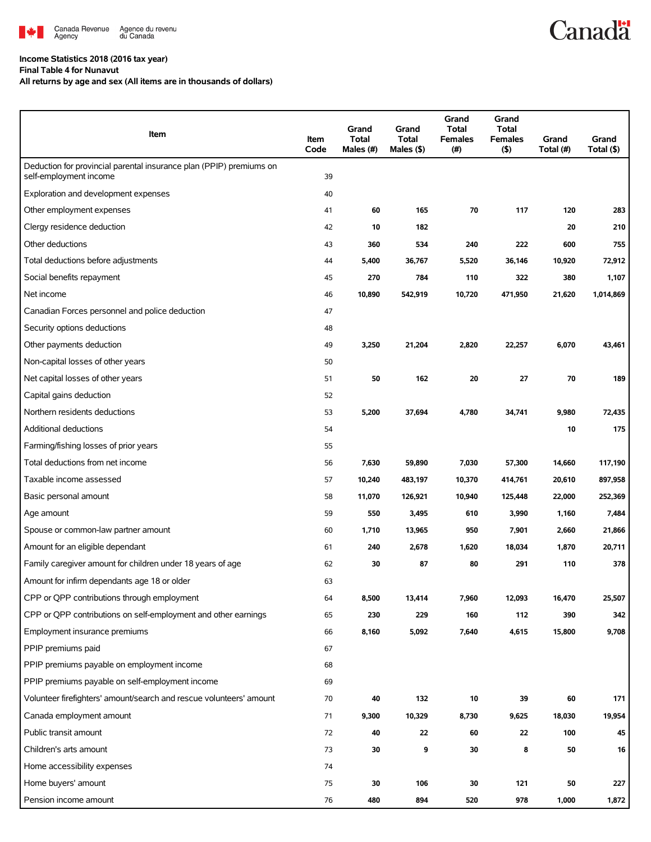

## **Income Statistics 2018 (2016 tax year)**

**Final Table 4 for Nunavut**

**All returns by age and sex (All items are in thousands of dollars)**

| Item                                                                                          | Item<br>Code | Grand<br>Total<br>Males (#) | Grand<br><b>Total</b><br>Males (\$) | Grand<br><b>Total</b><br><b>Females</b><br>(#) | Grand<br><b>Total</b><br><b>Females</b><br>(5) | Grand<br>Total (#) | Grand<br>Total (\$) |
|-----------------------------------------------------------------------------------------------|--------------|-----------------------------|-------------------------------------|------------------------------------------------|------------------------------------------------|--------------------|---------------------|
| Deduction for provincial parental insurance plan (PPIP) premiums on<br>self-employment income | 39           |                             |                                     |                                                |                                                |                    |                     |
| Exploration and development expenses                                                          | 40           |                             |                                     |                                                |                                                |                    |                     |
| Other employment expenses                                                                     | 41           | 60                          | 165                                 | 70                                             | 117                                            | 120                | 283                 |
| Clergy residence deduction                                                                    | 42           | 10                          | 182                                 |                                                |                                                | 20                 | 210                 |
| Other deductions                                                                              | 43           | 360                         | 534                                 | 240                                            | 222                                            | 600                | 755                 |
| Total deductions before adjustments                                                           | 44           | 5,400                       | 36,767                              | 5,520                                          | 36,146                                         | 10,920             | 72,912              |
| Social benefits repayment                                                                     | 45           | 270                         | 784                                 | 110                                            | 322                                            | 380                | 1,107               |
| Net income                                                                                    | 46           | 10,890                      | 542,919                             | 10,720                                         | 471,950                                        | 21,620             | 1,014,869           |
| Canadian Forces personnel and police deduction                                                | 47           |                             |                                     |                                                |                                                |                    |                     |
| Security options deductions                                                                   | 48           |                             |                                     |                                                |                                                |                    |                     |
| Other payments deduction                                                                      | 49           | 3,250                       | 21,204                              | 2,820                                          | 22,257                                         | 6,070              | 43,461              |
| Non-capital losses of other years                                                             | 50           |                             |                                     |                                                |                                                |                    |                     |
| Net capital losses of other years                                                             | 51           | 50                          | 162                                 | 20                                             | 27                                             | 70                 | 189                 |
| Capital gains deduction                                                                       | 52           |                             |                                     |                                                |                                                |                    |                     |
| Northern residents deductions                                                                 | 53           | 5,200                       | 37,694                              | 4,780                                          | 34,741                                         | 9,980              | 72,435              |
| Additional deductions                                                                         | 54           |                             |                                     |                                                |                                                | 10                 | 175                 |
| Farming/fishing losses of prior years                                                         | 55           |                             |                                     |                                                |                                                |                    |                     |
| Total deductions from net income                                                              | 56           | 7,630                       | 59,890                              | 7,030                                          | 57,300                                         | 14,660             | 117,190             |
| Taxable income assessed                                                                       | 57           | 10,240                      | 483,197                             | 10,370                                         | 414,761                                        | 20,610             | 897,958             |
| Basic personal amount                                                                         | 58           | 11,070                      | 126,921                             | 10,940                                         | 125,448                                        | 22,000             | 252,369             |
| Age amount                                                                                    | 59           | 550                         | 3,495                               | 610                                            | 3,990                                          | 1,160              | 7,484               |
| Spouse or common-law partner amount                                                           | 60           | 1,710                       | 13,965                              | 950                                            | 7,901                                          | 2,660              | 21,866              |
| Amount for an eligible dependant                                                              | 61           | 240                         | 2,678                               | 1,620                                          | 18,034                                         | 1,870              | 20,711              |
| Family caregiver amount for children under 18 years of age                                    | 62           | 30                          | 87                                  | 80                                             | 291                                            | 110                | 378                 |
| Amount for infirm dependants age 18 or older                                                  | 63           |                             |                                     |                                                |                                                |                    |                     |
| CPP or QPP contributions through employment                                                   | 64           | 8,500                       | 13,414                              | 7,960                                          | 12,093                                         | 16,470             | 25,507              |
| CPP or QPP contributions on self-employment and other earnings                                | 65           | 230                         | 229                                 | 160                                            | 112                                            | 390                | 342                 |
| Employment insurance premiums                                                                 | 66           | 8,160                       | 5,092                               | 7,640                                          | 4,615                                          | 15,800             | 9,708               |
| PPIP premiums paid                                                                            | 67           |                             |                                     |                                                |                                                |                    |                     |
| PPIP premiums payable on employment income                                                    | 68           |                             |                                     |                                                |                                                |                    |                     |
| PPIP premiums payable on self-employment income                                               | 69           |                             |                                     |                                                |                                                |                    |                     |
| Volunteer firefighters' amount/search and rescue volunteers' amount                           | 70           | 40                          | 132                                 | 10                                             | 39                                             | 60                 | 171                 |
| Canada employment amount                                                                      | 71           | 9,300                       | 10,329                              | 8,730                                          | 9,625                                          | 18,030             | 19,954              |
| Public transit amount                                                                         | 72           | 40                          | 22                                  | 60                                             | 22                                             | 100                | 45                  |
| Children's arts amount                                                                        | 73           | 30                          | 9                                   | 30                                             | 8                                              | 50                 | 16                  |
| Home accessibility expenses                                                                   | 74           |                             |                                     |                                                |                                                |                    |                     |
| Home buyers' amount                                                                           | 75           | 30                          | 106                                 | 30                                             | 121                                            | 50                 | 227                 |
| Pension income amount                                                                         | 76           | 480                         | 894                                 | 520                                            | 978                                            | 1,000              | 1,872               |

**Canadä**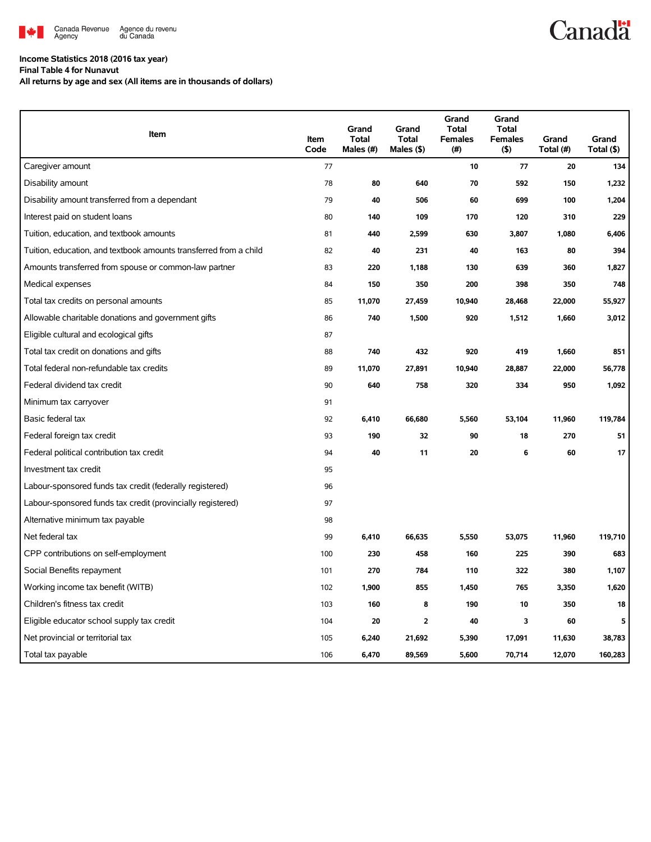

## **Canadä**

## **Income Statistics 2018 (2016 tax year)**

**Final Table 4 for Nunavut**

**All returns by age and sex (All items are in thousands of dollars)**

| Item                                                              | Item<br>Code | Grand<br>Total<br>Males (#) | Grand<br><b>Total</b><br>Males (\$) | Grand<br><b>Total</b><br><b>Females</b><br>(#) | Grand<br><b>Total</b><br><b>Females</b><br>$($ \$) | Grand<br>Total (#) | Grand<br>Total (\$) |
|-------------------------------------------------------------------|--------------|-----------------------------|-------------------------------------|------------------------------------------------|----------------------------------------------------|--------------------|---------------------|
| Caregiver amount                                                  | 77           |                             |                                     | 10                                             | 77                                                 | 20                 | 134                 |
| Disability amount                                                 | 78           | 80                          | 640                                 | 70                                             | 592                                                | 150                | 1,232               |
| Disability amount transferred from a dependant                    | 79           | 40                          | 506                                 | 60                                             | 699                                                | 100                | 1,204               |
| Interest paid on student loans                                    | 80           | 140                         | 109                                 | 170                                            | 120                                                | 310                | 229                 |
| Tuition, education, and textbook amounts                          | 81           | 440                         | 2,599                               | 630                                            | 3,807                                              | 1,080              | 6,406               |
| Tuition, education, and textbook amounts transferred from a child | 82           | 40                          | 231                                 | 40                                             | 163                                                | 80                 | 394                 |
| Amounts transferred from spouse or common-law partner             | 83           | 220                         | 1,188                               | 130                                            | 639                                                | 360                | 1,827               |
| Medical expenses                                                  | 84           | 150                         | 350                                 | 200                                            | 398                                                | 350                | 748                 |
| Total tax credits on personal amounts                             | 85           | 11,070                      | 27,459                              | 10,940                                         | 28,468                                             | 22,000             | 55,927              |
| Allowable charitable donations and government gifts               | 86           | 740                         | 1,500                               | 920                                            | 1,512                                              | 1,660              | 3,012               |
| Eligible cultural and ecological gifts                            | 87           |                             |                                     |                                                |                                                    |                    |                     |
| Total tax credit on donations and gifts                           | 88           | 740                         | 432                                 | 920                                            | 419                                                | 1,660              | 851                 |
| Total federal non-refundable tax credits                          | 89           | 11,070                      | 27,891                              | 10,940                                         | 28,887                                             | 22,000             | 56,778              |
| Federal dividend tax credit                                       | 90           | 640                         | 758                                 | 320                                            | 334                                                | 950                | 1,092               |
| Minimum tax carryover                                             | 91           |                             |                                     |                                                |                                                    |                    |                     |
| Basic federal tax                                                 | 92           | 6,410                       | 66,680                              | 5,560                                          | 53,104                                             | 11,960             | 119,784             |
| Federal foreign tax credit                                        | 93           | 190                         | 32                                  | 90                                             | 18                                                 | 270                | 51                  |
| Federal political contribution tax credit                         | 94           | 40                          | 11                                  | 20                                             | 6                                                  | 60                 | 17                  |
| Investment tax credit                                             | 95           |                             |                                     |                                                |                                                    |                    |                     |
| Labour-sponsored funds tax credit (federally registered)          | 96           |                             |                                     |                                                |                                                    |                    |                     |
| Labour-sponsored funds tax credit (provincially registered)       | 97           |                             |                                     |                                                |                                                    |                    |                     |
| Alternative minimum tax payable                                   | 98           |                             |                                     |                                                |                                                    |                    |                     |
| Net federal tax                                                   | 99           | 6,410                       | 66,635                              | 5,550                                          | 53,075                                             | 11,960             | 119,710             |
| CPP contributions on self-employment                              | 100          | 230                         | 458                                 | 160                                            | 225                                                | 390                | 683                 |
| Social Benefits repayment                                         | 101          | 270                         | 784                                 | 110                                            | 322                                                | 380                | 1,107               |
| Working income tax benefit (WITB)                                 | 102          | 1,900                       | 855                                 | 1,450                                          | 765                                                | 3,350              | 1,620               |
| Children's fitness tax credit                                     | 103          | 160                         | 8                                   | 190                                            | 10                                                 | 350                | 18                  |
| Eligible educator school supply tax credit                        | 104          | 20                          | $\overline{2}$                      | 40                                             | 3                                                  | 60                 | 5                   |
| Net provincial or territorial tax                                 | 105          | 6,240                       | 21,692                              | 5,390                                          | 17,091                                             | 11,630             | 38,783              |
| Total tax payable                                                 | 106          | 6,470                       | 89.569                              | 5,600                                          | 70,714                                             | 12,070             | 160,283             |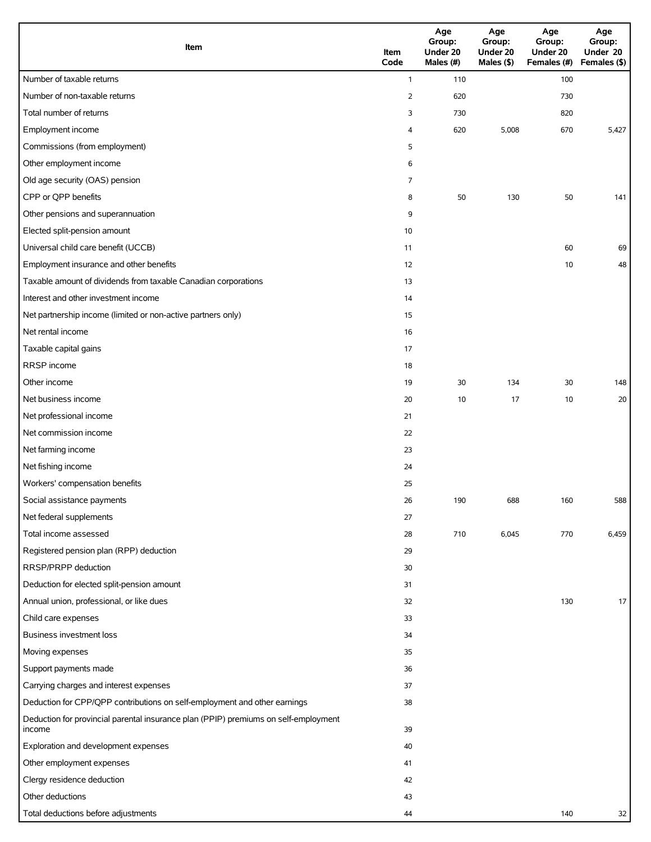| Item                                                                                          | Item<br>Code   | Age<br>Group:<br>Under 20<br>Males (#) | Age<br>Group:<br>Under 20<br>Males (\$) | Age<br>Group:<br>Under 20<br>Females (#) | Age<br>Group:<br>Under 20<br>Females (\$) |
|-----------------------------------------------------------------------------------------------|----------------|----------------------------------------|-----------------------------------------|------------------------------------------|-------------------------------------------|
| Number of taxable returns                                                                     | $\mathbf{1}$   | 110                                    |                                         | 100                                      |                                           |
| Number of non-taxable returns                                                                 | $\overline{2}$ | 620                                    |                                         | 730                                      |                                           |
| Total number of returns                                                                       | 3              | 730                                    |                                         | 820                                      |                                           |
| Employment income                                                                             | 4              | 620                                    | 5,008                                   | 670                                      | 5,427                                     |
| Commissions (from employment)                                                                 | 5              |                                        |                                         |                                          |                                           |
| Other employment income                                                                       | 6              |                                        |                                         |                                          |                                           |
| Old age security (OAS) pension                                                                | $\overline{7}$ |                                        |                                         |                                          |                                           |
| CPP or QPP benefits                                                                           | 8              | 50                                     | 130                                     | 50                                       | 141                                       |
| Other pensions and superannuation                                                             | 9              |                                        |                                         |                                          |                                           |
| Elected split-pension amount                                                                  | 10             |                                        |                                         |                                          |                                           |
| Universal child care benefit (UCCB)                                                           | 11             |                                        |                                         | 60                                       | 69                                        |
| Employment insurance and other benefits                                                       | 12             |                                        |                                         | 10                                       | 48                                        |
| Taxable amount of dividends from taxable Canadian corporations                                | 13             |                                        |                                         |                                          |                                           |
| Interest and other investment income                                                          | 14             |                                        |                                         |                                          |                                           |
| Net partnership income (limited or non-active partners only)                                  | 15             |                                        |                                         |                                          |                                           |
| Net rental income                                                                             | 16             |                                        |                                         |                                          |                                           |
| Taxable capital gains                                                                         | 17             |                                        |                                         |                                          |                                           |
| RRSP income                                                                                   | 18             |                                        |                                         |                                          |                                           |
| Other income                                                                                  | 19             | 30                                     | 134                                     | 30                                       | 148                                       |
| Net business income                                                                           | 20             | 10                                     | 17                                      | 10                                       | 20                                        |
| Net professional income                                                                       | 21             |                                        |                                         |                                          |                                           |
| Net commission income                                                                         | 22             |                                        |                                         |                                          |                                           |
| Net farming income                                                                            | 23             |                                        |                                         |                                          |                                           |
| Net fishing income                                                                            | 24             |                                        |                                         |                                          |                                           |
| Workers' compensation benefits                                                                | 25             |                                        |                                         |                                          |                                           |
| Social assistance payments                                                                    | 26             | 190                                    | 688                                     | 160                                      | 588                                       |
| Net federal supplements                                                                       | 27             |                                        |                                         |                                          |                                           |
| Total income assessed                                                                         | 28             | 710                                    | 6,045                                   | 770                                      | 6,459                                     |
| Registered pension plan (RPP) deduction                                                       | 29             |                                        |                                         |                                          |                                           |
| RRSP/PRPP deduction                                                                           | 30             |                                        |                                         |                                          |                                           |
| Deduction for elected split-pension amount                                                    | 31             |                                        |                                         |                                          |                                           |
| Annual union, professional, or like dues                                                      | 32             |                                        |                                         | 130                                      | 17                                        |
| Child care expenses                                                                           | 33             |                                        |                                         |                                          |                                           |
| <b>Business investment loss</b>                                                               | 34             |                                        |                                         |                                          |                                           |
| Moving expenses                                                                               | 35             |                                        |                                         |                                          |                                           |
| Support payments made                                                                         | 36             |                                        |                                         |                                          |                                           |
| Carrying charges and interest expenses                                                        | 37             |                                        |                                         |                                          |                                           |
| Deduction for CPP/QPP contributions on self-employment and other earnings                     | 38             |                                        |                                         |                                          |                                           |
| Deduction for provincial parental insurance plan (PPIP) premiums on self-employment<br>income | 39             |                                        |                                         |                                          |                                           |
| Exploration and development expenses                                                          | 40             |                                        |                                         |                                          |                                           |
| Other employment expenses                                                                     | 41             |                                        |                                         |                                          |                                           |
| Clergy residence deduction                                                                    | 42             |                                        |                                         |                                          |                                           |
| Other deductions                                                                              | 43             |                                        |                                         |                                          |                                           |
| Total deductions before adjustments                                                           | 44             |                                        |                                         | 140                                      | 32                                        |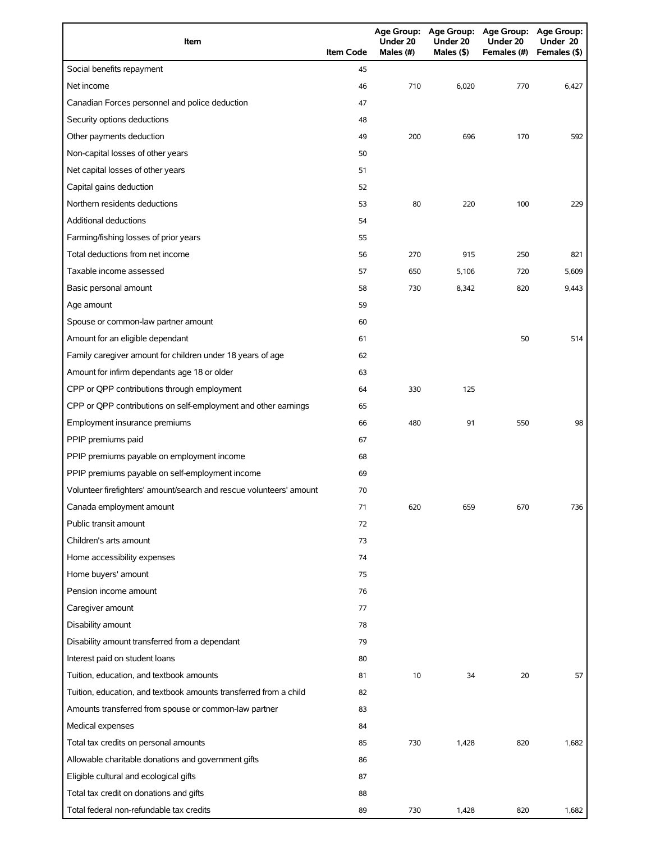| Item                                                                | <b>Item Code</b> | Under 20<br>Males (#) | Under 20<br>Males $($ \$) | Age Group: Age Group: Age Group: Age Group:<br>Under 20<br>Females (#) | Under 20<br>Females (\$) |
|---------------------------------------------------------------------|------------------|-----------------------|---------------------------|------------------------------------------------------------------------|--------------------------|
| Social benefits repayment                                           | 45               |                       |                           |                                                                        |                          |
| Net income                                                          | 46               | 710                   | 6,020                     | 770                                                                    | 6,427                    |
| Canadian Forces personnel and police deduction                      | 47               |                       |                           |                                                                        |                          |
| Security options deductions                                         | 48               |                       |                           |                                                                        |                          |
| Other payments deduction                                            | 49               | 200                   | 696                       | 170                                                                    | 592                      |
| Non-capital losses of other years                                   | 50               |                       |                           |                                                                        |                          |
| Net capital losses of other years                                   | 51               |                       |                           |                                                                        |                          |
| Capital gains deduction                                             | 52               |                       |                           |                                                                        |                          |
| Northern residents deductions                                       | 53               | 80                    | 220                       | 100                                                                    | 229                      |
| <b>Additional deductions</b>                                        | 54               |                       |                           |                                                                        |                          |
| Farming/fishing losses of prior years                               | 55               |                       |                           |                                                                        |                          |
| Total deductions from net income                                    | 56               | 270                   | 915                       | 250                                                                    | 821                      |
| Taxable income assessed                                             | 57               | 650                   | 5,106                     | 720                                                                    | 5,609                    |
| Basic personal amount                                               | 58               | 730                   | 8,342                     | 820                                                                    | 9,443                    |
| Age amount                                                          | 59               |                       |                           |                                                                        |                          |
| Spouse or common-law partner amount                                 | 60               |                       |                           |                                                                        |                          |
| Amount for an eligible dependant                                    | 61               |                       |                           | 50                                                                     | 514                      |
| Family caregiver amount for children under 18 years of age          | 62               |                       |                           |                                                                        |                          |
| Amount for infirm dependants age 18 or older                        | 63               |                       |                           |                                                                        |                          |
| CPP or QPP contributions through employment                         | 64               | 330                   | 125                       |                                                                        |                          |
| CPP or QPP contributions on self-employment and other earnings      | 65               |                       |                           |                                                                        |                          |
| Employment insurance premiums                                       | 66               | 480                   | 91                        | 550                                                                    | 98                       |
| PPIP premiums paid                                                  | 67               |                       |                           |                                                                        |                          |
| PPIP premiums payable on employment income                          | 68               |                       |                           |                                                                        |                          |
| PPIP premiums payable on self-employment income                     | 69               |                       |                           |                                                                        |                          |
| Volunteer firefighters' amount/search and rescue volunteers' amount | 70               |                       |                           |                                                                        |                          |
| Canada employment amount                                            | 71               | 620                   | 659                       | 670                                                                    | 736                      |
| Public transit amount                                               | 72               |                       |                           |                                                                        |                          |
| Children's arts amount                                              | 73               |                       |                           |                                                                        |                          |
| Home accessibility expenses                                         | 74               |                       |                           |                                                                        |                          |
| Home buyers' amount                                                 | 75               |                       |                           |                                                                        |                          |
| Pension income amount                                               | 76               |                       |                           |                                                                        |                          |
| Caregiver amount                                                    | 77               |                       |                           |                                                                        |                          |
| Disability amount                                                   | 78               |                       |                           |                                                                        |                          |
| Disability amount transferred from a dependant                      | 79               |                       |                           |                                                                        |                          |
| Interest paid on student loans                                      | 80               |                       |                           |                                                                        |                          |
| Tuition, education, and textbook amounts                            | 81               | 10                    | 34                        | 20                                                                     | 57                       |
| Tuition, education, and textbook amounts transferred from a child   | 82               |                       |                           |                                                                        |                          |
| Amounts transferred from spouse or common-law partner               | 83               |                       |                           |                                                                        |                          |
| Medical expenses                                                    | 84               |                       |                           |                                                                        |                          |
| Total tax credits on personal amounts                               | 85               | 730                   | 1,428                     | 820                                                                    | 1,682                    |
| Allowable charitable donations and government gifts                 | 86               |                       |                           |                                                                        |                          |
| Eligible cultural and ecological gifts                              | 87               |                       |                           |                                                                        |                          |
| Total tax credit on donations and gifts                             | 88               |                       |                           |                                                                        |                          |
| Total federal non-refundable tax credits                            | 89               | 730                   | 1,428                     | 820                                                                    | 1,682                    |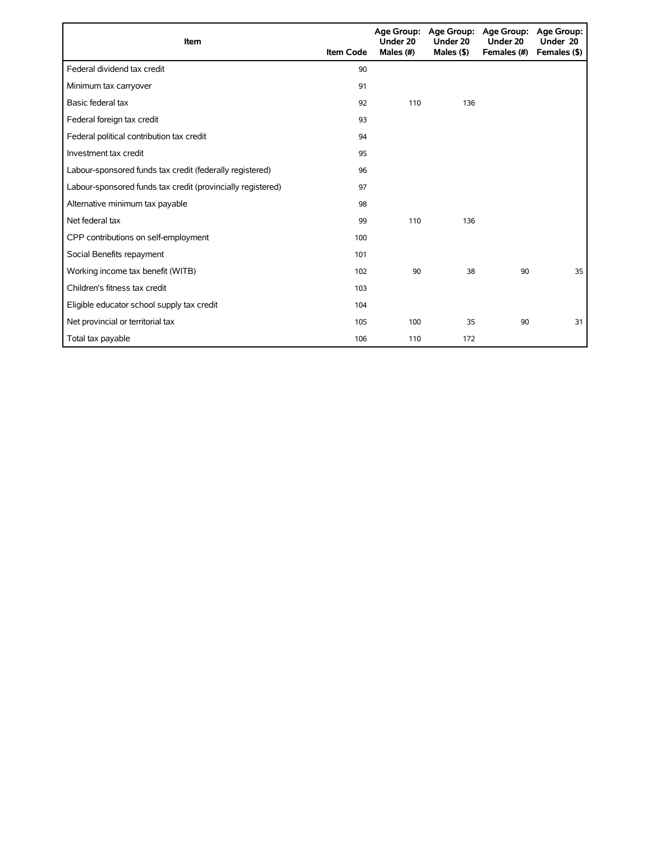| <b>Item</b>                                                 | <b>Item Code</b> | <b>Age Group:</b><br>Under 20<br>Males (#) | <b>Age Group:</b><br>Under 20<br>Males (\$) | Age Group:<br>Under 20<br>Females (#) | Age Group:<br>Under 20<br>Females (\$) |
|-------------------------------------------------------------|------------------|--------------------------------------------|---------------------------------------------|---------------------------------------|----------------------------------------|
| Federal dividend tax credit                                 | 90               |                                            |                                             |                                       |                                        |
| Minimum tax carryover                                       | 91               |                                            |                                             |                                       |                                        |
| Basic federal tax                                           | 92               | 110                                        | 136                                         |                                       |                                        |
| Federal foreign tax credit                                  | 93               |                                            |                                             |                                       |                                        |
| Federal political contribution tax credit                   | 94               |                                            |                                             |                                       |                                        |
| Investment tax credit                                       | 95               |                                            |                                             |                                       |                                        |
| Labour-sponsored funds tax credit (federally registered)    | 96               |                                            |                                             |                                       |                                        |
| Labour-sponsored funds tax credit (provincially registered) | 97               |                                            |                                             |                                       |                                        |
| Alternative minimum tax payable                             | 98               |                                            |                                             |                                       |                                        |
| Net federal tax                                             | 99               | 110                                        | 136                                         |                                       |                                        |
| CPP contributions on self-employment                        | 100              |                                            |                                             |                                       |                                        |
| Social Benefits repayment                                   | 101              |                                            |                                             |                                       |                                        |
| Working income tax benefit (WITB)                           | 102              | 90                                         | 38                                          | 90                                    | 35                                     |
| Children's fitness tax credit                               | 103              |                                            |                                             |                                       |                                        |
| Eligible educator school supply tax credit                  | 104              |                                            |                                             |                                       |                                        |
| Net provincial or territorial tax                           | 105              | 100                                        | 35                                          | 90                                    | 31                                     |
| Total tax payable                                           | 106              | 110                                        | 172                                         |                                       |                                        |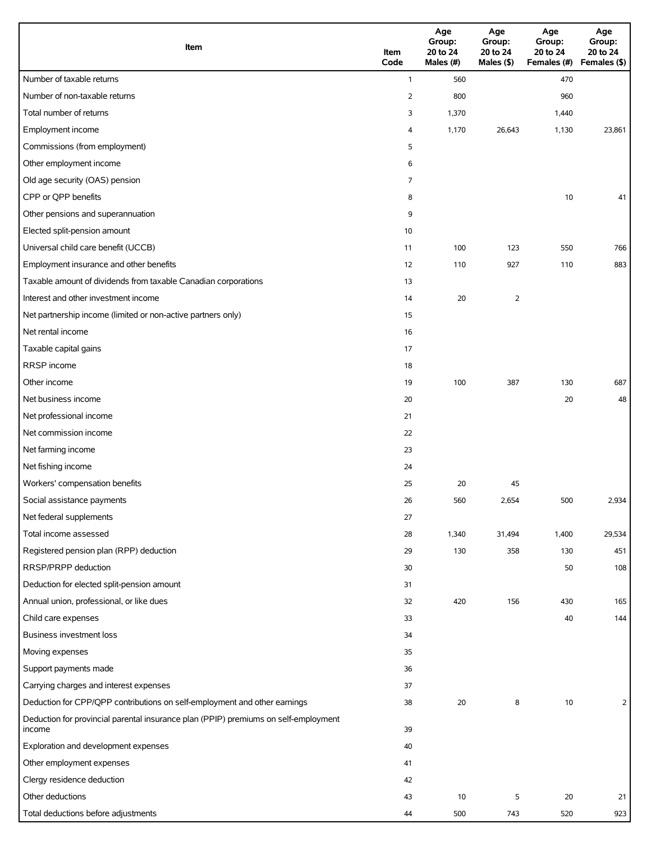| Item                                                                                          | Item<br>Code   | Age<br>Group:<br>20 to 24<br>Males (#) | Age<br>Group:<br>20 to 24<br>Males (\$) | Age<br>Group:<br>20 to 24<br>Females (#) Females (\$) | Age<br>Group:<br>20 to 24 |
|-----------------------------------------------------------------------------------------------|----------------|----------------------------------------|-----------------------------------------|-------------------------------------------------------|---------------------------|
| Number of taxable returns                                                                     | $\mathbf{1}$   | 560                                    |                                         | 470                                                   |                           |
| Number of non-taxable returns                                                                 | $\overline{2}$ | 800                                    |                                         | 960                                                   |                           |
| Total number of returns                                                                       | 3              | 1,370                                  |                                         | 1,440                                                 |                           |
| Employment income                                                                             | 4              | 1,170                                  | 26,643                                  | 1,130                                                 | 23,861                    |
| Commissions (from employment)                                                                 | 5              |                                        |                                         |                                                       |                           |
| Other employment income                                                                       | 6              |                                        |                                         |                                                       |                           |
| Old age security (OAS) pension                                                                | 7              |                                        |                                         |                                                       |                           |
| CPP or QPP benefits                                                                           | 8              |                                        |                                         | 10                                                    | 41                        |
| Other pensions and superannuation                                                             | 9              |                                        |                                         |                                                       |                           |
| Elected split-pension amount                                                                  | 10             |                                        |                                         |                                                       |                           |
| Universal child care benefit (UCCB)                                                           | 11             | 100                                    | 123                                     | 550                                                   | 766                       |
| Employment insurance and other benefits                                                       | 12             | 110                                    | 927                                     | 110                                                   | 883                       |
| Taxable amount of dividends from taxable Canadian corporations                                | 13             |                                        |                                         |                                                       |                           |
| Interest and other investment income                                                          | 14             | 20                                     | 2                                       |                                                       |                           |
| Net partnership income (limited or non-active partners only)                                  | 15             |                                        |                                         |                                                       |                           |
| Net rental income                                                                             | 16             |                                        |                                         |                                                       |                           |
| Taxable capital gains                                                                         | 17             |                                        |                                         |                                                       |                           |
| RRSP income                                                                                   | 18             |                                        |                                         |                                                       |                           |
| Other income                                                                                  | 19             | 100                                    | 387                                     | 130                                                   | 687                       |
| Net business income                                                                           | 20             |                                        |                                         | 20                                                    | 48                        |
| Net professional income                                                                       | 21             |                                        |                                         |                                                       |                           |
| Net commission income                                                                         | 22             |                                        |                                         |                                                       |                           |
| Net farming income                                                                            | 23             |                                        |                                         |                                                       |                           |
| Net fishing income                                                                            | 24             |                                        |                                         |                                                       |                           |
| Workers' compensation benefits                                                                | 25             | 20                                     | 45                                      |                                                       |                           |
| Social assistance payments                                                                    | 26             | 560                                    | 2,654                                   | 500                                                   | 2,934                     |
| Net federal supplements                                                                       | 27             |                                        |                                         |                                                       |                           |
| Total income assessed                                                                         | 28             | 1,340                                  | 31,494                                  | 1,400                                                 | 29,534                    |
| Registered pension plan (RPP) deduction                                                       | 29             | 130                                    | 358                                     | 130                                                   | 451                       |
| RRSP/PRPP deduction                                                                           | 30             |                                        |                                         | 50                                                    | 108                       |
| Deduction for elected split-pension amount                                                    | 31             |                                        |                                         |                                                       |                           |
| Annual union, professional, or like dues                                                      | 32             | 420                                    | 156                                     | 430                                                   | 165                       |
| Child care expenses                                                                           | 33             |                                        |                                         | 40                                                    | 144                       |
| Business investment loss                                                                      | 34             |                                        |                                         |                                                       |                           |
| Moving expenses                                                                               | 35             |                                        |                                         |                                                       |                           |
| Support payments made                                                                         | 36             |                                        |                                         |                                                       |                           |
| Carrying charges and interest expenses                                                        | 37             |                                        |                                         |                                                       |                           |
| Deduction for CPP/QPP contributions on self-employment and other earnings                     | 38             | 20                                     | 8                                       | 10                                                    | $\overline{2}$            |
| Deduction for provincial parental insurance plan (PPIP) premiums on self-employment<br>income | 39             |                                        |                                         |                                                       |                           |
| Exploration and development expenses                                                          | 40             |                                        |                                         |                                                       |                           |
| Other employment expenses                                                                     | 41             |                                        |                                         |                                                       |                           |
| Clergy residence deduction                                                                    | 42             |                                        |                                         |                                                       |                           |
| Other deductions                                                                              | 43             | 10                                     | 5                                       | 20                                                    | 21                        |
| Total deductions before adjustments                                                           | 44             | 500                                    | 743                                     | 520                                                   | 923                       |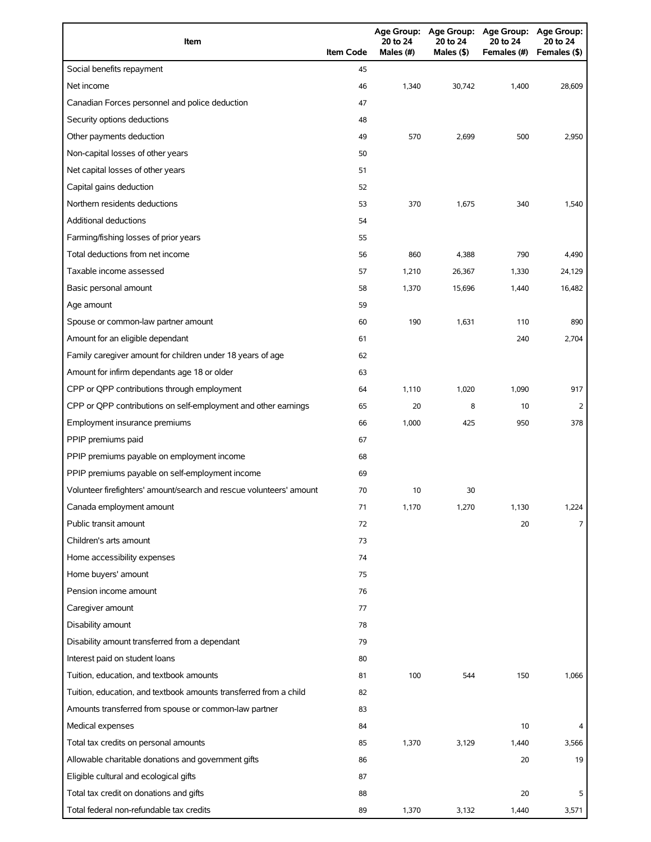| Item                                                                | <b>Item Code</b> | 20 to 24<br>Males (#) | 20 to 24<br>Males (\$) | Age Group: Age Group: Age Group: Age Group:<br>20 to 24<br>Females (#) | 20 to 24<br>Females (\$) |
|---------------------------------------------------------------------|------------------|-----------------------|------------------------|------------------------------------------------------------------------|--------------------------|
| Social benefits repayment                                           | 45               |                       |                        |                                                                        |                          |
| Net income                                                          | 46               | 1,340                 | 30,742                 | 1,400                                                                  | 28,609                   |
| Canadian Forces personnel and police deduction                      | 47               |                       |                        |                                                                        |                          |
| Security options deductions                                         | 48               |                       |                        |                                                                        |                          |
| Other payments deduction                                            | 49               | 570                   | 2,699                  | 500                                                                    | 2,950                    |
| Non-capital losses of other years                                   | 50               |                       |                        |                                                                        |                          |
| Net capital losses of other years                                   | 51               |                       |                        |                                                                        |                          |
| Capital gains deduction                                             | 52               |                       |                        |                                                                        |                          |
| Northern residents deductions                                       | 53               | 370                   | 1,675                  | 340                                                                    | 1,540                    |
| <b>Additional deductions</b>                                        | 54               |                       |                        |                                                                        |                          |
| Farming/fishing losses of prior years                               | 55               |                       |                        |                                                                        |                          |
| Total deductions from net income                                    | 56               | 860                   | 4,388                  | 790                                                                    | 4,490                    |
| Taxable income assessed                                             | 57               | 1,210                 | 26,367                 | 1,330                                                                  | 24,129                   |
| Basic personal amount                                               | 58               | 1,370                 | 15,696                 | 1,440                                                                  | 16.482                   |
| Age amount                                                          | 59               |                       |                        |                                                                        |                          |
| Spouse or common-law partner amount                                 | 60               | 190                   | 1,631                  | 110                                                                    | 890                      |
| Amount for an eligible dependant                                    | 61               |                       |                        | 240                                                                    | 2,704                    |
| Family caregiver amount for children under 18 years of age          | 62               |                       |                        |                                                                        |                          |
| Amount for infirm dependants age 18 or older                        | 63               |                       |                        |                                                                        |                          |
| CPP or QPP contributions through employment                         | 64               | 1,110                 | 1,020                  | 1,090                                                                  | 917                      |
| CPP or QPP contributions on self-employment and other earnings      | 65               | 20                    | 8                      | 10                                                                     | 2                        |
| Employment insurance premiums                                       | 66               | 1,000                 | 425                    | 950                                                                    | 378                      |
| PPIP premiums paid                                                  | 67               |                       |                        |                                                                        |                          |
| PPIP premiums payable on employment income                          | 68               |                       |                        |                                                                        |                          |
| PPIP premiums payable on self-employment income                     | 69               |                       |                        |                                                                        |                          |
| Volunteer firefighters' amount/search and rescue volunteers' amount | 70               | 10                    | 30                     |                                                                        |                          |
| Canada employment amount                                            | 71               | 1,170                 | 1,270                  | 1,130                                                                  | 1,224                    |
| Public transit amount                                               | 72               |                       |                        | 20                                                                     | 7                        |
| Children's arts amount                                              | 73               |                       |                        |                                                                        |                          |
| Home accessibility expenses                                         | 74               |                       |                        |                                                                        |                          |
| Home buyers' amount                                                 | 75               |                       |                        |                                                                        |                          |
| Pension income amount                                               | 76               |                       |                        |                                                                        |                          |
| Caregiver amount                                                    | 77               |                       |                        |                                                                        |                          |
| Disability amount                                                   | 78               |                       |                        |                                                                        |                          |
| Disability amount transferred from a dependant                      | 79               |                       |                        |                                                                        |                          |
| Interest paid on student loans                                      | 80               |                       |                        |                                                                        |                          |
| Tuition, education, and textbook amounts                            | 81               | 100                   | 544                    | 150                                                                    | 1,066                    |
| Tuition, education, and textbook amounts transferred from a child   | 82               |                       |                        |                                                                        |                          |
| Amounts transferred from spouse or common-law partner               | 83               |                       |                        |                                                                        |                          |
| Medical expenses                                                    | 84               |                       |                        | 10                                                                     |                          |
| Total tax credits on personal amounts                               | 85               | 1,370                 | 3,129                  | 1,440                                                                  | 3,566                    |
| Allowable charitable donations and government gifts                 | 86               |                       |                        | 20                                                                     | 19                       |
| Eligible cultural and ecological gifts                              | 87               |                       |                        |                                                                        |                          |
| Total tax credit on donations and gifts                             | 88               |                       |                        | 20                                                                     | 5                        |
| Total federal non-refundable tax credits                            | 89               | 1,370                 | 3,132                  | 1,440                                                                  | 3,571                    |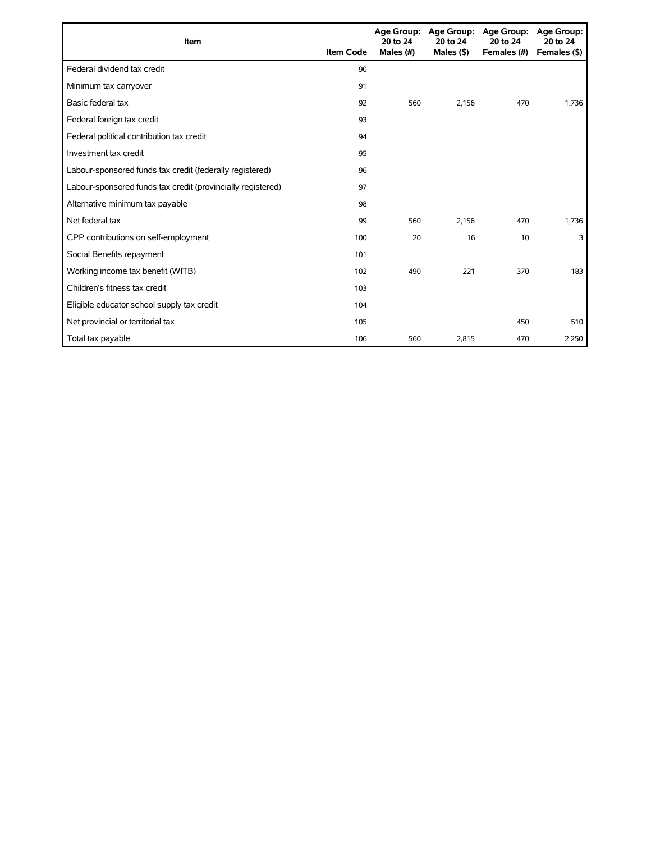| <b>Item</b>                                                 | <b>Item Code</b> | 20 to 24<br>Males (#) | Age Group: Age Group:<br>20 to 24<br>Males $($ \$ $)$ | <b>Age Group:</b><br>20 to 24<br>Females (#) | <b>Age Group:</b><br>20 to 24<br>Females (\$) |
|-------------------------------------------------------------|------------------|-----------------------|-------------------------------------------------------|----------------------------------------------|-----------------------------------------------|
| Federal dividend tax credit                                 | 90               |                       |                                                       |                                              |                                               |
| Minimum tax carryover                                       | 91               |                       |                                                       |                                              |                                               |
| Basic federal tax                                           | 92               | 560                   | 2.156                                                 | 470                                          | 1,736                                         |
| Federal foreign tax credit                                  | 93               |                       |                                                       |                                              |                                               |
| Federal political contribution tax credit                   | 94               |                       |                                                       |                                              |                                               |
| Investment tax credit                                       | 95               |                       |                                                       |                                              |                                               |
| Labour-sponsored funds tax credit (federally registered)    | 96               |                       |                                                       |                                              |                                               |
| Labour-sponsored funds tax credit (provincially registered) | 97               |                       |                                                       |                                              |                                               |
| Alternative minimum tax payable                             | 98               |                       |                                                       |                                              |                                               |
| Net federal tax                                             | 99               | 560                   | 2.156                                                 | 470                                          | 1,736                                         |
| CPP contributions on self-employment                        | 100              | 20                    | 16                                                    | 10                                           | 3                                             |
| Social Benefits repayment                                   | 101              |                       |                                                       |                                              |                                               |
| Working income tax benefit (WITB)                           | 102              | 490                   | 221                                                   | 370                                          | 183                                           |
| Children's fitness tax credit                               | 103              |                       |                                                       |                                              |                                               |
| Eligible educator school supply tax credit                  | 104              |                       |                                                       |                                              |                                               |
| Net provincial or territorial tax                           | 105              |                       |                                                       | 450                                          | 510                                           |
| Total tax payable                                           | 106              | 560                   | 2,815                                                 | 470                                          | 2,250                                         |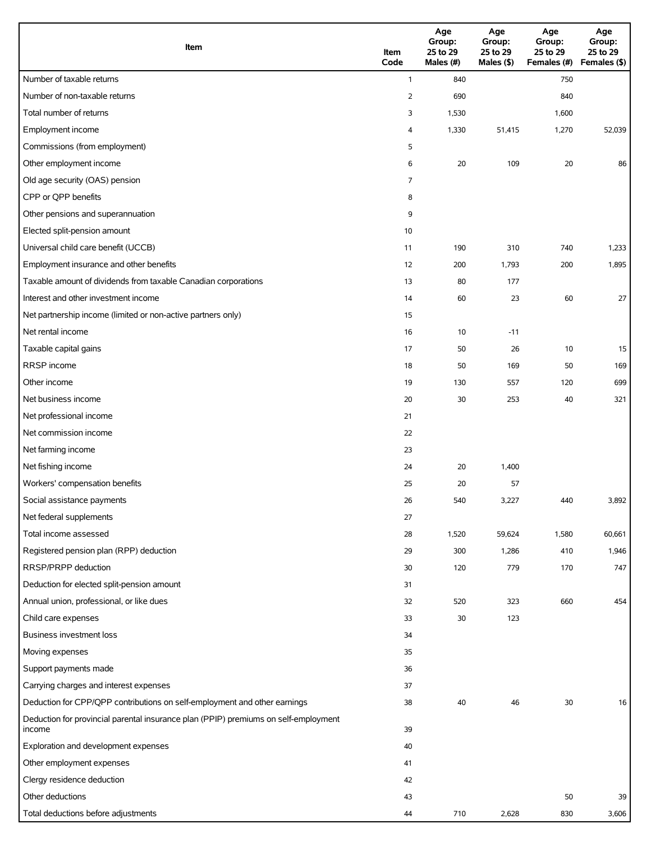| Item                                                                                          | Item<br>Code   | Age<br>Group:<br>25 to 29<br>Males (#) | Age<br>Group:<br>25 to 29<br>Males (\$) | Age<br>Group:<br>25 to 29<br>Females (#) Females (\$) | Age<br>Group:<br>25 to 29 |
|-----------------------------------------------------------------------------------------------|----------------|----------------------------------------|-----------------------------------------|-------------------------------------------------------|---------------------------|
| Number of taxable returns                                                                     | $\mathbf{1}$   | 840                                    |                                         | 750                                                   |                           |
| Number of non-taxable returns                                                                 | $\overline{2}$ | 690                                    |                                         | 840                                                   |                           |
| Total number of returns                                                                       | 3              | 1,530                                  |                                         | 1,600                                                 |                           |
| Employment income                                                                             | 4              | 1,330                                  | 51,415                                  | 1,270                                                 | 52,039                    |
| Commissions (from employment)                                                                 | 5              |                                        |                                         |                                                       |                           |
| Other employment income                                                                       | 6              | 20                                     | 109                                     | 20                                                    | 86                        |
| Old age security (OAS) pension                                                                | 7              |                                        |                                         |                                                       |                           |
| CPP or QPP benefits                                                                           | 8              |                                        |                                         |                                                       |                           |
| Other pensions and superannuation                                                             | 9              |                                        |                                         |                                                       |                           |
| Elected split-pension amount                                                                  | 10             |                                        |                                         |                                                       |                           |
| Universal child care benefit (UCCB)                                                           | 11             | 190                                    | 310                                     | 740                                                   | 1,233                     |
| Employment insurance and other benefits                                                       | 12             | 200                                    | 1,793                                   | 200                                                   | 1,895                     |
| Taxable amount of dividends from taxable Canadian corporations                                | 13             | 80                                     | 177                                     |                                                       |                           |
| Interest and other investment income                                                          | 14             | 60                                     | 23                                      | 60                                                    | 27                        |
| Net partnership income (limited or non-active partners only)                                  | 15             |                                        |                                         |                                                       |                           |
| Net rental income                                                                             | 16             | 10                                     | $-11$                                   |                                                       |                           |
| Taxable capital gains                                                                         | 17             | 50                                     | 26                                      | 10                                                    | 15                        |
| RRSP income                                                                                   | 18             | 50                                     | 169                                     | 50                                                    | 169                       |
| Other income                                                                                  | 19             | 130                                    | 557                                     | 120                                                   | 699                       |
| Net business income                                                                           | 20             | 30                                     | 253                                     | 40                                                    | 321                       |
| Net professional income                                                                       | 21             |                                        |                                         |                                                       |                           |
| Net commission income                                                                         | 22             |                                        |                                         |                                                       |                           |
| Net farming income                                                                            | 23             |                                        |                                         |                                                       |                           |
| Net fishing income                                                                            | 24             | 20                                     | 1,400                                   |                                                       |                           |
| Workers' compensation benefits                                                                | 25             | 20                                     | 57                                      |                                                       |                           |
| Social assistance payments                                                                    | 26             | 540                                    | 3,227                                   | 440                                                   | 3,892                     |
| Net federal supplements                                                                       | 27             |                                        |                                         |                                                       |                           |
| Total income assessed                                                                         | 28             | 1,520                                  | 59,624                                  | 1,580                                                 | 60,661                    |
| Registered pension plan (RPP) deduction                                                       | 29             | 300                                    | 1,286                                   | 410                                                   | 1,946                     |
| <b>RRSP/PRPP</b> deduction                                                                    | 30             | 120                                    | 779                                     | 170                                                   | 747                       |
| Deduction for elected split-pension amount                                                    | 31             |                                        |                                         |                                                       |                           |
| Annual union, professional, or like dues                                                      | 32             | 520                                    | 323                                     | 660                                                   | 454                       |
| Child care expenses                                                                           | 33             | 30                                     | 123                                     |                                                       |                           |
| Business investment loss                                                                      | 34             |                                        |                                         |                                                       |                           |
| Moving expenses                                                                               | 35             |                                        |                                         |                                                       |                           |
| Support payments made                                                                         | 36             |                                        |                                         |                                                       |                           |
| Carrying charges and interest expenses                                                        | 37             |                                        |                                         |                                                       |                           |
| Deduction for CPP/QPP contributions on self-employment and other earnings                     | 38             | 40                                     | 46                                      | 30                                                    | 16                        |
| Deduction for provincial parental insurance plan (PPIP) premiums on self-employment<br>income | 39             |                                        |                                         |                                                       |                           |
| Exploration and development expenses                                                          | 40             |                                        |                                         |                                                       |                           |
| Other employment expenses                                                                     | 41             |                                        |                                         |                                                       |                           |
| Clergy residence deduction                                                                    | 42             |                                        |                                         |                                                       |                           |
| Other deductions                                                                              | 43             |                                        |                                         | 50                                                    | 39                        |
| Total deductions before adjustments                                                           | 44             | 710                                    | 2,628                                   | 830                                                   | 3,606                     |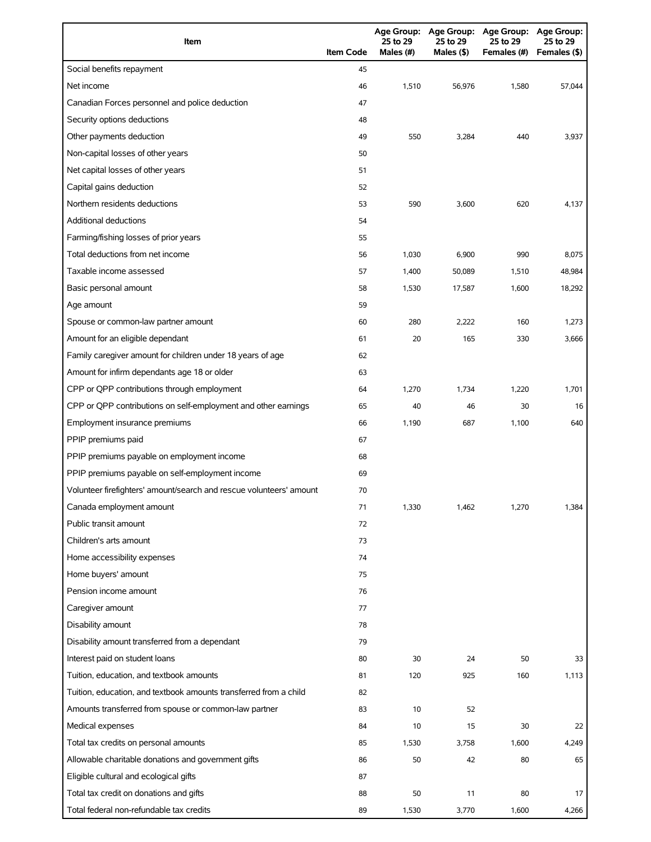| Item                                                                | <b>Item Code</b> | 25 to 29<br>Males (#) | 25 to 29<br>Males (\$) | Age Group: Age Group: Age Group: Age Group:<br>25 to 29<br>Females (#) | 25 to 29<br>Females (\$) |
|---------------------------------------------------------------------|------------------|-----------------------|------------------------|------------------------------------------------------------------------|--------------------------|
| Social benefits repayment                                           | 45               |                       |                        |                                                                        |                          |
| Net income                                                          | 46               | 1,510                 | 56,976                 | 1,580                                                                  | 57,044                   |
| Canadian Forces personnel and police deduction                      | 47               |                       |                        |                                                                        |                          |
| Security options deductions                                         | 48               |                       |                        |                                                                        |                          |
| Other payments deduction                                            | 49               | 550                   | 3,284                  | 440                                                                    | 3,937                    |
| Non-capital losses of other years                                   | 50               |                       |                        |                                                                        |                          |
| Net capital losses of other years                                   | 51               |                       |                        |                                                                        |                          |
| Capital gains deduction                                             | 52               |                       |                        |                                                                        |                          |
| Northern residents deductions                                       | 53               | 590                   | 3,600                  | 620                                                                    | 4,137                    |
| <b>Additional deductions</b>                                        | 54               |                       |                        |                                                                        |                          |
| Farming/fishing losses of prior years                               | 55               |                       |                        |                                                                        |                          |
| Total deductions from net income                                    | 56               | 1,030                 | 6,900                  | 990                                                                    | 8,075                    |
| Taxable income assessed                                             | 57               | 1,400                 | 50,089                 | 1,510                                                                  | 48,984                   |
| Basic personal amount                                               | 58               | 1,530                 | 17,587                 | 1,600                                                                  | 18,292                   |
| Age amount                                                          | 59               |                       |                        |                                                                        |                          |
| Spouse or common-law partner amount                                 | 60               | 280                   | 2,222                  | 160                                                                    | 1,273                    |
| Amount for an eligible dependant                                    | 61               | 20                    | 165                    | 330                                                                    | 3,666                    |
| Family caregiver amount for children under 18 years of age          | 62               |                       |                        |                                                                        |                          |
| Amount for infirm dependants age 18 or older                        | 63               |                       |                        |                                                                        |                          |
| CPP or QPP contributions through employment                         | 64               | 1,270                 | 1,734                  | 1,220                                                                  | 1,701                    |
| CPP or QPP contributions on self-employment and other earnings      | 65               | 40                    | 46                     | 30                                                                     | 16                       |
| Employment insurance premiums                                       | 66               | 1,190                 | 687                    | 1,100                                                                  | 640                      |
| PPIP premiums paid                                                  | 67               |                       |                        |                                                                        |                          |
| PPIP premiums payable on employment income                          | 68               |                       |                        |                                                                        |                          |
| PPIP premiums payable on self-employment income                     | 69               |                       |                        |                                                                        |                          |
| Volunteer firefighters' amount/search and rescue volunteers' amount | 70               |                       |                        |                                                                        |                          |
| Canada employment amount                                            | 71               | 1,330                 | 1,462                  | 1,270                                                                  | 1,384                    |
| Public transit amount                                               | 72               |                       |                        |                                                                        |                          |
| Children's arts amount                                              | 73               |                       |                        |                                                                        |                          |
| Home accessibility expenses                                         | 74               |                       |                        |                                                                        |                          |
| Home buyers' amount                                                 | 75               |                       |                        |                                                                        |                          |
| Pension income amount                                               | 76               |                       |                        |                                                                        |                          |
| Caregiver amount                                                    | 77               |                       |                        |                                                                        |                          |
| Disability amount                                                   | 78               |                       |                        |                                                                        |                          |
| Disability amount transferred from a dependant                      | 79               |                       |                        |                                                                        |                          |
| Interest paid on student loans                                      | 80               | 30                    | 24                     | 50                                                                     | 33                       |
| Tuition, education, and textbook amounts                            | 81               | 120                   | 925                    | 160                                                                    | 1,113                    |
| Tuition, education, and textbook amounts transferred from a child   | 82               |                       |                        |                                                                        |                          |
| Amounts transferred from spouse or common-law partner               | 83               | 10                    | 52                     |                                                                        |                          |
| Medical expenses                                                    | 84               | 10                    | 15                     | 30                                                                     | 22                       |
| Total tax credits on personal amounts                               | 85               | 1,530                 | 3,758                  | 1,600                                                                  | 4,249                    |
| Allowable charitable donations and government gifts                 | 86               | 50                    | 42                     | 80                                                                     | 65                       |
| Eligible cultural and ecological gifts                              | 87               |                       |                        |                                                                        |                          |
| Total tax credit on donations and gifts                             | 88               | 50                    | 11                     | 80                                                                     | 17                       |
| Total federal non-refundable tax credits                            | 89               | 1,530                 | 3,770                  | 1,600                                                                  | 4,266                    |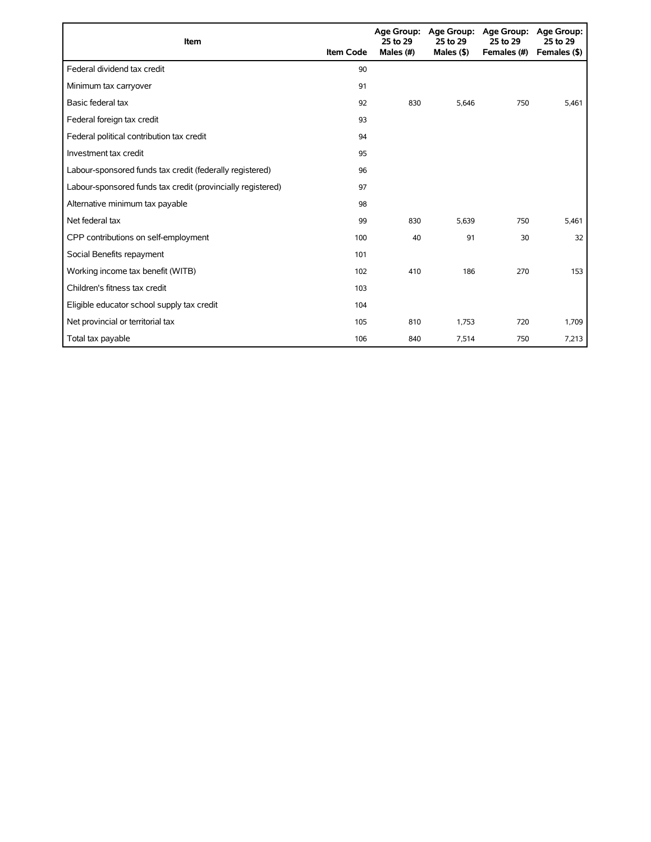| Item                                                        | <b>Item Code</b> | 25 to 29<br>Males (#) | Age Group: Age Group:<br>25 to 29<br>Males $($ \$) | <b>Age Group:</b><br>25 to 29<br>Females (#) | <b>Age Group:</b><br>25 to 29<br>Females (\$) |
|-------------------------------------------------------------|------------------|-----------------------|----------------------------------------------------|----------------------------------------------|-----------------------------------------------|
| Federal dividend tax credit                                 | 90               |                       |                                                    |                                              |                                               |
| Minimum tax carryover                                       | 91               |                       |                                                    |                                              |                                               |
| Basic federal tax                                           | 92               | 830                   | 5.646                                              | 750                                          | 5,461                                         |
| Federal foreign tax credit                                  | 93               |                       |                                                    |                                              |                                               |
| Federal political contribution tax credit                   | 94               |                       |                                                    |                                              |                                               |
| Investment tax credit                                       | 95               |                       |                                                    |                                              |                                               |
| Labour-sponsored funds tax credit (federally registered)    | 96               |                       |                                                    |                                              |                                               |
| Labour-sponsored funds tax credit (provincially registered) | 97               |                       |                                                    |                                              |                                               |
| Alternative minimum tax payable                             | 98               |                       |                                                    |                                              |                                               |
| Net federal tax                                             | 99               | 830                   | 5,639                                              | 750                                          | 5,461                                         |
| CPP contributions on self-employment                        | 100              | 40                    | 91                                                 | 30                                           | 32                                            |
| Social Benefits repayment                                   | 101              |                       |                                                    |                                              |                                               |
| Working income tax benefit (WITB)                           | 102              | 410                   | 186                                                | 270                                          | 153                                           |
| Children's fitness tax credit                               | 103              |                       |                                                    |                                              |                                               |
| Eligible educator school supply tax credit                  | 104              |                       |                                                    |                                              |                                               |
| Net provincial or territorial tax                           | 105              | 810                   | 1,753                                              | 720                                          | 1,709                                         |
| Total tax payable                                           | 106              | 840                   | 7,514                                              | 750                                          | 7,213                                         |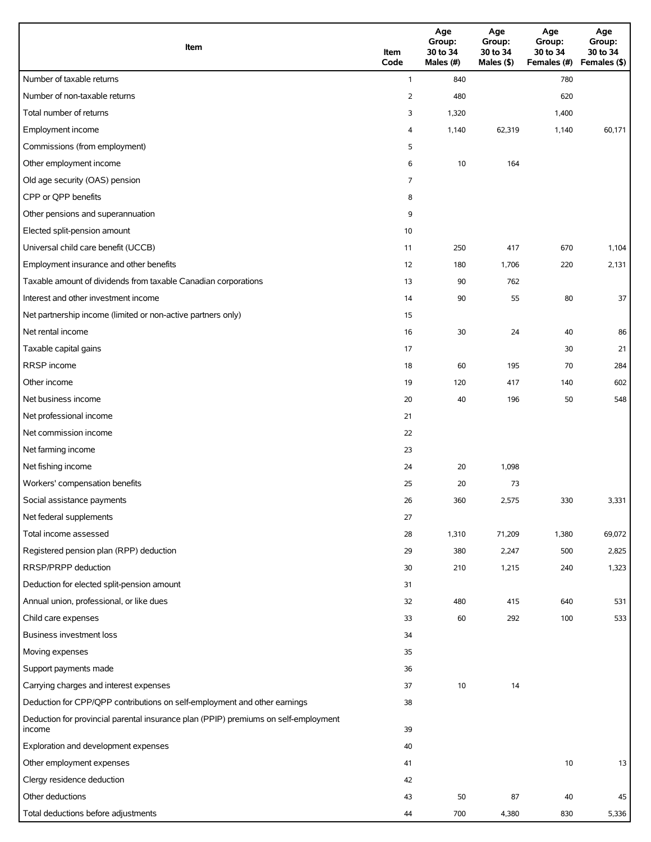| Item                                                                                          | Item<br>Code   | Age<br>Group:<br>30 to 34<br>Males (#) | Age<br>Group:<br>30 to 34<br>Males (\$) | Age<br>Group:<br>30 to 34<br>Females (#) | Age<br>Group:<br>30 to 34<br>Females (\$) |
|-----------------------------------------------------------------------------------------------|----------------|----------------------------------------|-----------------------------------------|------------------------------------------|-------------------------------------------|
| Number of taxable returns                                                                     | $\mathbf{1}$   | 840                                    |                                         | 780                                      |                                           |
| Number of non-taxable returns                                                                 | $\overline{2}$ | 480                                    |                                         | 620                                      |                                           |
| Total number of returns                                                                       | 3              | 1,320                                  |                                         | 1,400                                    |                                           |
| Employment income                                                                             | 4              | 1,140                                  | 62,319                                  | 1,140                                    | 60,171                                    |
| Commissions (from employment)                                                                 | 5              |                                        |                                         |                                          |                                           |
| Other employment income                                                                       | 6              | 10                                     | 164                                     |                                          |                                           |
| Old age security (OAS) pension                                                                | 7              |                                        |                                         |                                          |                                           |
| CPP or QPP benefits                                                                           | 8              |                                        |                                         |                                          |                                           |
| Other pensions and superannuation                                                             | 9              |                                        |                                         |                                          |                                           |
| Elected split-pension amount                                                                  | 10             |                                        |                                         |                                          |                                           |
| Universal child care benefit (UCCB)                                                           | 11             | 250                                    | 417                                     | 670                                      | 1,104                                     |
| Employment insurance and other benefits                                                       | 12             | 180                                    | 1,706                                   | 220                                      | 2,131                                     |
| Taxable amount of dividends from taxable Canadian corporations                                | 13             | 90                                     | 762                                     |                                          |                                           |
| Interest and other investment income                                                          | 14             | 90                                     | 55                                      | 80                                       | 37                                        |
| Net partnership income (limited or non-active partners only)                                  | 15             |                                        |                                         |                                          |                                           |
| Net rental income                                                                             | 16             | 30                                     | 24                                      | 40                                       | 86                                        |
| Taxable capital gains                                                                         | 17             |                                        |                                         | 30                                       | 21                                        |
| RRSP income                                                                                   | 18             | 60                                     | 195                                     | 70                                       | 284                                       |
| Other income                                                                                  | 19             | 120                                    | 417                                     | 140                                      | 602                                       |
| Net business income                                                                           | 20             | 40                                     | 196                                     | 50                                       | 548                                       |
| Net professional income                                                                       | 21             |                                        |                                         |                                          |                                           |
| Net commission income                                                                         | 22             |                                        |                                         |                                          |                                           |
| Net farming income                                                                            | 23             |                                        |                                         |                                          |                                           |
| Net fishing income                                                                            | 24             | 20                                     | 1,098                                   |                                          |                                           |
| Workers' compensation benefits                                                                | 25             | 20                                     | 73                                      |                                          |                                           |
| Social assistance payments                                                                    | 26             | 360                                    | 2,575                                   | 330                                      | 3,331                                     |
| Net federal supplements                                                                       | 27             |                                        |                                         |                                          |                                           |
| Total income assessed                                                                         | 28             | 1,310                                  | 71,209                                  | 1,380                                    | 69,072                                    |
| Registered pension plan (RPP) deduction                                                       | 29             | 380                                    | 2,247                                   | 500                                      | 2,825                                     |
| RRSP/PRPP deduction                                                                           | 30             | 210                                    | 1,215                                   | 240                                      | 1,323                                     |
| Deduction for elected split-pension amount                                                    | 31             |                                        |                                         |                                          |                                           |
| Annual union, professional, or like dues                                                      | 32             | 480                                    | 415                                     | 640                                      | 531                                       |
| Child care expenses                                                                           | 33             | 60                                     | 292                                     | 100                                      | 533                                       |
| Business investment loss                                                                      | 34             |                                        |                                         |                                          |                                           |
| Moving expenses                                                                               | 35             |                                        |                                         |                                          |                                           |
| Support payments made                                                                         | 36             |                                        |                                         |                                          |                                           |
| Carrying charges and interest expenses                                                        | 37             | 10                                     | 14                                      |                                          |                                           |
| Deduction for CPP/QPP contributions on self-employment and other earnings                     | 38             |                                        |                                         |                                          |                                           |
| Deduction for provincial parental insurance plan (PPIP) premiums on self-employment<br>income | 39             |                                        |                                         |                                          |                                           |
| Exploration and development expenses                                                          | 40             |                                        |                                         |                                          |                                           |
| Other employment expenses                                                                     | 41             |                                        |                                         | 10                                       | 13                                        |
| Clergy residence deduction                                                                    | 42             |                                        |                                         |                                          |                                           |
| Other deductions                                                                              | 43             | 50                                     | 87                                      | 40                                       | 45                                        |
| Total deductions before adjustments                                                           | 44             | 700                                    | 4,380                                   | 830                                      | 5,336                                     |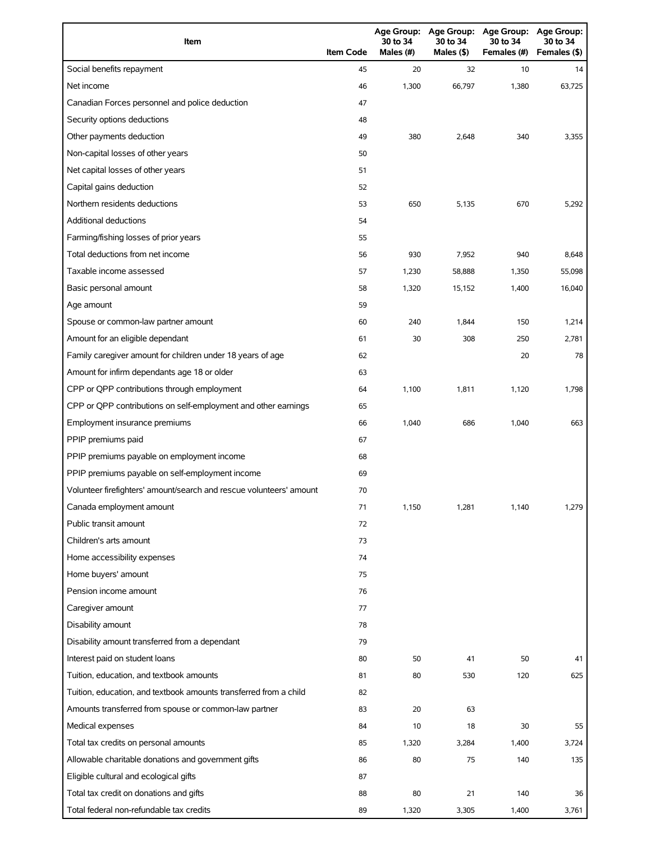| Item                                                                | <b>Item Code</b> | 30 to 34<br>Males (#) | 30 to 34<br>Males (\$) | Age Group: Age Group: Age Group:<br>30 to 34<br>Females (#) | Age Group:<br>30 to 34<br>Females (\$) |
|---------------------------------------------------------------------|------------------|-----------------------|------------------------|-------------------------------------------------------------|----------------------------------------|
| Social benefits repayment                                           | 45               | 20                    | 32                     | 10                                                          | 14                                     |
| Net income                                                          | 46               | 1,300                 | 66,797                 | 1,380                                                       | 63,725                                 |
| Canadian Forces personnel and police deduction                      | 47               |                       |                        |                                                             |                                        |
| Security options deductions                                         | 48               |                       |                        |                                                             |                                        |
| Other payments deduction                                            | 49               | 380                   | 2,648                  | 340                                                         | 3,355                                  |
| Non-capital losses of other years                                   | 50               |                       |                        |                                                             |                                        |
| Net capital losses of other years                                   | 51               |                       |                        |                                                             |                                        |
| Capital gains deduction                                             | 52               |                       |                        |                                                             |                                        |
| Northern residents deductions                                       | 53               | 650                   | 5,135                  | 670                                                         | 5,292                                  |
| Additional deductions                                               | 54               |                       |                        |                                                             |                                        |
| Farming/fishing losses of prior years                               | 55               |                       |                        |                                                             |                                        |
| Total deductions from net income                                    | 56               | 930                   | 7,952                  | 940                                                         | 8,648                                  |
| Taxable income assessed                                             | 57               | 1,230                 | 58,888                 | 1,350                                                       | 55,098                                 |
| Basic personal amount                                               | 58               | 1,320                 | 15,152                 | 1,400                                                       | 16,040                                 |
| Age amount                                                          | 59               |                       |                        |                                                             |                                        |
| Spouse or common-law partner amount                                 | 60               | 240                   | 1,844                  | 150                                                         | 1,214                                  |
| Amount for an eligible dependant                                    | 61               | 30                    | 308                    | 250                                                         | 2,781                                  |
| Family caregiver amount for children under 18 years of age          | 62               |                       |                        | 20                                                          | 78                                     |
| Amount for infirm dependants age 18 or older                        | 63               |                       |                        |                                                             |                                        |
| CPP or QPP contributions through employment                         | 64               | 1,100                 | 1,811                  | 1,120                                                       | 1,798                                  |
| CPP or QPP contributions on self-employment and other earnings      | 65               |                       |                        |                                                             |                                        |
| Employment insurance premiums                                       | 66               | 1,040                 | 686                    | 1,040                                                       | 663                                    |
| PPIP premiums paid                                                  | 67               |                       |                        |                                                             |                                        |
| PPIP premiums payable on employment income                          | 68               |                       |                        |                                                             |                                        |
| PPIP premiums payable on self-employment income                     | 69               |                       |                        |                                                             |                                        |
| Volunteer firefighters' amount/search and rescue volunteers' amount | 70               |                       |                        |                                                             |                                        |
| Canada employment amount                                            | 71               | 1,150                 | 1,281                  | 1,140                                                       | 1,279                                  |
| Public transit amount                                               | 72               |                       |                        |                                                             |                                        |
| Children's arts amount                                              | 73               |                       |                        |                                                             |                                        |
| Home accessibility expenses                                         | 74               |                       |                        |                                                             |                                        |
| Home buyers' amount                                                 | 75               |                       |                        |                                                             |                                        |
| Pension income amount                                               | 76               |                       |                        |                                                             |                                        |
| Caregiver amount                                                    | 77               |                       |                        |                                                             |                                        |
| Disability amount                                                   | 78               |                       |                        |                                                             |                                        |
| Disability amount transferred from a dependant                      | 79               |                       |                        |                                                             |                                        |
| Interest paid on student loans                                      | 80               | 50                    | 41                     | 50                                                          | 41                                     |
| Tuition, education, and textbook amounts                            | 81               | 80                    | 530                    | 120                                                         | 625                                    |
| Tuition, education, and textbook amounts transferred from a child   | 82               |                       |                        |                                                             |                                        |
| Amounts transferred from spouse or common-law partner               | 83               | 20                    | 63                     |                                                             |                                        |
| Medical expenses                                                    | 84               | 10                    | 18                     | 30                                                          | 55                                     |
| Total tax credits on personal amounts                               | 85               | 1,320                 | 3,284                  | 1,400                                                       | 3,724                                  |
| Allowable charitable donations and government gifts                 | 86               | 80                    | 75                     | 140                                                         | 135                                    |
| Eligible cultural and ecological gifts                              | 87               |                       |                        |                                                             |                                        |
| Total tax credit on donations and gifts                             | 88               | 80                    | 21                     | 140                                                         | 36                                     |
| Total federal non-refundable tax credits                            | 89               | 1,320                 | 3,305                  | 1,400                                                       | 3,761                                  |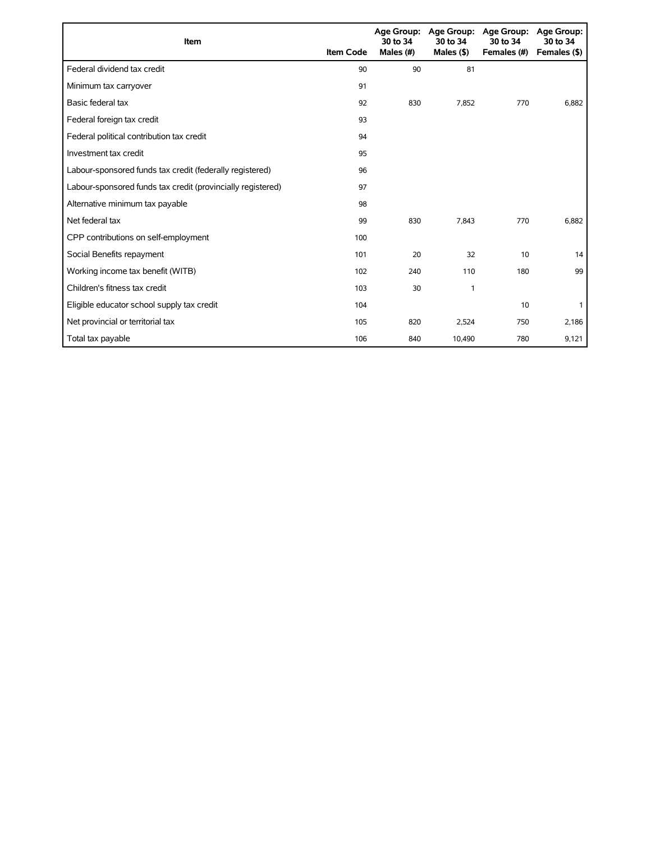| Item                                                        | <b>Item Code</b> | 30 to 34<br>Males (#) | Age Group: Age Group:<br>30 to 34<br>Males $($ \$) | <b>Age Group:</b><br>30 to 34<br>Females (#) | Age Group:<br>30 to 34<br>Females (\$) |
|-------------------------------------------------------------|------------------|-----------------------|----------------------------------------------------|----------------------------------------------|----------------------------------------|
| Federal dividend tax credit                                 | 90               | 90                    | 81                                                 |                                              |                                        |
| Minimum tax carryover                                       | 91               |                       |                                                    |                                              |                                        |
| Basic federal tax                                           | 92               | 830                   | 7.852                                              | 770                                          | 6,882                                  |
| Federal foreign tax credit                                  | 93               |                       |                                                    |                                              |                                        |
| Federal political contribution tax credit                   | 94               |                       |                                                    |                                              |                                        |
| Investment tax credit                                       | 95               |                       |                                                    |                                              |                                        |
| Labour-sponsored funds tax credit (federally registered)    | 96               |                       |                                                    |                                              |                                        |
| Labour-sponsored funds tax credit (provincially registered) | 97               |                       |                                                    |                                              |                                        |
| Alternative minimum tax payable                             | 98               |                       |                                                    |                                              |                                        |
| Net federal tax                                             | 99               | 830                   | 7,843                                              | 770                                          | 6,882                                  |
| CPP contributions on self-employment                        | 100              |                       |                                                    |                                              |                                        |
| Social Benefits repayment                                   | 101              | 20                    | 32                                                 | 10                                           | 14                                     |
| Working income tax benefit (WITB)                           | 102              | 240                   | 110                                                | 180                                          | 99                                     |
| Children's fitness tax credit                               | 103              | 30                    | 1                                                  |                                              |                                        |
| Eligible educator school supply tax credit                  | 104              |                       |                                                    | 10                                           |                                        |
| Net provincial or territorial tax                           | 105              | 820                   | 2,524                                              | 750                                          | 2,186                                  |
| Total tax payable                                           | 106              | 840                   | 10.490                                             | 780                                          | 9,121                                  |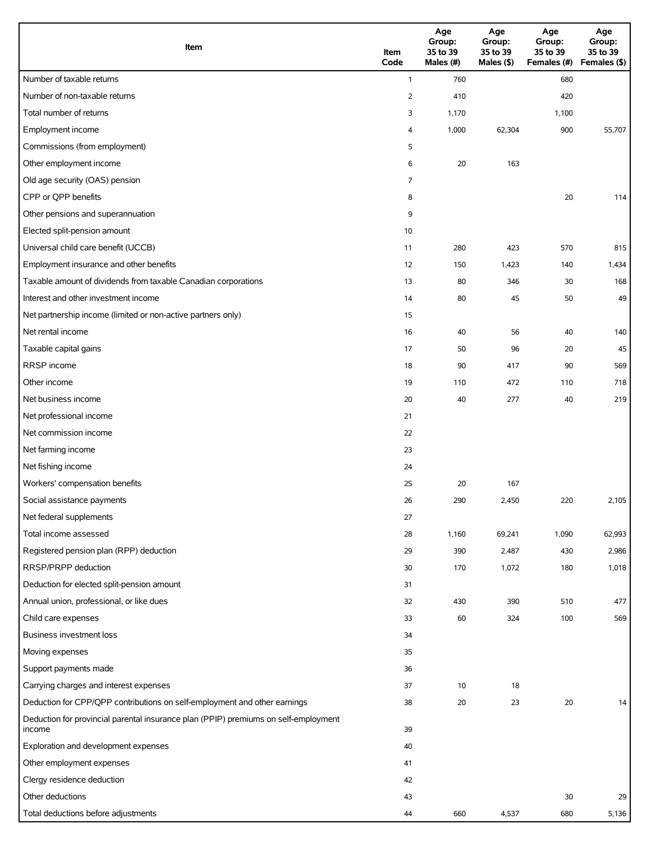| Item                                                                                          | Item<br>Code   | Age<br>Group:<br>35 to 39<br>Males (#) | Age<br>Group:<br>35 to 39<br>Males (\$) | Age<br>Group:<br>35 to 39<br>Females (#) | Age<br>Group:<br>35 to 39<br>Females (\$) |
|-----------------------------------------------------------------------------------------------|----------------|----------------------------------------|-----------------------------------------|------------------------------------------|-------------------------------------------|
| Number of taxable returns                                                                     | $\mathbf{1}$   | 760                                    |                                         | 680                                      |                                           |
| Number of non-taxable returns                                                                 | $\overline{2}$ | 410                                    |                                         | 420                                      |                                           |
| Total number of returns                                                                       | 3              | 1,170                                  |                                         | 1,100                                    |                                           |
| Employment income                                                                             | 4              | 1,000                                  | 62,304                                  | 900                                      | 55,707                                    |
| Commissions (from employment)                                                                 | 5              |                                        |                                         |                                          |                                           |
| Other employment income                                                                       | 6              | 20                                     | 163                                     |                                          |                                           |
| Old age security (OAS) pension                                                                | 7              |                                        |                                         |                                          |                                           |
| CPP or QPP benefits                                                                           | 8              |                                        |                                         | 20                                       | 114                                       |
| Other pensions and superannuation                                                             | 9              |                                        |                                         |                                          |                                           |
| Elected split-pension amount                                                                  | 10             |                                        |                                         |                                          |                                           |
| Universal child care benefit (UCCB)                                                           | 11             | 280                                    | 423                                     | 570                                      | 815                                       |
| Employment insurance and other benefits                                                       | 12             | 150                                    | 1,423                                   | 140                                      | 1,434                                     |
| Taxable amount of dividends from taxable Canadian corporations                                | 13             | 80                                     | 346                                     | 30                                       | 168                                       |
| Interest and other investment income                                                          | 14             | 80                                     | 45                                      | 50                                       | 49                                        |
| Net partnership income (limited or non-active partners only)                                  | 15             |                                        |                                         |                                          |                                           |
| Net rental income                                                                             | 16             | 40                                     | 56                                      | 40                                       | 140                                       |
| Taxable capital gains                                                                         | 17             | 50                                     | 96                                      | 20                                       | 45                                        |
| RRSP income                                                                                   | 18             | 90                                     | 417                                     | 90                                       | 569                                       |
| Other income                                                                                  | 19             | 110                                    | 472                                     | 110                                      | 718                                       |
| Net business income                                                                           | 20             | 40                                     | 277                                     | 40                                       | 219                                       |
| Net professional income                                                                       | 21             |                                        |                                         |                                          |                                           |
| Net commission income                                                                         | 22             |                                        |                                         |                                          |                                           |
| Net farming income                                                                            | 23             |                                        |                                         |                                          |                                           |
| Net fishing income                                                                            | 24             |                                        |                                         |                                          |                                           |
| Workers' compensation benefits                                                                | 25             | 20                                     | 167                                     |                                          |                                           |
| Social assistance payments                                                                    | 26             | 290                                    | 2,450                                   | 220                                      | 2,105                                     |
| Net federal supplements                                                                       | 27             |                                        |                                         |                                          |                                           |
| Total income assessed                                                                         | 28             | 1,160                                  | 69,241                                  | 1,090                                    | 62,993                                    |
| Registered pension plan (RPP) deduction                                                       | 29             | 390                                    | 2,487                                   | 430                                      | 2,986                                     |
| RRSP/PRPP deduction                                                                           | 30             | 170                                    | 1,072                                   | 180                                      | 1,018                                     |
| Deduction for elected split-pension amount                                                    | 31             |                                        |                                         |                                          |                                           |
| Annual union, professional, or like dues                                                      | 32             | 430                                    | 390                                     | 510                                      | 477                                       |
| Child care expenses                                                                           | 33             | 60                                     | 324                                     | 100                                      | 569                                       |
| <b>Business investment loss</b>                                                               | 34             |                                        |                                         |                                          |                                           |
| Moving expenses                                                                               | 35             |                                        |                                         |                                          |                                           |
| Support payments made                                                                         | 36             |                                        |                                         |                                          |                                           |
| Carrying charges and interest expenses                                                        | 37             | 10                                     | 18                                      |                                          |                                           |
| Deduction for CPP/QPP contributions on self-employment and other earnings                     | 38             | 20                                     | 23                                      | 20                                       | 14                                        |
| Deduction for provincial parental insurance plan (PPIP) premiums on self-employment<br>income | 39             |                                        |                                         |                                          |                                           |
| Exploration and development expenses                                                          | 40             |                                        |                                         |                                          |                                           |
| Other employment expenses                                                                     | 41             |                                        |                                         |                                          |                                           |
| Clergy residence deduction                                                                    | 42             |                                        |                                         |                                          |                                           |
| Other deductions                                                                              | 43             |                                        |                                         | 30                                       | 29                                        |
| Total deductions before adjustments                                                           | 44             | 660                                    | 4,537                                   | 680                                      | 5,136                                     |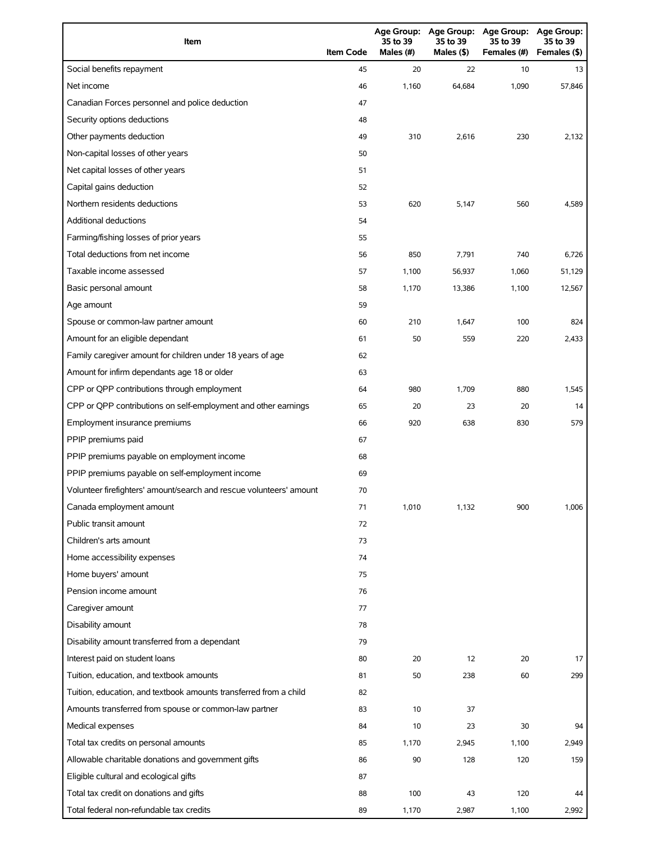| Item                                                                | <b>Item Code</b> | 35 to 39<br>Males (#) | 35 to 39<br>Males (\$) | Age Group: Age Group: Age Group:<br>35 to 39<br>Females (#) | <b>Age Group:</b><br>35 to 39<br>Females (\$) |
|---------------------------------------------------------------------|------------------|-----------------------|------------------------|-------------------------------------------------------------|-----------------------------------------------|
| Social benefits repayment                                           | 45               | 20                    | 22                     | 10                                                          | 13                                            |
| Net income                                                          | 46               | 1,160                 | 64,684                 | 1,090                                                       | 57,846                                        |
| Canadian Forces personnel and police deduction                      | 47               |                       |                        |                                                             |                                               |
| Security options deductions                                         | 48               |                       |                        |                                                             |                                               |
| Other payments deduction                                            | 49               | 310                   | 2,616                  | 230                                                         | 2,132                                         |
| Non-capital losses of other years                                   | 50               |                       |                        |                                                             |                                               |
| Net capital losses of other years                                   | 51               |                       |                        |                                                             |                                               |
| Capital gains deduction                                             | 52               |                       |                        |                                                             |                                               |
| Northern residents deductions                                       | 53               | 620                   | 5,147                  | 560                                                         | 4,589                                         |
| Additional deductions                                               | 54               |                       |                        |                                                             |                                               |
| Farming/fishing losses of prior years                               | 55               |                       |                        |                                                             |                                               |
| Total deductions from net income                                    | 56               | 850                   | 7,791                  | 740                                                         | 6,726                                         |
| Taxable income assessed                                             | 57               | 1,100                 | 56,937                 | 1,060                                                       | 51,129                                        |
| Basic personal amount                                               | 58               | 1,170                 | 13,386                 | 1,100                                                       | 12,567                                        |
| Age amount                                                          | 59               |                       |                        |                                                             |                                               |
| Spouse or common-law partner amount                                 | 60               | 210                   | 1,647                  | 100                                                         | 824                                           |
| Amount for an eligible dependant                                    | 61               | 50                    | 559                    | 220                                                         | 2,433                                         |
| Family caregiver amount for children under 18 years of age          | 62               |                       |                        |                                                             |                                               |
| Amount for infirm dependants age 18 or older                        | 63               |                       |                        |                                                             |                                               |
| CPP or QPP contributions through employment                         | 64               | 980                   | 1,709                  | 880                                                         | 1,545                                         |
| CPP or QPP contributions on self-employment and other earnings      | 65               | 20                    | 23                     | 20                                                          | 14                                            |
| Employment insurance premiums                                       | 66               | 920                   | 638                    | 830                                                         | 579                                           |
| PPIP premiums paid                                                  | 67               |                       |                        |                                                             |                                               |
| PPIP premiums payable on employment income                          | 68               |                       |                        |                                                             |                                               |
| PPIP premiums payable on self-employment income                     | 69               |                       |                        |                                                             |                                               |
| Volunteer firefighters' amount/search and rescue volunteers' amount | 70               |                       |                        |                                                             |                                               |
| Canada employment amount                                            | 71               | 1,010                 | 1,132                  | 900                                                         | 1,006                                         |
| Public transit amount                                               | 72               |                       |                        |                                                             |                                               |
| Children's arts amount                                              | 73               |                       |                        |                                                             |                                               |
| Home accessibility expenses                                         | 74               |                       |                        |                                                             |                                               |
| Home buyers' amount                                                 | 75               |                       |                        |                                                             |                                               |
| Pension income amount                                               | 76               |                       |                        |                                                             |                                               |
| Caregiver amount                                                    | 77               |                       |                        |                                                             |                                               |
| Disability amount                                                   | 78               |                       |                        |                                                             |                                               |
| Disability amount transferred from a dependant                      | 79               |                       |                        |                                                             |                                               |
| Interest paid on student loans                                      | 80               | 20                    | 12                     | 20                                                          | 17                                            |
| Tuition, education, and textbook amounts                            | 81               | 50                    | 238                    | 60                                                          | 299                                           |
| Tuition, education, and textbook amounts transferred from a child   | 82               |                       |                        |                                                             |                                               |
| Amounts transferred from spouse or common-law partner               | 83               | 10                    | 37                     |                                                             |                                               |
| Medical expenses                                                    | 84               | 10                    | 23                     | 30                                                          | 94                                            |
| Total tax credits on personal amounts                               | 85               | 1,170                 | 2,945                  | 1,100                                                       | 2,949                                         |
| Allowable charitable donations and government gifts                 | 86               | 90                    | 128                    | 120                                                         | 159                                           |
| Eligible cultural and ecological gifts                              | 87               |                       |                        |                                                             |                                               |
| Total tax credit on donations and gifts                             | 88               | 100                   | 43                     | 120                                                         | 44                                            |
| Total federal non-refundable tax credits                            | 89               | 1,170                 | 2,987                  | 1,100                                                       | 2,992                                         |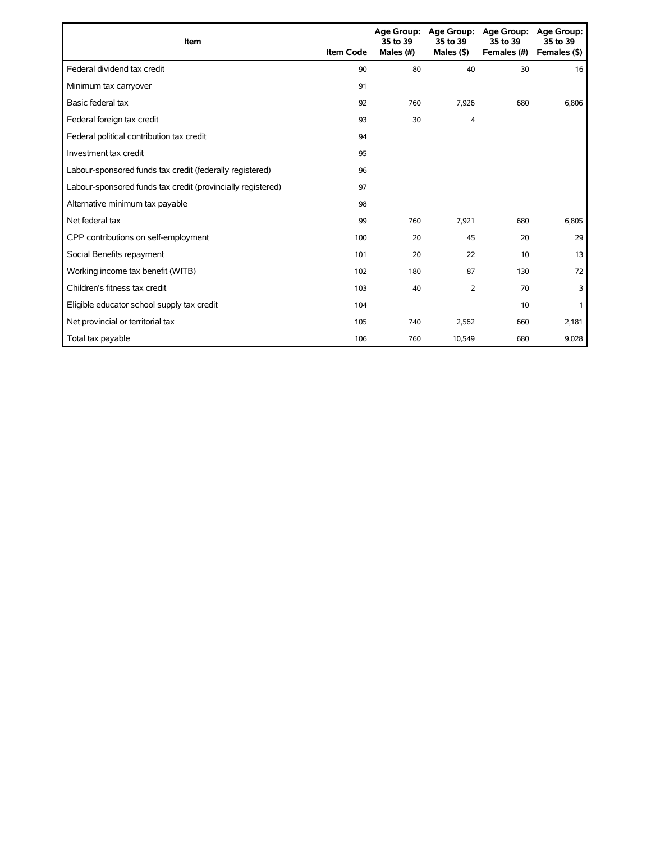| Item                                                        | <b>Item Code</b> | 35 to 39<br>Males (#) | Age Group: Age Group:<br>35 to 39<br>Males $($ \$) | <b>Age Group:</b><br>35 to 39<br>Females (#) | Age Group:<br>35 to 39<br>Females (\$) |
|-------------------------------------------------------------|------------------|-----------------------|----------------------------------------------------|----------------------------------------------|----------------------------------------|
| Federal dividend tax credit                                 | 90               | 80                    | 40                                                 | 30                                           | 16                                     |
| Minimum tax carryover                                       | 91               |                       |                                                    |                                              |                                        |
| Basic federal tax                                           | 92               | 760                   | 7,926                                              | 680                                          | 6,806                                  |
| Federal foreign tax credit                                  | 93               | 30                    | 4                                                  |                                              |                                        |
| Federal political contribution tax credit                   | 94               |                       |                                                    |                                              |                                        |
| Investment tax credit                                       | 95               |                       |                                                    |                                              |                                        |
| Labour-sponsored funds tax credit (federally registered)    | 96               |                       |                                                    |                                              |                                        |
| Labour-sponsored funds tax credit (provincially registered) | 97               |                       |                                                    |                                              |                                        |
| Alternative minimum tax payable                             | 98               |                       |                                                    |                                              |                                        |
| Net federal tax                                             | 99               | 760                   | 7,921                                              | 680                                          | 6,805                                  |
| CPP contributions on self-employment                        | 100              | 20                    | 45                                                 | 20                                           | 29                                     |
| Social Benefits repayment                                   | 101              | 20                    | 22                                                 | 10                                           | 13                                     |
| Working income tax benefit (WITB)                           | 102              | 180                   | 87                                                 | 130                                          | 72                                     |
| Children's fitness tax credit                               | 103              | 40                    | 2                                                  | 70                                           | 3                                      |
| Eligible educator school supply tax credit                  | 104              |                       |                                                    | 10                                           |                                        |
| Net provincial or territorial tax                           | 105              | 740                   | 2,562                                              | 660                                          | 2,181                                  |
| Total tax payable                                           | 106              | 760                   | 10,549                                             | 680                                          | 9,028                                  |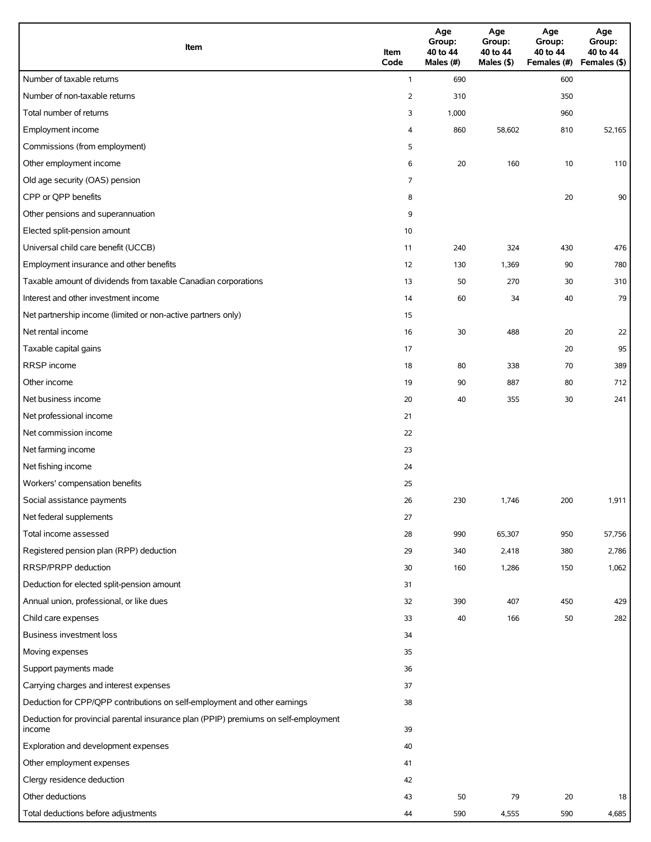| Item                                                                                          | Item<br>Code   | Age<br>Group:<br>40 to 44<br>Males (#) | Age<br>Group:<br>40 to 44<br>Males (\$) | Age<br>Group:<br>40 to 44<br>Females (#) | Age<br>Group:<br>40 to 44<br>Females (\$) |
|-----------------------------------------------------------------------------------------------|----------------|----------------------------------------|-----------------------------------------|------------------------------------------|-------------------------------------------|
| Number of taxable returns                                                                     | $\mathbf{1}$   | 690                                    |                                         | 600                                      |                                           |
| Number of non-taxable returns                                                                 | $\overline{2}$ | 310                                    |                                         | 350                                      |                                           |
| Total number of returns                                                                       | 3              | 1,000                                  |                                         | 960                                      |                                           |
| Employment income                                                                             | 4              | 860                                    | 58,602                                  | 810                                      | 52,165                                    |
| Commissions (from employment)                                                                 | 5              |                                        |                                         |                                          |                                           |
| Other employment income                                                                       | 6              | 20                                     | 160                                     | 10                                       | 110                                       |
| Old age security (OAS) pension                                                                | 7              |                                        |                                         |                                          |                                           |
| CPP or QPP benefits                                                                           | 8              |                                        |                                         | 20                                       | 90                                        |
| Other pensions and superannuation                                                             | 9              |                                        |                                         |                                          |                                           |
| Elected split-pension amount                                                                  | 10             |                                        |                                         |                                          |                                           |
| Universal child care benefit (UCCB)                                                           | 11             | 240                                    | 324                                     | 430                                      | 476                                       |
| Employment insurance and other benefits                                                       | 12             | 130                                    | 1,369                                   | 90                                       | 780                                       |
| Taxable amount of dividends from taxable Canadian corporations                                | 13             | 50                                     | 270                                     | 30                                       | 310                                       |
| Interest and other investment income                                                          | 14             | 60                                     | 34                                      | 40                                       | 79                                        |
| Net partnership income (limited or non-active partners only)                                  | 15             |                                        |                                         |                                          |                                           |
| Net rental income                                                                             | 16             | 30                                     | 488                                     | 20                                       | 22                                        |
| Taxable capital gains                                                                         | 17             |                                        |                                         | 20                                       | 95                                        |
| RRSP income                                                                                   | 18             | 80                                     | 338                                     | 70                                       | 389                                       |
| Other income                                                                                  | 19             | 90                                     | 887                                     | 80                                       | 712                                       |
| Net business income                                                                           | 20             | 40                                     | 355                                     | 30                                       | 241                                       |
| Net professional income                                                                       | 21             |                                        |                                         |                                          |                                           |
| Net commission income                                                                         | 22             |                                        |                                         |                                          |                                           |
| Net farming income                                                                            | 23             |                                        |                                         |                                          |                                           |
| Net fishing income                                                                            | 24             |                                        |                                         |                                          |                                           |
| Workers' compensation benefits                                                                | 25             |                                        |                                         |                                          |                                           |
| Social assistance payments                                                                    | 26             | 230                                    | 1,746                                   | 200                                      | 1,911                                     |
| Net federal supplements                                                                       | 27             |                                        |                                         |                                          |                                           |
| Total income assessed                                                                         | 28             | 990                                    | 65,307                                  | 950                                      | 57,756                                    |
| Registered pension plan (RPP) deduction                                                       | 29             | 340                                    | 2,418                                   | 380                                      | 2,786                                     |
| RRSP/PRPP deduction                                                                           | 30             | 160                                    | 1,286                                   | 150                                      | 1,062                                     |
| Deduction for elected split-pension amount                                                    | 31             |                                        |                                         |                                          |                                           |
| Annual union, professional, or like dues                                                      | 32             | 390                                    | 407                                     | 450                                      | 429                                       |
| Child care expenses                                                                           | 33             | 40                                     | 166                                     | 50                                       | 282                                       |
| Business investment loss                                                                      | 34             |                                        |                                         |                                          |                                           |
| Moving expenses                                                                               | 35             |                                        |                                         |                                          |                                           |
| Support payments made                                                                         | 36             |                                        |                                         |                                          |                                           |
| Carrying charges and interest expenses                                                        | 37             |                                        |                                         |                                          |                                           |
| Deduction for CPP/QPP contributions on self-employment and other earnings                     | 38             |                                        |                                         |                                          |                                           |
| Deduction for provincial parental insurance plan (PPIP) premiums on self-employment<br>income | 39             |                                        |                                         |                                          |                                           |
| Exploration and development expenses                                                          | 40             |                                        |                                         |                                          |                                           |
| Other employment expenses                                                                     | 41             |                                        |                                         |                                          |                                           |
| Clergy residence deduction                                                                    | 42             |                                        |                                         |                                          |                                           |
| Other deductions                                                                              | 43             | 50                                     | 79                                      | 20                                       | 18                                        |
| Total deductions before adjustments                                                           | 44             | 590                                    | 4,555                                   | 590                                      | 4,685                                     |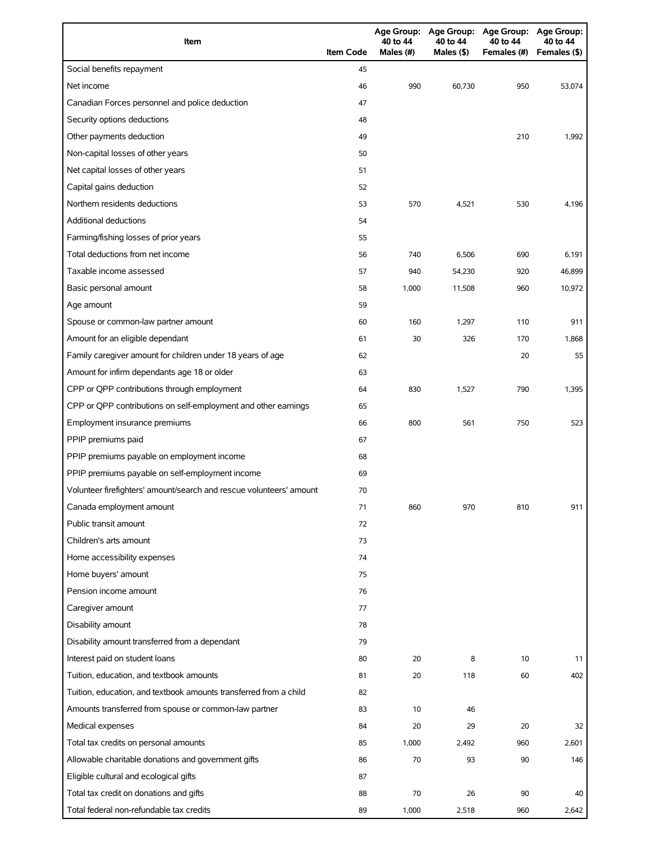| Item                                                                | <b>Item Code</b> | 40 to 44<br>Males (#) | 40 to 44<br>Males $($ \$) | Age Group: Age Group: Age Group: Age Group:<br>40 to 44<br>Females (#) | 40 to 44<br>Females (\$) |
|---------------------------------------------------------------------|------------------|-----------------------|---------------------------|------------------------------------------------------------------------|--------------------------|
| Social benefits repayment                                           | 45               |                       |                           |                                                                        |                          |
| Net income                                                          | 46               | 990                   | 60,730                    | 950                                                                    | 53,074                   |
| Canadian Forces personnel and police deduction                      | 47               |                       |                           |                                                                        |                          |
| Security options deductions                                         | 48               |                       |                           |                                                                        |                          |
| Other payments deduction                                            | 49               |                       |                           | 210                                                                    | 1,992                    |
| Non-capital losses of other years                                   | 50               |                       |                           |                                                                        |                          |
| Net capital losses of other years                                   | 51               |                       |                           |                                                                        |                          |
| Capital gains deduction                                             | 52               |                       |                           |                                                                        |                          |
| Northern residents deductions                                       | 53               | 570                   | 4,521                     | 530                                                                    | 4,196                    |
| <b>Additional deductions</b>                                        | 54               |                       |                           |                                                                        |                          |
| Farming/fishing losses of prior years                               | 55               |                       |                           |                                                                        |                          |
| Total deductions from net income                                    | 56               | 740                   | 6,506                     | 690                                                                    | 6,191                    |
| Taxable income assessed                                             | 57               | 940                   | 54,230                    | 920                                                                    | 46,899                   |
| Basic personal amount                                               | 58               | 1,000                 | 11,508                    | 960                                                                    | 10,972                   |
| Age amount                                                          | 59               |                       |                           |                                                                        |                          |
| Spouse or common-law partner amount                                 | 60               | 160                   | 1,297                     | 110                                                                    | 911                      |
| Amount for an eligible dependant                                    | 61               | 30                    | 326                       | 170                                                                    | 1,868                    |
| Family caregiver amount for children under 18 years of age          | 62               |                       |                           | 20                                                                     | 55                       |
| Amount for infirm dependants age 18 or older                        | 63               |                       |                           |                                                                        |                          |
| CPP or QPP contributions through employment                         | 64               | 830                   | 1,527                     | 790                                                                    | 1,395                    |
| CPP or QPP contributions on self-employment and other earnings      | 65               |                       |                           |                                                                        |                          |
| Employment insurance premiums                                       | 66               | 800                   | 561                       | 750                                                                    | 523                      |
| PPIP premiums paid                                                  | 67               |                       |                           |                                                                        |                          |
| PPIP premiums payable on employment income                          | 68               |                       |                           |                                                                        |                          |
| PPIP premiums payable on self-employment income                     | 69               |                       |                           |                                                                        |                          |
| Volunteer firefighters' amount/search and rescue volunteers' amount | 70               |                       |                           |                                                                        |                          |
| Canada employment amount                                            | 71               | 860                   | 970                       | 810                                                                    | 911                      |
| Public transit amount                                               | 72               |                       |                           |                                                                        |                          |
| Children's arts amount                                              | 73               |                       |                           |                                                                        |                          |
| Home accessibility expenses                                         | 74               |                       |                           |                                                                        |                          |
| Home buyers' amount                                                 | 75               |                       |                           |                                                                        |                          |
| Pension income amount                                               | 76               |                       |                           |                                                                        |                          |
| Caregiver amount                                                    | 77               |                       |                           |                                                                        |                          |
| Disability amount                                                   | 78               |                       |                           |                                                                        |                          |
| Disability amount transferred from a dependant                      | 79               |                       |                           |                                                                        |                          |
| Interest paid on student loans                                      | 80               | 20                    | 8                         | 10                                                                     | 11                       |
| Tuition, education, and textbook amounts                            | 81               | 20                    | 118                       | 60                                                                     | 402                      |
| Tuition, education, and textbook amounts transferred from a child   | 82               |                       |                           |                                                                        |                          |
|                                                                     | 83               | 10                    |                           |                                                                        |                          |
| Amounts transferred from spouse or common-law partner               |                  |                       | 46                        |                                                                        |                          |
| Medical expenses                                                    | 84               | 20                    | 29                        | 20                                                                     | 32                       |
| Total tax credits on personal amounts                               | 85               | 1,000                 | 2,492                     | 960                                                                    | 2,601                    |
| Allowable charitable donations and government gifts                 | 86               | 70                    | 93                        | 90                                                                     | 146                      |
| Eligible cultural and ecological gifts                              | 87               |                       |                           |                                                                        |                          |
| Total tax credit on donations and gifts                             | 88               | 70                    | 26                        | 90                                                                     | 40                       |
| Total federal non-refundable tax credits                            | 89               | 1,000                 | 2,518                     | 960                                                                    | 2,642                    |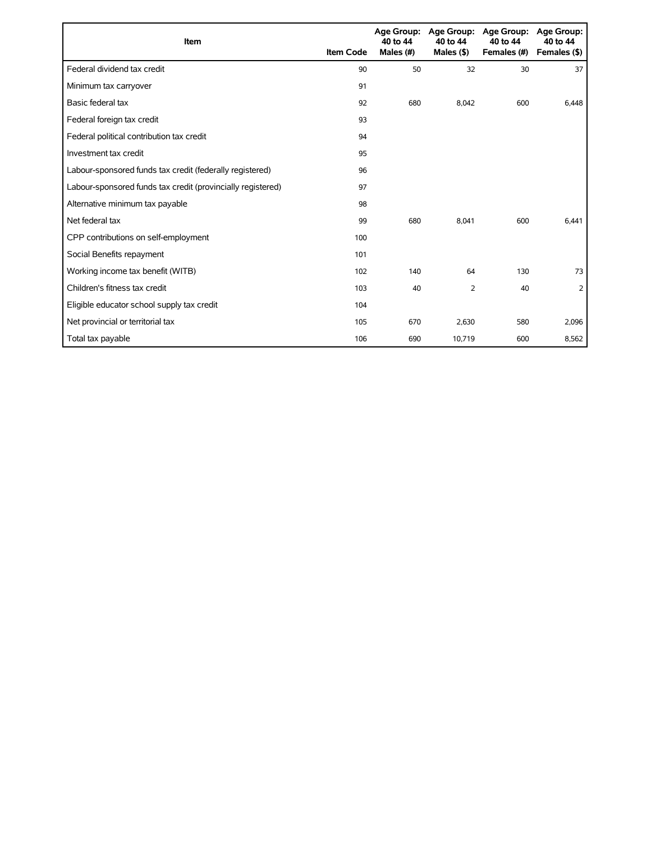| Item                                                        | <b>Item Code</b> | 40 to 44<br>Males (#) | Age Group: Age Group:<br>40 to 44<br>Males $($ \$ $)$ | <b>Age Group:</b><br>40 to 44<br>Females (#) | <b>Age Group:</b><br>40 to 44<br>Females (\$) |
|-------------------------------------------------------------|------------------|-----------------------|-------------------------------------------------------|----------------------------------------------|-----------------------------------------------|
| Federal dividend tax credit                                 | 90               | 50                    | 32                                                    | 30                                           | 37                                            |
| Minimum tax carryover                                       | 91               |                       |                                                       |                                              |                                               |
| Basic federal tax                                           | 92               | 680                   | 8,042                                                 | 600                                          | 6,448                                         |
| Federal foreign tax credit                                  | 93               |                       |                                                       |                                              |                                               |
| Federal political contribution tax credit                   | 94               |                       |                                                       |                                              |                                               |
| Investment tax credit                                       | 95               |                       |                                                       |                                              |                                               |
| Labour-sponsored funds tax credit (federally registered)    | 96               |                       |                                                       |                                              |                                               |
| Labour-sponsored funds tax credit (provincially registered) | 97               |                       |                                                       |                                              |                                               |
| Alternative minimum tax payable                             | 98               |                       |                                                       |                                              |                                               |
| Net federal tax                                             | 99               | 680                   | 8,041                                                 | 600                                          | 6,441                                         |
| CPP contributions on self-employment                        | 100              |                       |                                                       |                                              |                                               |
| Social Benefits repayment                                   | 101              |                       |                                                       |                                              |                                               |
| Working income tax benefit (WITB)                           | 102              | 140                   | 64                                                    | 130                                          | 73                                            |
| Children's fitness tax credit                               | 103              | 40                    | $\overline{2}$                                        | 40                                           | 2                                             |
| Eligible educator school supply tax credit                  | 104              |                       |                                                       |                                              |                                               |
| Net provincial or territorial tax                           | 105              | 670                   | 2,630                                                 | 580                                          | 2,096                                         |
| Total tax payable                                           | 106              | 690                   | 10,719                                                | 600                                          | 8,562                                         |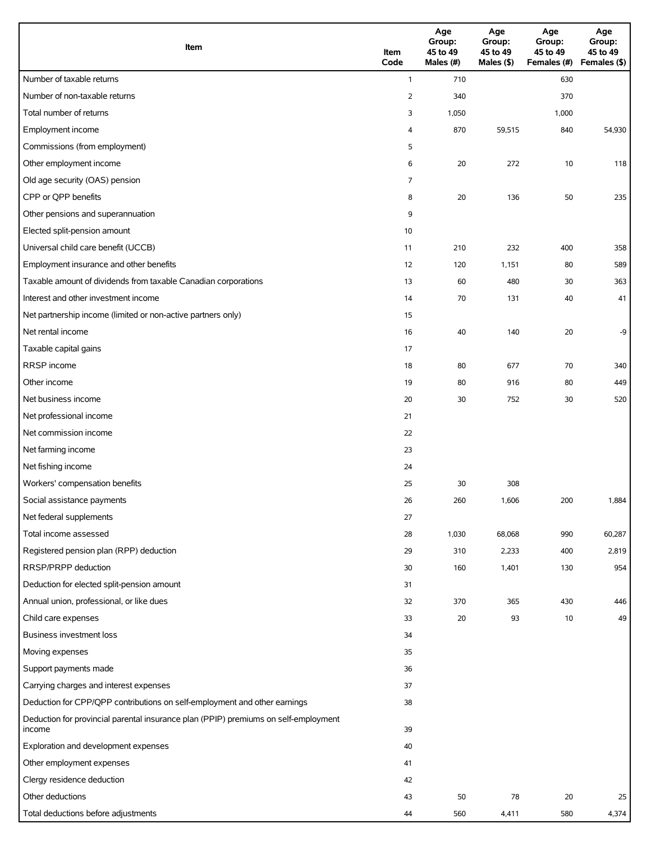| Item                                                                                          | Item<br>Code   | Age<br>Group:<br>45 to 49<br>Males (#) | Age<br>Group:<br>45 to 49<br>Males (\$) | Age<br>Group:<br>45 to 49<br>Females (#) | Age<br>Group:<br>45 to 49<br>Females (\$) |
|-----------------------------------------------------------------------------------------------|----------------|----------------------------------------|-----------------------------------------|------------------------------------------|-------------------------------------------|
| Number of taxable returns                                                                     | $\mathbf{1}$   | 710                                    |                                         | 630                                      |                                           |
| Number of non-taxable returns                                                                 | $\overline{2}$ | 340                                    |                                         | 370                                      |                                           |
| Total number of returns                                                                       | 3              | 1,050                                  |                                         | 1,000                                    |                                           |
| Employment income                                                                             | 4              | 870                                    | 59,515                                  | 840                                      | 54,930                                    |
| Commissions (from employment)                                                                 | 5              |                                        |                                         |                                          |                                           |
| Other employment income                                                                       | 6              | 20                                     | 272                                     | 10                                       | 118                                       |
| Old age security (OAS) pension                                                                | 7              |                                        |                                         |                                          |                                           |
| CPP or QPP benefits                                                                           | 8              | 20                                     | 136                                     | 50                                       | 235                                       |
| Other pensions and superannuation                                                             | 9              |                                        |                                         |                                          |                                           |
| Elected split-pension amount                                                                  | 10             |                                        |                                         |                                          |                                           |
| Universal child care benefit (UCCB)                                                           | 11             | 210                                    | 232                                     | 400                                      | 358                                       |
| Employment insurance and other benefits                                                       | 12             | 120                                    | 1,151                                   | 80                                       | 589                                       |
| Taxable amount of dividends from taxable Canadian corporations                                | 13             | 60                                     | 480                                     | 30                                       | 363                                       |
| Interest and other investment income                                                          | 14             | 70                                     | 131                                     | 40                                       | 41                                        |
| Net partnership income (limited or non-active partners only)                                  | 15             |                                        |                                         |                                          |                                           |
| Net rental income                                                                             | 16             | 40                                     | 140                                     | 20                                       | -9                                        |
| Taxable capital gains                                                                         | 17             |                                        |                                         |                                          |                                           |
| RRSP income                                                                                   | 18             | 80                                     | 677                                     | 70                                       | 340                                       |
| Other income                                                                                  | 19             | 80                                     | 916                                     | 80                                       | 449                                       |
| Net business income                                                                           | 20             | 30                                     | 752                                     | 30                                       | 520                                       |
| Net professional income                                                                       | 21             |                                        |                                         |                                          |                                           |
| Net commission income                                                                         | 22             |                                        |                                         |                                          |                                           |
| Net farming income                                                                            | 23             |                                        |                                         |                                          |                                           |
| Net fishing income                                                                            | 24             |                                        |                                         |                                          |                                           |
| Workers' compensation benefits                                                                | 25             | 30                                     | 308                                     |                                          |                                           |
| Social assistance payments                                                                    | 26             | 260                                    | 1,606                                   | 200                                      | 1,884                                     |
| Net federal supplements                                                                       | 27             |                                        |                                         |                                          |                                           |
| Total income assessed                                                                         | 28             | 1,030                                  | 68,068                                  | 990                                      | 60,287                                    |
| Registered pension plan (RPP) deduction                                                       | 29             | 310                                    | 2,233                                   | 400                                      | 2,819                                     |
| RRSP/PRPP deduction                                                                           | 30             | 160                                    | 1,401                                   | 130                                      | 954                                       |
| Deduction for elected split-pension amount                                                    | 31             |                                        |                                         |                                          |                                           |
| Annual union, professional, or like dues                                                      | 32             | 370                                    | 365                                     | 430                                      | 446                                       |
| Child care expenses                                                                           | 33             | 20                                     | 93                                      | 10                                       | 49                                        |
| Business investment loss                                                                      | 34             |                                        |                                         |                                          |                                           |
| Moving expenses                                                                               | 35             |                                        |                                         |                                          |                                           |
| Support payments made                                                                         | 36             |                                        |                                         |                                          |                                           |
| Carrying charges and interest expenses                                                        | 37             |                                        |                                         |                                          |                                           |
| Deduction for CPP/QPP contributions on self-employment and other earnings                     | 38             |                                        |                                         |                                          |                                           |
| Deduction for provincial parental insurance plan (PPIP) premiums on self-employment<br>income | 39             |                                        |                                         |                                          |                                           |
| Exploration and development expenses                                                          | 40             |                                        |                                         |                                          |                                           |
| Other employment expenses                                                                     | 41             |                                        |                                         |                                          |                                           |
| Clergy residence deduction                                                                    | 42             |                                        |                                         |                                          |                                           |
| Other deductions                                                                              | 43             | 50                                     | 78                                      | 20                                       | 25                                        |
| Total deductions before adjustments                                                           | 44             | 560                                    | 4,411                                   | 580                                      | 4,374                                     |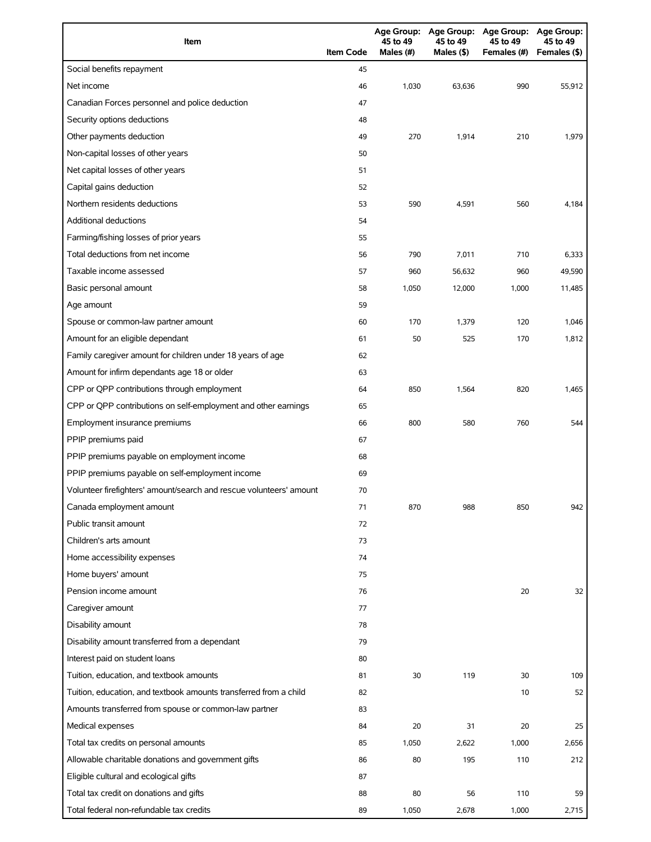| Item                                                                | <b>Item Code</b> | 45 to 49<br>Males $(H)$ | 45 to 49<br>Males (\$) | Age Group: Age Group: Age Group: Age Group:<br>45 to 49<br>Females (#) | 45 to 49<br>Females (\$) |
|---------------------------------------------------------------------|------------------|-------------------------|------------------------|------------------------------------------------------------------------|--------------------------|
| Social benefits repayment                                           | 45               |                         |                        |                                                                        |                          |
| Net income                                                          | 46               | 1,030                   | 63,636                 | 990                                                                    | 55,912                   |
| Canadian Forces personnel and police deduction                      | 47               |                         |                        |                                                                        |                          |
| Security options deductions                                         | 48               |                         |                        |                                                                        |                          |
| Other payments deduction                                            | 49               | 270                     | 1,914                  | 210                                                                    | 1,979                    |
| Non-capital losses of other years                                   | 50               |                         |                        |                                                                        |                          |
| Net capital losses of other years                                   | 51               |                         |                        |                                                                        |                          |
| Capital gains deduction                                             | 52               |                         |                        |                                                                        |                          |
| Northern residents deductions                                       | 53               | 590                     | 4,591                  | 560                                                                    | 4,184                    |
| Additional deductions                                               | 54               |                         |                        |                                                                        |                          |
| Farming/fishing losses of prior years                               | 55               |                         |                        |                                                                        |                          |
| Total deductions from net income                                    | 56               | 790                     | 7,011                  | 710                                                                    | 6,333                    |
| Taxable income assessed                                             | 57               | 960                     | 56,632                 | 960                                                                    | 49,590                   |
| Basic personal amount                                               | 58               | 1,050                   | 12,000                 | 1,000                                                                  | 11,485                   |
| Age amount                                                          | 59               |                         |                        |                                                                        |                          |
| Spouse or common-law partner amount                                 | 60               | 170                     | 1,379                  | 120                                                                    | 1,046                    |
| Amount for an eligible dependant                                    | 61               | 50                      | 525                    | 170                                                                    | 1,812                    |
| Family caregiver amount for children under 18 years of age          | 62               |                         |                        |                                                                        |                          |
| Amount for infirm dependants age 18 or older                        | 63               |                         |                        |                                                                        |                          |
| CPP or QPP contributions through employment                         | 64               | 850                     | 1,564                  | 820                                                                    | 1,465                    |
| CPP or QPP contributions on self-employment and other earnings      | 65               |                         |                        |                                                                        |                          |
| Employment insurance premiums                                       | 66               | 800                     | 580                    | 760                                                                    | 544                      |
| PPIP premiums paid                                                  | 67               |                         |                        |                                                                        |                          |
| PPIP premiums payable on employment income                          | 68               |                         |                        |                                                                        |                          |
| PPIP premiums payable on self-employment income                     | 69               |                         |                        |                                                                        |                          |
| Volunteer firefighters' amount/search and rescue volunteers' amount | 70               |                         |                        |                                                                        |                          |
| Canada employment amount                                            | 71               | 870                     | 988                    | 850                                                                    | 942                      |
| Public transit amount                                               | 72               |                         |                        |                                                                        |                          |
| Children's arts amount                                              | 73               |                         |                        |                                                                        |                          |
| Home accessibility expenses                                         | 74               |                         |                        |                                                                        |                          |
| Home buyers' amount                                                 | 75               |                         |                        |                                                                        |                          |
| Pension income amount                                               | 76               |                         |                        | 20                                                                     | 32                       |
| Caregiver amount                                                    | 77               |                         |                        |                                                                        |                          |
| Disability amount                                                   | 78               |                         |                        |                                                                        |                          |
| Disability amount transferred from a dependant                      | 79               |                         |                        |                                                                        |                          |
| Interest paid on student loans                                      | 80               |                         |                        |                                                                        |                          |
| Tuition, education, and textbook amounts                            | 81               | 30                      | 119                    | 30                                                                     | 109                      |
| Tuition, education, and textbook amounts transferred from a child   | 82               |                         |                        | 10                                                                     | 52                       |
| Amounts transferred from spouse or common-law partner               | 83               |                         |                        |                                                                        |                          |
| Medical expenses                                                    | 84               | 20                      | 31                     | 20                                                                     | 25                       |
| Total tax credits on personal amounts                               | 85               | 1,050                   | 2,622                  | 1,000                                                                  | 2,656                    |
| Allowable charitable donations and government gifts                 | 86               | 80                      | 195                    | 110                                                                    | 212                      |
| Eligible cultural and ecological gifts                              | 87               |                         |                        |                                                                        |                          |
| Total tax credit on donations and gifts                             | 88               | 80                      | 56                     | 110                                                                    | 59                       |
| Total federal non-refundable tax credits                            | 89               | 1,050                   | 2,678                  | 1,000                                                                  | 2,715                    |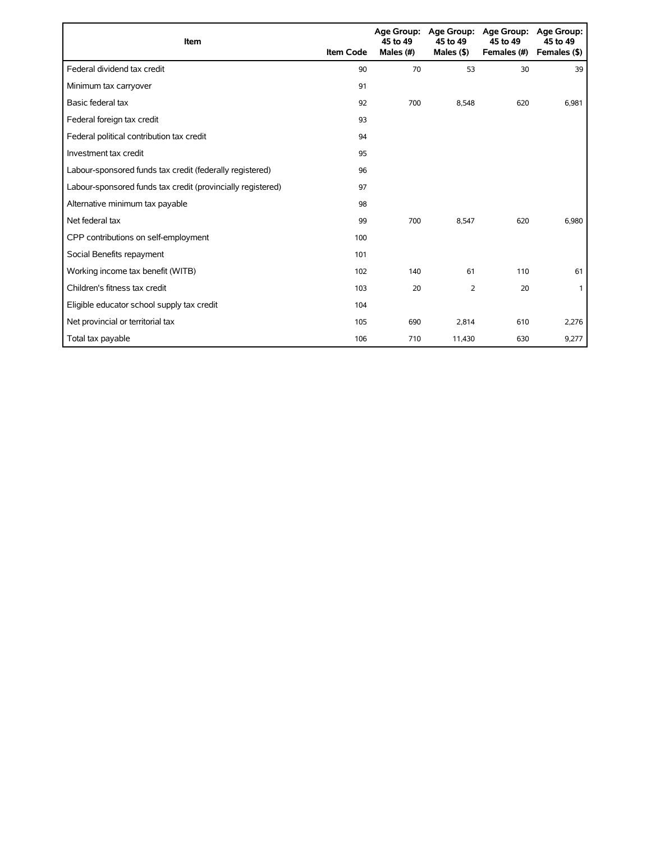| Item                                                        | <b>Item Code</b> | 45 to 49<br>Males (#) | Age Group: Age Group:<br>45 to 49<br>Males $($ \$ $)$ | <b>Age Group:</b><br>45 to 49<br>Females (#) | Age Group:<br>45 to 49<br>Females (\$) |
|-------------------------------------------------------------|------------------|-----------------------|-------------------------------------------------------|----------------------------------------------|----------------------------------------|
| Federal dividend tax credit                                 | 90               | 70                    | 53                                                    | 30                                           | 39                                     |
| Minimum tax carryover                                       | 91               |                       |                                                       |                                              |                                        |
| Basic federal tax                                           | 92               | 700                   | 8,548                                                 | 620                                          | 6,981                                  |
| Federal foreign tax credit                                  | 93               |                       |                                                       |                                              |                                        |
| Federal political contribution tax credit                   | 94               |                       |                                                       |                                              |                                        |
| Investment tax credit                                       | 95               |                       |                                                       |                                              |                                        |
| Labour-sponsored funds tax credit (federally registered)    | 96               |                       |                                                       |                                              |                                        |
| Labour-sponsored funds tax credit (provincially registered) | 97               |                       |                                                       |                                              |                                        |
| Alternative minimum tax payable                             | 98               |                       |                                                       |                                              |                                        |
| Net federal tax                                             | 99               | 700                   | 8,547                                                 | 620                                          | 6,980                                  |
| CPP contributions on self-employment                        | 100              |                       |                                                       |                                              |                                        |
| Social Benefits repayment                                   | 101              |                       |                                                       |                                              |                                        |
| Working income tax benefit (WITB)                           | 102              | 140                   | 61                                                    | 110                                          | 61                                     |
| Children's fitness tax credit                               | 103              | 20                    | 2                                                     | 20                                           |                                        |
| Eligible educator school supply tax credit                  | 104              |                       |                                                       |                                              |                                        |
| Net provincial or territorial tax                           | 105              | 690                   | 2,814                                                 | 610                                          | 2,276                                  |
| Total tax payable                                           | 106              | 710                   | 11,430                                                | 630                                          | 9,277                                  |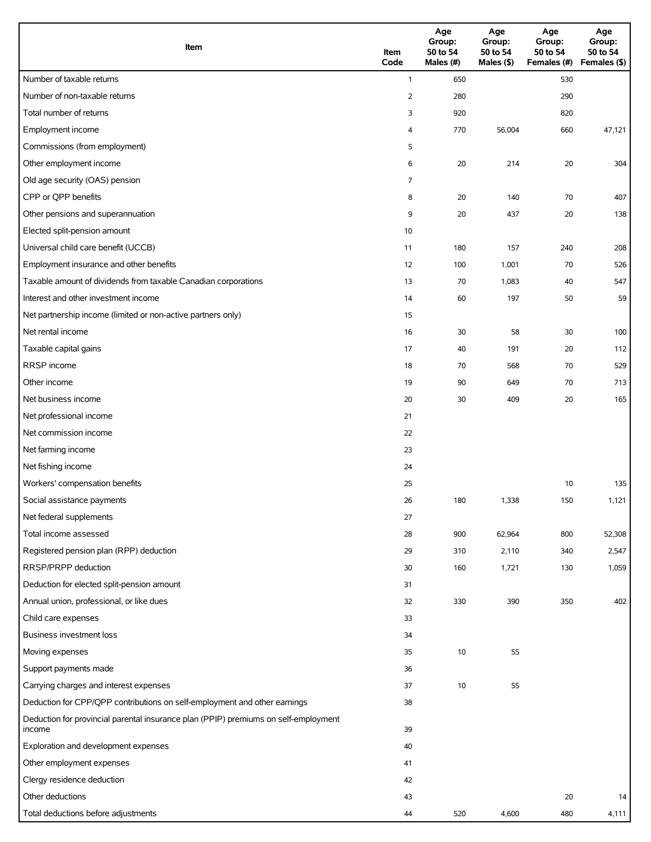| Item                                                                                          | Item<br>Code   | Age<br>Group:<br>50 to 54<br>Males (#) | Age<br>Group:<br>50 to 54<br>Males (\$) | Age<br>Group:<br>50 to 54<br>Females (#) Females (\$) | Age<br>Group:<br>50 to 54 |
|-----------------------------------------------------------------------------------------------|----------------|----------------------------------------|-----------------------------------------|-------------------------------------------------------|---------------------------|
| Number of taxable returns                                                                     | $\mathbf{1}$   | 650                                    |                                         | 530                                                   |                           |
| Number of non-taxable returns                                                                 | $\overline{2}$ | 280                                    |                                         | 290                                                   |                           |
| Total number of returns                                                                       | 3              | 920                                    |                                         | 820                                                   |                           |
| Employment income                                                                             | 4              | 770                                    | 56,004                                  | 660                                                   | 47,121                    |
| Commissions (from employment)                                                                 | 5              |                                        |                                         |                                                       |                           |
| Other employment income                                                                       | 6              | 20                                     | 214                                     | 20                                                    | 304                       |
| Old age security (OAS) pension                                                                | 7              |                                        |                                         |                                                       |                           |
| CPP or QPP benefits                                                                           | 8              | 20                                     | 140                                     | 70                                                    | 407                       |
| Other pensions and superannuation                                                             | 9              | 20                                     | 437                                     | 20                                                    | 138                       |
| Elected split-pension amount                                                                  | 10             |                                        |                                         |                                                       |                           |
| Universal child care benefit (UCCB)                                                           | 11             | 180                                    | 157                                     | 240                                                   | 208                       |
| Employment insurance and other benefits                                                       | 12             | 100                                    | 1,001                                   | 70                                                    | 526                       |
| Taxable amount of dividends from taxable Canadian corporations                                | 13             | 70                                     | 1,083                                   | 40                                                    | 547                       |
| Interest and other investment income                                                          | 14             | 60                                     | 197                                     | 50                                                    | 59                        |
| Net partnership income (limited or non-active partners only)                                  | 15             |                                        |                                         |                                                       |                           |
| Net rental income                                                                             | 16             | 30                                     | 58                                      | 30                                                    | 100                       |
| Taxable capital gains                                                                         | 17             | 40                                     | 191                                     | 20                                                    | 112                       |
| RRSP income                                                                                   | 18             | 70                                     | 568                                     | 70                                                    | 529                       |
| Other income                                                                                  | 19             | 90                                     | 649                                     | 70                                                    | 713                       |
| Net business income                                                                           | 20             | 30                                     | 409                                     | 20                                                    | 165                       |
| Net professional income                                                                       | 21             |                                        |                                         |                                                       |                           |
| Net commission income                                                                         | 22             |                                        |                                         |                                                       |                           |
| Net farming income                                                                            | 23             |                                        |                                         |                                                       |                           |
| Net fishing income                                                                            | 24             |                                        |                                         |                                                       |                           |
| Workers' compensation benefits                                                                | 25             |                                        |                                         | 10                                                    | 135                       |
| Social assistance payments                                                                    | 26             | 180                                    | 1,338                                   | 150                                                   | 1,121                     |
| Net federal supplements                                                                       | 27             |                                        |                                         |                                                       |                           |
| Total income assessed                                                                         | 28             | 900                                    | 62,964                                  | 800                                                   | 52,308                    |
| Registered pension plan (RPP) deduction                                                       | 29             | 310                                    | 2,110                                   | 340                                                   | 2,547                     |
| RRSP/PRPP deduction                                                                           | 30             | 160                                    | 1,721                                   | 130                                                   | 1,059                     |
| Deduction for elected split-pension amount                                                    | 31             |                                        |                                         |                                                       |                           |
| Annual union, professional, or like dues                                                      | 32             | 330                                    | 390                                     | 350                                                   | 402                       |
| Child care expenses                                                                           | 33             |                                        |                                         |                                                       |                           |
| Business investment loss                                                                      | 34             |                                        |                                         |                                                       |                           |
| Moving expenses                                                                               | 35             | 10                                     | 55                                      |                                                       |                           |
| Support payments made                                                                         | 36             |                                        |                                         |                                                       |                           |
| Carrying charges and interest expenses                                                        | 37             | 10                                     | 55                                      |                                                       |                           |
| Deduction for CPP/QPP contributions on self-employment and other earnings                     | 38             |                                        |                                         |                                                       |                           |
| Deduction for provincial parental insurance plan (PPIP) premiums on self-employment<br>income | 39             |                                        |                                         |                                                       |                           |
| Exploration and development expenses                                                          | 40             |                                        |                                         |                                                       |                           |
| Other employment expenses                                                                     | 41             |                                        |                                         |                                                       |                           |
| Clergy residence deduction                                                                    | 42             |                                        |                                         |                                                       |                           |
| Other deductions                                                                              | 43             |                                        |                                         | 20                                                    | 14                        |
| Total deductions before adjustments                                                           | 44             | 520                                    | 4,600                                   | 480                                                   | 4,111                     |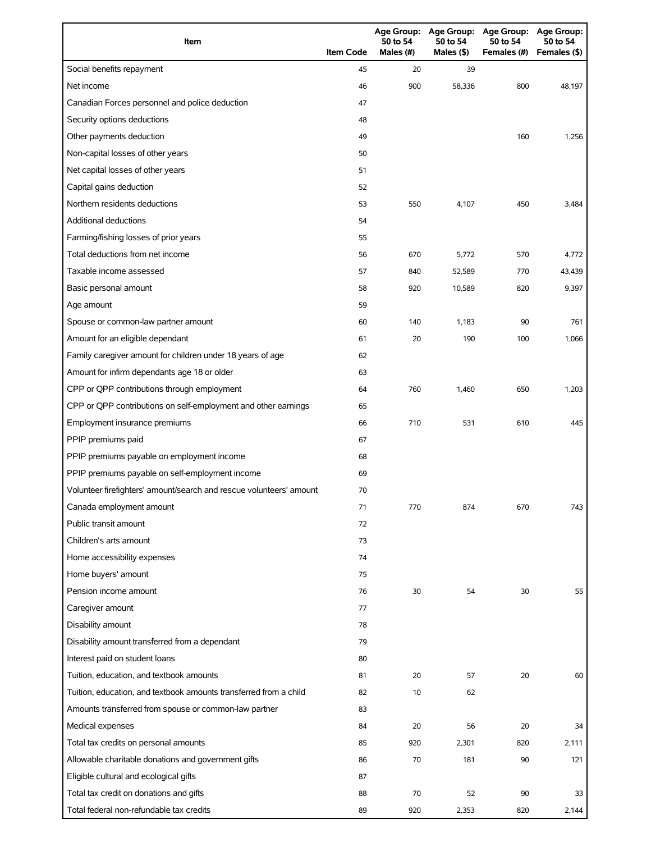| Item                                                                | <b>Item Code</b> | 50 to 54<br>Males (#) | 50 to 54<br>Males (\$) | Age Group: Age Group: Age Group: Age Group:<br>50 to 54<br>Females (#) | 50 to 54<br>Females (\$) |
|---------------------------------------------------------------------|------------------|-----------------------|------------------------|------------------------------------------------------------------------|--------------------------|
| Social benefits repayment                                           | 45               | 20                    | 39                     |                                                                        |                          |
| Net income                                                          | 46               | 900                   | 58.336                 | 800                                                                    | 48,197                   |
| Canadian Forces personnel and police deduction                      | 47               |                       |                        |                                                                        |                          |
| Security options deductions                                         | 48               |                       |                        |                                                                        |                          |
| Other payments deduction                                            | 49               |                       |                        | 160                                                                    | 1,256                    |
| Non-capital losses of other years                                   | 50               |                       |                        |                                                                        |                          |
| Net capital losses of other years                                   | 51               |                       |                        |                                                                        |                          |
| Capital gains deduction                                             | 52               |                       |                        |                                                                        |                          |
| Northern residents deductions                                       | 53               | 550                   | 4,107                  | 450                                                                    | 3,484                    |
| <b>Additional deductions</b>                                        | 54               |                       |                        |                                                                        |                          |
| Farming/fishing losses of prior years                               | 55               |                       |                        |                                                                        |                          |
| Total deductions from net income                                    | 56               | 670                   | 5,772                  | 570                                                                    | 4,772                    |
| Taxable income assessed                                             | 57               | 840                   | 52,589                 | 770                                                                    | 43,439                   |
| Basic personal amount                                               | 58               | 920                   | 10,589                 | 820                                                                    | 9,397                    |
| Age amount                                                          | 59               |                       |                        |                                                                        |                          |
| Spouse or common-law partner amount                                 | 60               | 140                   | 1,183                  | 90                                                                     | 761                      |
| Amount for an eligible dependant                                    | 61               | 20                    | 190                    | 100                                                                    | 1,066                    |
| Family caregiver amount for children under 18 years of age          | 62               |                       |                        |                                                                        |                          |
| Amount for infirm dependants age 18 or older                        | 63               |                       |                        |                                                                        |                          |
| CPP or QPP contributions through employment                         | 64               | 760                   | 1,460                  | 650                                                                    | 1,203                    |
| CPP or QPP contributions on self-employment and other earnings      | 65               |                       |                        |                                                                        |                          |
| Employment insurance premiums                                       | 66               | 710                   | 531                    | 610                                                                    | 445                      |
| PPIP premiums paid                                                  | 67               |                       |                        |                                                                        |                          |
| PPIP premiums payable on employment income                          | 68               |                       |                        |                                                                        |                          |
| PPIP premiums payable on self-employment income                     | 69               |                       |                        |                                                                        |                          |
| Volunteer firefighters' amount/search and rescue volunteers' amount | 70               |                       |                        |                                                                        |                          |
| Canada employment amount                                            | 71               | 770                   | 874                    | 670                                                                    | 743                      |
| Public transit amount                                               | 72               |                       |                        |                                                                        |                          |
| Children's arts amount                                              | 73               |                       |                        |                                                                        |                          |
| Home accessibility expenses                                         | 74               |                       |                        |                                                                        |                          |
| Home buyers' amount                                                 | 75               |                       |                        |                                                                        |                          |
| Pension income amount                                               | 76               | 30                    | 54                     | 30                                                                     | 55                       |
| Caregiver amount                                                    | 77               |                       |                        |                                                                        |                          |
| Disability amount                                                   | 78               |                       |                        |                                                                        |                          |
| Disability amount transferred from a dependant                      | 79               |                       |                        |                                                                        |                          |
| Interest paid on student loans                                      | 80               |                       |                        |                                                                        |                          |
| Tuition, education, and textbook amounts                            | 81               | 20                    | 57                     | 20                                                                     | 60                       |
| Tuition, education, and textbook amounts transferred from a child   | 82               | 10                    | 62                     |                                                                        |                          |
| Amounts transferred from spouse or common-law partner               | 83               |                       |                        |                                                                        |                          |
| Medical expenses                                                    | 84               | 20                    | 56                     | 20                                                                     | 34                       |
| Total tax credits on personal amounts                               | 85               | 920                   | 2,301                  | 820                                                                    | 2,111                    |
| Allowable charitable donations and government gifts                 | 86               | 70                    | 181                    | 90                                                                     | 121                      |
| Eligible cultural and ecological gifts                              | 87               |                       |                        |                                                                        |                          |
| Total tax credit on donations and gifts                             | 88               | 70                    | 52                     | 90                                                                     | 33                       |
| Total federal non-refundable tax credits                            | 89               | 920                   | 2,353                  | 820                                                                    | 2,144                    |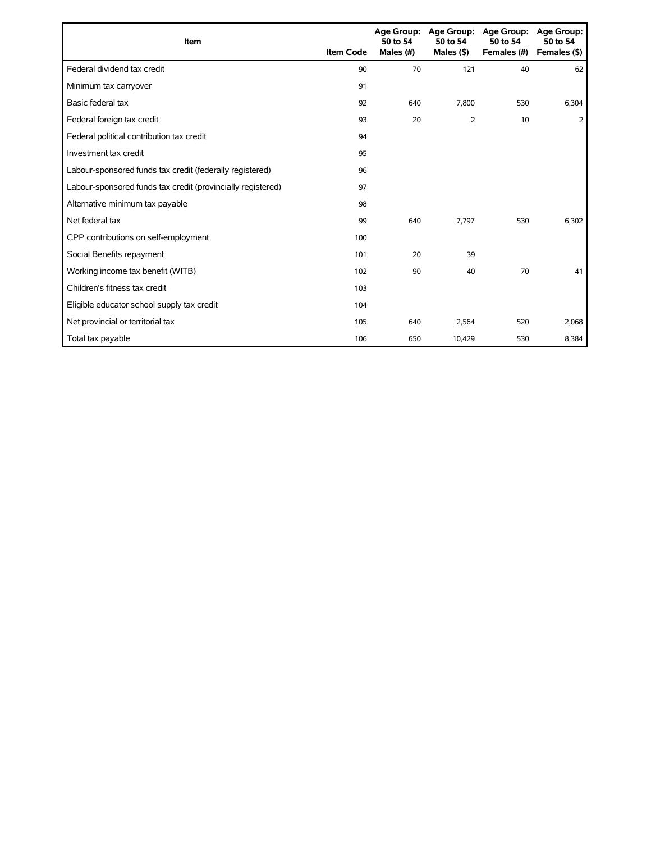| Item                                                        | <b>Item Code</b> | 50 to 54<br>Males (#) | Age Group: Age Group:<br>50 to 54<br>Males $($ \$ $)$ | <b>Age Group:</b><br>50 to 54<br>Females (#) | <b>Age Group:</b><br>50 to 54<br>Females (\$) |
|-------------------------------------------------------------|------------------|-----------------------|-------------------------------------------------------|----------------------------------------------|-----------------------------------------------|
| Federal dividend tax credit                                 | 90               | 70                    | 121                                                   | 40                                           | 62                                            |
| Minimum tax carryover                                       | 91               |                       |                                                       |                                              |                                               |
| Basic federal tax                                           | 92               | 640                   | 7,800                                                 | 530                                          | 6,304                                         |
| Federal foreign tax credit                                  | 93               | 20                    | 2                                                     | 10                                           | 2                                             |
| Federal political contribution tax credit                   | 94               |                       |                                                       |                                              |                                               |
| Investment tax credit                                       | 95               |                       |                                                       |                                              |                                               |
| Labour-sponsored funds tax credit (federally registered)    | 96               |                       |                                                       |                                              |                                               |
| Labour-sponsored funds tax credit (provincially registered) | 97               |                       |                                                       |                                              |                                               |
| Alternative minimum tax payable                             | 98               |                       |                                                       |                                              |                                               |
| Net federal tax                                             | 99               | 640                   | 7.797                                                 | 530                                          | 6,302                                         |
| CPP contributions on self-employment                        | 100              |                       |                                                       |                                              |                                               |
| Social Benefits repayment                                   | 101              | 20                    | 39                                                    |                                              |                                               |
| Working income tax benefit (WITB)                           | 102              | 90                    | 40                                                    | 70                                           | 41                                            |
| Children's fitness tax credit                               | 103              |                       |                                                       |                                              |                                               |
| Eligible educator school supply tax credit                  | 104              |                       |                                                       |                                              |                                               |
| Net provincial or territorial tax                           | 105              | 640                   | 2,564                                                 | 520                                          | 2,068                                         |
| Total tax payable                                           | 106              | 650                   | 10,429                                                | 530                                          | 8,384                                         |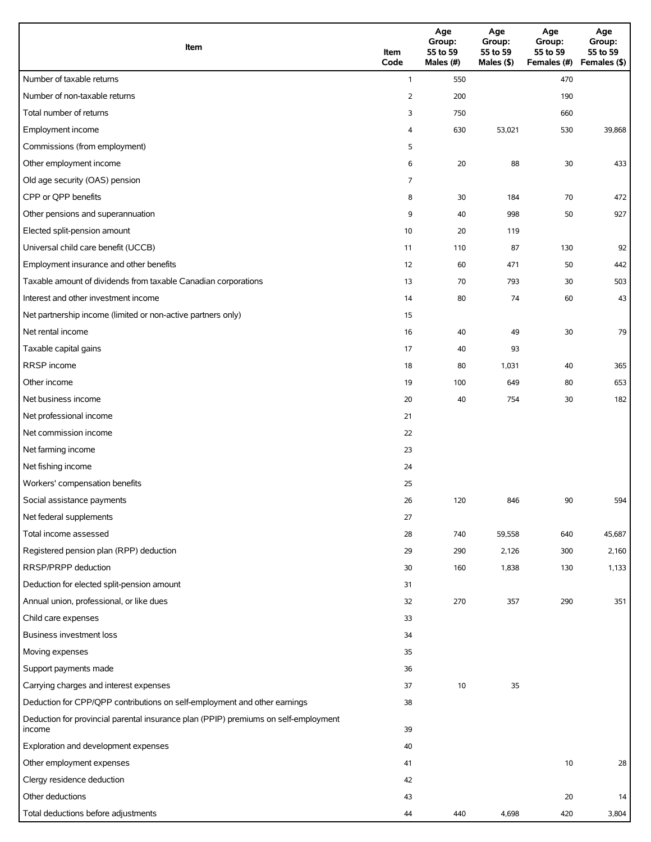| Item                                                                                          | Item<br>Code   | Age<br>Group:<br>55 to 59<br>Males (#) | Age<br>Group:<br>55 to 59<br>Males (\$) | Age<br>Group:<br>55 to 59<br>Females (#) Females (\$) | Age<br>Group:<br>55 to 59 |
|-----------------------------------------------------------------------------------------------|----------------|----------------------------------------|-----------------------------------------|-------------------------------------------------------|---------------------------|
| Number of taxable returns                                                                     | $\mathbf{1}$   | 550                                    |                                         | 470                                                   |                           |
| Number of non-taxable returns                                                                 | $\overline{2}$ | 200                                    |                                         | 190                                                   |                           |
| Total number of returns                                                                       | 3              | 750                                    |                                         | 660                                                   |                           |
| Employment income                                                                             | 4              | 630                                    | 53,021                                  | 530                                                   | 39,868                    |
| Commissions (from employment)                                                                 | 5              |                                        |                                         |                                                       |                           |
| Other employment income                                                                       | 6              | 20                                     | 88                                      | 30                                                    | 433                       |
| Old age security (OAS) pension                                                                | 7              |                                        |                                         |                                                       |                           |
| CPP or QPP benefits                                                                           | 8              | 30                                     | 184                                     | 70                                                    | 472                       |
| Other pensions and superannuation                                                             | 9              | 40                                     | 998                                     | 50                                                    | 927                       |
| Elected split-pension amount                                                                  | 10             | 20                                     | 119                                     |                                                       |                           |
| Universal child care benefit (UCCB)                                                           | 11             | 110                                    | 87                                      | 130                                                   | 92                        |
| Employment insurance and other benefits                                                       | 12             | 60                                     | 471                                     | 50                                                    | 442                       |
| Taxable amount of dividends from taxable Canadian corporations                                | 13             | 70                                     | 793                                     | 30                                                    | 503                       |
| Interest and other investment income                                                          | 14             | 80                                     | 74                                      | 60                                                    | 43                        |
| Net partnership income (limited or non-active partners only)                                  | 15             |                                        |                                         |                                                       |                           |
| Net rental income                                                                             | 16             | 40                                     | 49                                      | 30                                                    | 79                        |
| Taxable capital gains                                                                         | 17             | 40                                     | 93                                      |                                                       |                           |
| RRSP income                                                                                   | 18             | 80                                     | 1,031                                   | 40                                                    | 365                       |
| Other income                                                                                  | 19             | 100                                    | 649                                     | 80                                                    | 653                       |
| Net business income                                                                           | 20             | 40                                     | 754                                     | 30                                                    | 182                       |
| Net professional income                                                                       | 21             |                                        |                                         |                                                       |                           |
| Net commission income                                                                         | 22             |                                        |                                         |                                                       |                           |
| Net farming income                                                                            | 23             |                                        |                                         |                                                       |                           |
| Net fishing income                                                                            | 24             |                                        |                                         |                                                       |                           |
| Workers' compensation benefits                                                                | 25             |                                        |                                         |                                                       |                           |
| Social assistance payments                                                                    | 26             | 120                                    | 846                                     | 90                                                    | 594                       |
| Net federal supplements                                                                       | 27             |                                        |                                         |                                                       |                           |
| Total income assessed                                                                         | 28             | 740                                    | 59,558                                  | 640                                                   | 45,687                    |
| Registered pension plan (RPP) deduction                                                       | 29             | 290                                    | 2,126                                   | 300                                                   | 2,160                     |
| RRSP/PRPP deduction                                                                           | 30             | 160                                    | 1,838                                   | 130                                                   | 1,133                     |
| Deduction for elected split-pension amount                                                    | 31             |                                        |                                         |                                                       |                           |
| Annual union, professional, or like dues                                                      | 32             | 270                                    | 357                                     | 290                                                   | 351                       |
| Child care expenses                                                                           | 33             |                                        |                                         |                                                       |                           |
| Business investment loss                                                                      | 34             |                                        |                                         |                                                       |                           |
| Moving expenses                                                                               | 35             |                                        |                                         |                                                       |                           |
| Support payments made                                                                         | 36             |                                        |                                         |                                                       |                           |
| Carrying charges and interest expenses                                                        | 37             | 10                                     | 35                                      |                                                       |                           |
| Deduction for CPP/QPP contributions on self-employment and other earnings                     | 38             |                                        |                                         |                                                       |                           |
| Deduction for provincial parental insurance plan (PPIP) premiums on self-employment<br>income | 39             |                                        |                                         |                                                       |                           |
| Exploration and development expenses                                                          | 40             |                                        |                                         |                                                       |                           |
| Other employment expenses                                                                     | 41             |                                        |                                         | 10                                                    | 28                        |
| Clergy residence deduction                                                                    | 42             |                                        |                                         |                                                       |                           |
| Other deductions                                                                              | 43             |                                        |                                         | 20                                                    | 14                        |
| Total deductions before adjustments                                                           | 44             | 440                                    | 4,698                                   | 420                                                   | 3,804                     |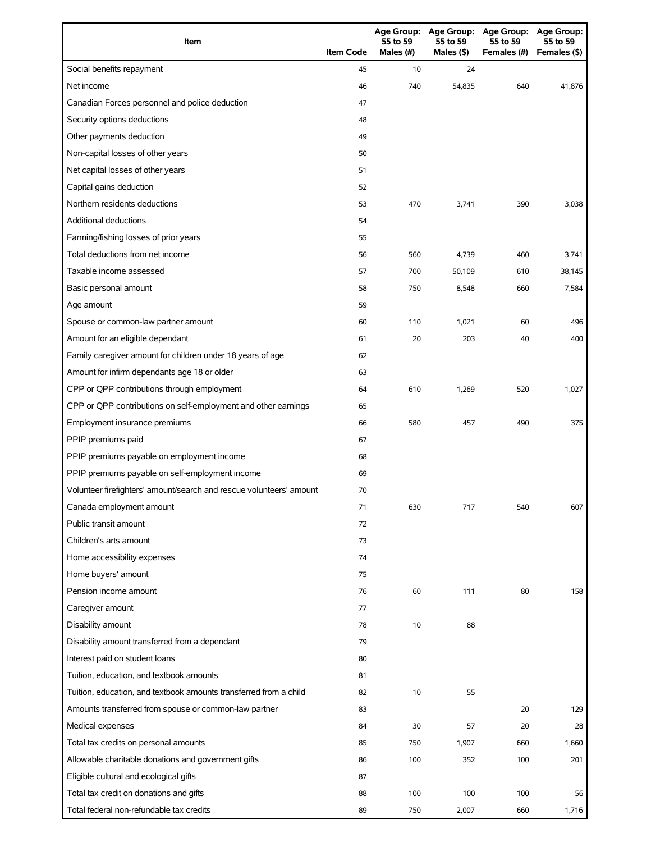| Item                                                                | <b>Item Code</b> | <b>Age Group:</b><br>55 to 59<br>Males (#) | <b>Age Group:</b><br>55 to 59<br>Males (\$) | <b>Age Group:</b><br>55 to 59<br>Females (#) | <b>Age Group:</b><br>55 to 59<br>Females (\$) |
|---------------------------------------------------------------------|------------------|--------------------------------------------|---------------------------------------------|----------------------------------------------|-----------------------------------------------|
| Social benefits repayment                                           | 45               | 10                                         | 24                                          |                                              |                                               |
| Net income                                                          | 46               | 740                                        | 54,835                                      | 640                                          | 41,876                                        |
| Canadian Forces personnel and police deduction                      | 47               |                                            |                                             |                                              |                                               |
| Security options deductions                                         | 48               |                                            |                                             |                                              |                                               |
| Other payments deduction                                            | 49               |                                            |                                             |                                              |                                               |
| Non-capital losses of other years                                   | 50               |                                            |                                             |                                              |                                               |
| Net capital losses of other years                                   | 51               |                                            |                                             |                                              |                                               |
| Capital gains deduction                                             | 52               |                                            |                                             |                                              |                                               |
| Northern residents deductions                                       | 53               | 470                                        | 3,741                                       | 390                                          | 3,038                                         |
| <b>Additional deductions</b>                                        | 54               |                                            |                                             |                                              |                                               |
| Farming/fishing losses of prior years                               | 55               |                                            |                                             |                                              |                                               |
| Total deductions from net income                                    | 56               | 560                                        | 4,739                                       | 460                                          | 3,741                                         |
| Taxable income assessed                                             | 57               | 700                                        | 50,109                                      | 610                                          | 38,145                                        |
| Basic personal amount                                               | 58               | 750                                        | 8,548                                       | 660                                          | 7,584                                         |
| Age amount                                                          | 59               |                                            |                                             |                                              |                                               |
| Spouse or common-law partner amount                                 | 60               | 110                                        | 1,021                                       | 60                                           | 496                                           |
| Amount for an eligible dependant                                    | 61               | 20                                         | 203                                         | 40                                           | 400                                           |
| Family caregiver amount for children under 18 years of age          | 62               |                                            |                                             |                                              |                                               |
| Amount for infirm dependants age 18 or older                        | 63               |                                            |                                             |                                              |                                               |
| CPP or QPP contributions through employment                         | 64               | 610                                        | 1,269                                       | 520                                          | 1,027                                         |
| CPP or QPP contributions on self-employment and other earnings      | 65               |                                            |                                             |                                              |                                               |
| Employment insurance premiums                                       | 66               | 580                                        | 457                                         | 490                                          | 375                                           |
| PPIP premiums paid                                                  | 67               |                                            |                                             |                                              |                                               |
| PPIP premiums payable on employment income                          | 68               |                                            |                                             |                                              |                                               |
| PPIP premiums payable on self-employment income                     | 69               |                                            |                                             |                                              |                                               |
| Volunteer firefighters' amount/search and rescue volunteers' amount | 70               |                                            |                                             |                                              |                                               |
| Canada employment amount                                            | 71               | 630                                        | 717                                         | 540                                          | 607                                           |
| Public transit amount                                               | 72               |                                            |                                             |                                              |                                               |
| Children's arts amount                                              | 73               |                                            |                                             |                                              |                                               |
| Home accessibility expenses                                         | 74               |                                            |                                             |                                              |                                               |
| Home buyers' amount                                                 | 75               |                                            |                                             |                                              |                                               |
| Pension income amount                                               | 76               | 60                                         | 111                                         | 80                                           | 158                                           |
| Caregiver amount                                                    | 77               |                                            |                                             |                                              |                                               |
| Disability amount                                                   | 78               | 10                                         | 88                                          |                                              |                                               |
| Disability amount transferred from a dependant                      | 79               |                                            |                                             |                                              |                                               |
| Interest paid on student loans                                      | 80               |                                            |                                             |                                              |                                               |
| Tuition, education, and textbook amounts                            | 81               |                                            |                                             |                                              |                                               |
| Tuition, education, and textbook amounts transferred from a child   | 82               | 10                                         | 55                                          |                                              |                                               |
| Amounts transferred from spouse or common-law partner               | 83               |                                            |                                             | 20                                           | 129                                           |
| Medical expenses                                                    | 84               | 30                                         | 57                                          | 20                                           | 28                                            |
| Total tax credits on personal amounts                               | 85               | 750                                        | 1,907                                       | 660                                          | 1,660                                         |
| Allowable charitable donations and government gifts                 | 86               | 100                                        | 352                                         | 100                                          | 201                                           |
| Eligible cultural and ecological gifts                              | 87               |                                            |                                             |                                              |                                               |
| Total tax credit on donations and gifts                             | 88               | 100                                        | 100                                         | 100                                          | 56                                            |
| Total federal non-refundable tax credits                            | 89               | 750                                        | 2,007                                       | 660                                          | 1,716                                         |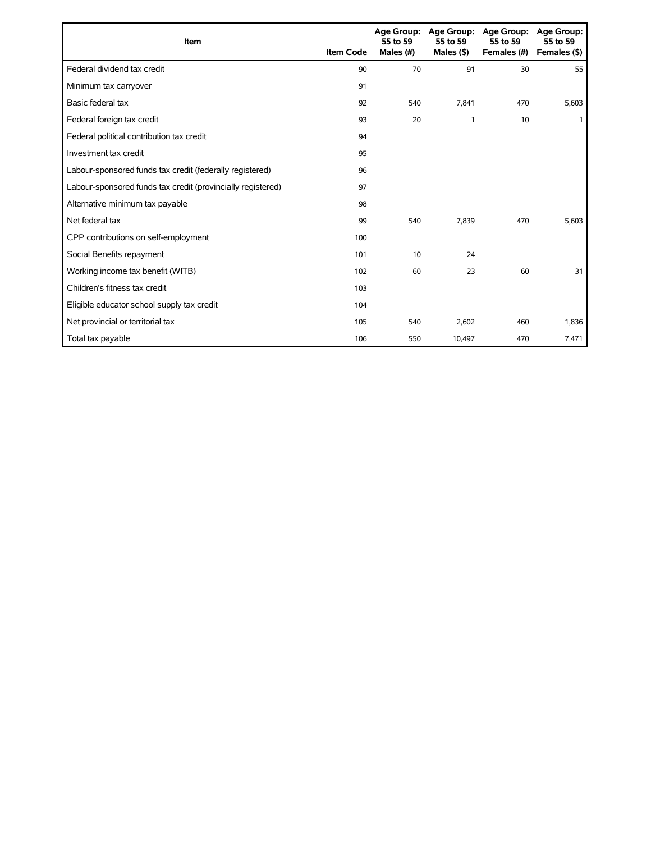| Item                                                        | <b>Item Code</b> | 55 to 59<br>Males (#) | Age Group: Age Group:<br>55 to 59<br>Males $($ \$ $)$ | <b>Age Group:</b><br>55 to 59<br>Females (#) | Age Group:<br>55 to 59<br>Females (\$) |
|-------------------------------------------------------------|------------------|-----------------------|-------------------------------------------------------|----------------------------------------------|----------------------------------------|
| Federal dividend tax credit                                 | 90               | 70                    | 91                                                    | 30                                           | 55                                     |
| Minimum tax carryover                                       | 91               |                       |                                                       |                                              |                                        |
| Basic federal tax                                           | 92               | 540                   | 7.841                                                 | 470                                          | 5,603                                  |
| Federal foreign tax credit                                  | 93               | 20                    | 1                                                     | 10                                           |                                        |
| Federal political contribution tax credit                   | 94               |                       |                                                       |                                              |                                        |
| Investment tax credit                                       | 95               |                       |                                                       |                                              |                                        |
| Labour-sponsored funds tax credit (federally registered)    | 96               |                       |                                                       |                                              |                                        |
| Labour-sponsored funds tax credit (provincially registered) | 97               |                       |                                                       |                                              |                                        |
| Alternative minimum tax payable                             | 98               |                       |                                                       |                                              |                                        |
| Net federal tax                                             | 99               | 540                   | 7,839                                                 | 470                                          | 5,603                                  |
| CPP contributions on self-employment                        | 100              |                       |                                                       |                                              |                                        |
| Social Benefits repayment                                   | 101              | 10                    | 24                                                    |                                              |                                        |
| Working income tax benefit (WITB)                           | 102              | 60                    | 23                                                    | 60                                           | 31                                     |
| Children's fitness tax credit                               | 103              |                       |                                                       |                                              |                                        |
| Eligible educator school supply tax credit                  | 104              |                       |                                                       |                                              |                                        |
| Net provincial or territorial tax                           | 105              | 540                   | 2,602                                                 | 460                                          | 1,836                                  |
| Total tax payable                                           | 106              | 550                   | 10,497                                                | 470                                          | 7,471                                  |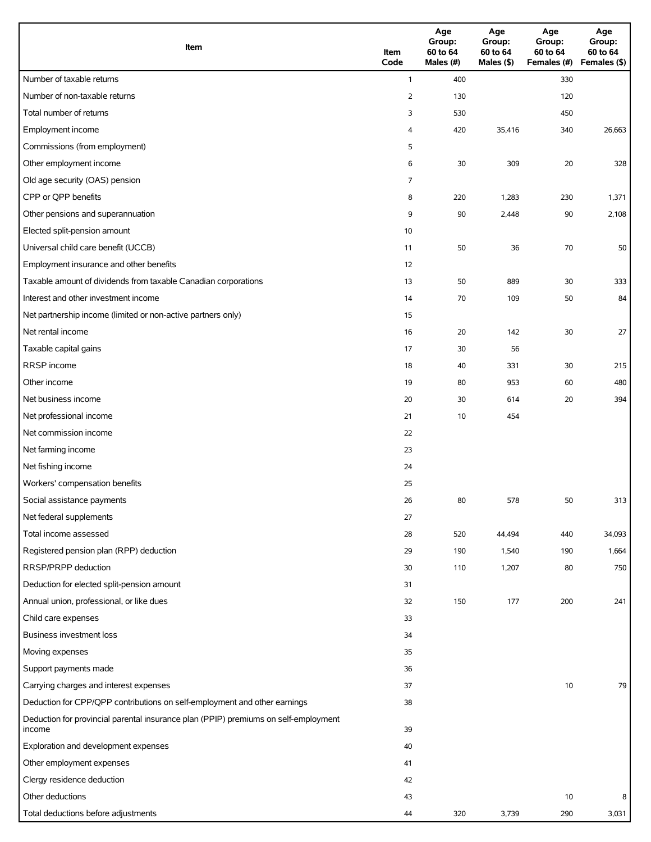| Item                                                                                          | Item<br>Code   | Age<br>Group:<br>60 to 64<br>Males (#) | Age<br>Group:<br>60 to 64<br>Males (\$) | Age<br>Group:<br>60 to 64<br>Females (#) | Age<br>Group:<br>60 to 64<br>Females (\$) |
|-----------------------------------------------------------------------------------------------|----------------|----------------------------------------|-----------------------------------------|------------------------------------------|-------------------------------------------|
| Number of taxable returns                                                                     | $\mathbf{1}$   | 400                                    |                                         | 330                                      |                                           |
| Number of non-taxable returns                                                                 | $\overline{2}$ | 130                                    |                                         | 120                                      |                                           |
| Total number of returns                                                                       | 3              | 530                                    |                                         | 450                                      |                                           |
| Employment income                                                                             | 4              | 420                                    | 35,416                                  | 340                                      | 26,663                                    |
| Commissions (from employment)                                                                 | 5              |                                        |                                         |                                          |                                           |
| Other employment income                                                                       | 6              | 30                                     | 309                                     | 20                                       | 328                                       |
| Old age security (OAS) pension                                                                | 7              |                                        |                                         |                                          |                                           |
| CPP or QPP benefits                                                                           | 8              | 220                                    | 1,283                                   | 230                                      | 1,371                                     |
| Other pensions and superannuation                                                             | 9              | 90                                     | 2,448                                   | 90                                       | 2,108                                     |
| Elected split-pension amount                                                                  | 10             |                                        |                                         |                                          |                                           |
| Universal child care benefit (UCCB)                                                           | 11             | 50                                     | 36                                      | 70                                       | 50                                        |
| Employment insurance and other benefits                                                       | 12             |                                        |                                         |                                          |                                           |
| Taxable amount of dividends from taxable Canadian corporations                                | 13             | 50                                     | 889                                     | 30                                       | 333                                       |
| Interest and other investment income                                                          | 14             | 70                                     | 109                                     | 50                                       | 84                                        |
| Net partnership income (limited or non-active partners only)                                  | 15             |                                        |                                         |                                          |                                           |
| Net rental income                                                                             | 16             | 20                                     | 142                                     | 30                                       | 27                                        |
| Taxable capital gains                                                                         | 17             | 30                                     | 56                                      |                                          |                                           |
| RRSP income                                                                                   | 18             | 40                                     | 331                                     | 30                                       | 215                                       |
| Other income                                                                                  | 19             | 80                                     | 953                                     | 60                                       | 480                                       |
| Net business income                                                                           | 20             | 30                                     | 614                                     | 20                                       | 394                                       |
| Net professional income                                                                       | 21             | 10                                     | 454                                     |                                          |                                           |
| Net commission income                                                                         | 22             |                                        |                                         |                                          |                                           |
| Net farming income                                                                            | 23             |                                        |                                         |                                          |                                           |
| Net fishing income                                                                            | 24             |                                        |                                         |                                          |                                           |
| Workers' compensation benefits                                                                | 25             |                                        |                                         |                                          |                                           |
| Social assistance payments                                                                    | 26             | 80                                     | 578                                     | 50                                       | 313                                       |
| Net federal supplements                                                                       | 27             |                                        |                                         |                                          |                                           |
| Total income assessed                                                                         | 28             | 520                                    | 44,494                                  | 440                                      | 34,093                                    |
| Registered pension plan (RPP) deduction                                                       | 29             | 190                                    | 1,540                                   | 190                                      | 1,664                                     |
| RRSP/PRPP deduction                                                                           | 30             | 110                                    | 1,207                                   | 80                                       | 750                                       |
| Deduction for elected split-pension amount                                                    | 31             |                                        |                                         |                                          |                                           |
| Annual union, professional, or like dues                                                      | 32             | 150                                    | 177                                     | 200                                      | 241                                       |
| Child care expenses                                                                           | 33             |                                        |                                         |                                          |                                           |
| Business investment loss                                                                      | 34             |                                        |                                         |                                          |                                           |
| Moving expenses                                                                               | 35             |                                        |                                         |                                          |                                           |
| Support payments made                                                                         | 36             |                                        |                                         |                                          |                                           |
| Carrying charges and interest expenses                                                        | 37             |                                        |                                         | 10                                       | 79                                        |
| Deduction for CPP/QPP contributions on self-employment and other earnings                     | 38             |                                        |                                         |                                          |                                           |
| Deduction for provincial parental insurance plan (PPIP) premiums on self-employment<br>income | 39             |                                        |                                         |                                          |                                           |
| Exploration and development expenses                                                          | 40             |                                        |                                         |                                          |                                           |
| Other employment expenses                                                                     | 41             |                                        |                                         |                                          |                                           |
| Clergy residence deduction                                                                    | 42             |                                        |                                         |                                          |                                           |
| Other deductions                                                                              | 43             |                                        |                                         | 10                                       | 8                                         |
| Total deductions before adjustments                                                           | 44             | 320                                    | 3,739                                   | 290                                      | 3,031                                     |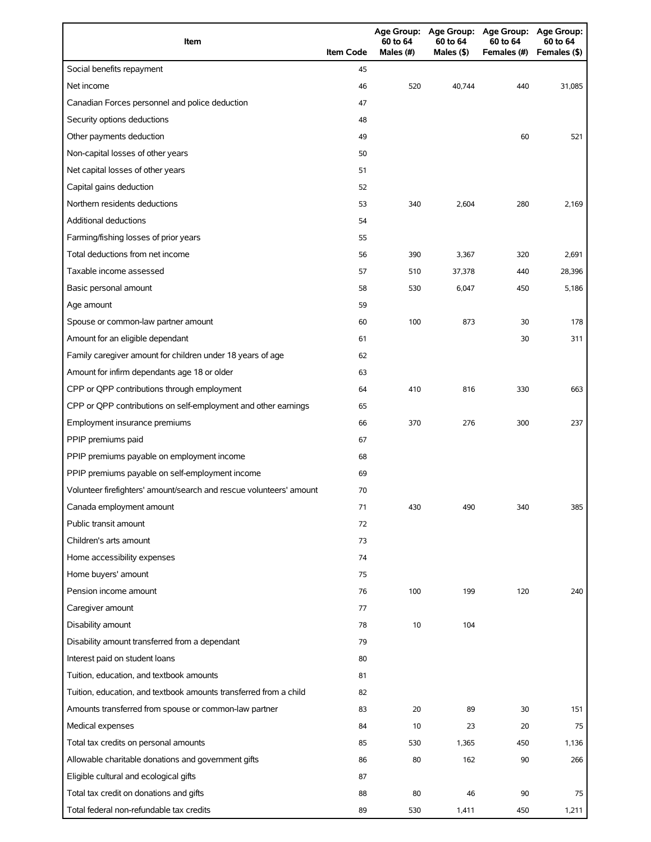| Item                                                                | <b>Item Code</b> | 60 to 64<br>Males (#) | 60 to 64<br>Males (\$) | Age Group: Age Group: Age Group: Age Group:<br>60 to 64<br>Females (#) | 60 to 64<br>Females (\$) |
|---------------------------------------------------------------------|------------------|-----------------------|------------------------|------------------------------------------------------------------------|--------------------------|
| Social benefits repayment                                           | 45               |                       |                        |                                                                        |                          |
| Net income                                                          | 46               | 520                   | 40,744                 | 440                                                                    | 31,085                   |
| Canadian Forces personnel and police deduction                      | 47               |                       |                        |                                                                        |                          |
| Security options deductions                                         | 48               |                       |                        |                                                                        |                          |
| Other payments deduction                                            | 49               |                       |                        | 60                                                                     | 521                      |
| Non-capital losses of other years                                   | 50               |                       |                        |                                                                        |                          |
| Net capital losses of other years                                   | 51               |                       |                        |                                                                        |                          |
| Capital gains deduction                                             | 52               |                       |                        |                                                                        |                          |
| Northern residents deductions                                       | 53               | 340                   | 2,604                  | 280                                                                    | 2,169                    |
| <b>Additional deductions</b>                                        | 54               |                       |                        |                                                                        |                          |
| Farming/fishing losses of prior years                               | 55               |                       |                        |                                                                        |                          |
| Total deductions from net income                                    | 56               | 390                   | 3,367                  | 320                                                                    | 2,691                    |
| Taxable income assessed                                             | 57               | 510                   | 37,378                 | 440                                                                    | 28,396                   |
| Basic personal amount                                               | 58               | 530                   | 6,047                  | 450                                                                    | 5.186                    |
| Age amount                                                          | 59               |                       |                        |                                                                        |                          |
| Spouse or common-law partner amount                                 | 60               | 100                   | 873                    | 30                                                                     | 178                      |
| Amount for an eligible dependant                                    | 61               |                       |                        | 30                                                                     | 311                      |
| Family caregiver amount for children under 18 years of age          | 62               |                       |                        |                                                                        |                          |
| Amount for infirm dependants age 18 or older                        | 63               |                       |                        |                                                                        |                          |
| CPP or QPP contributions through employment                         | 64               | 410                   | 816                    | 330                                                                    | 663                      |
| CPP or QPP contributions on self-employment and other earnings      | 65               |                       |                        |                                                                        |                          |
| Employment insurance premiums                                       | 66               | 370                   | 276                    | 300                                                                    | 237                      |
| PPIP premiums paid                                                  | 67               |                       |                        |                                                                        |                          |
| PPIP premiums payable on employment income                          | 68               |                       |                        |                                                                        |                          |
| PPIP premiums payable on self-employment income                     | 69               |                       |                        |                                                                        |                          |
| Volunteer firefighters' amount/search and rescue volunteers' amount | 70               |                       |                        |                                                                        |                          |
| Canada employment amount                                            | 71               | 430                   | 490                    | 340                                                                    | 385                      |
| Public transit amount                                               | 72               |                       |                        |                                                                        |                          |
| Children's arts amount                                              | 73               |                       |                        |                                                                        |                          |
| Home accessibility expenses                                         | 74               |                       |                        |                                                                        |                          |
| Home buyers' amount                                                 | 75               |                       |                        |                                                                        |                          |
| Pension income amount                                               | 76               | 100                   | 199                    | 120                                                                    | 240                      |
| Caregiver amount                                                    | 77               |                       |                        |                                                                        |                          |
| Disability amount                                                   | 78               | 10                    | 104                    |                                                                        |                          |
| Disability amount transferred from a dependant                      | 79               |                       |                        |                                                                        |                          |
| Interest paid on student loans                                      | 80               |                       |                        |                                                                        |                          |
| Tuition, education, and textbook amounts                            | 81               |                       |                        |                                                                        |                          |
| Tuition, education, and textbook amounts transferred from a child   | 82               |                       |                        |                                                                        |                          |
| Amounts transferred from spouse or common-law partner               | 83               | 20                    | 89                     | 30                                                                     | 151                      |
| Medical expenses                                                    | 84               | 10                    | 23                     | 20                                                                     | 75                       |
| Total tax credits on personal amounts                               | 85               | 530                   | 1,365                  | 450                                                                    | 1,136                    |
| Allowable charitable donations and government gifts                 | 86               | 80                    | 162                    | 90                                                                     | 266                      |
| Eligible cultural and ecological gifts                              | 87               |                       |                        |                                                                        |                          |
| Total tax credit on donations and gifts                             | 88               | 80                    | 46                     | 90                                                                     | 75                       |
| Total federal non-refundable tax credits                            | 89               | 530                   | 1,411                  | 450                                                                    | 1,211                    |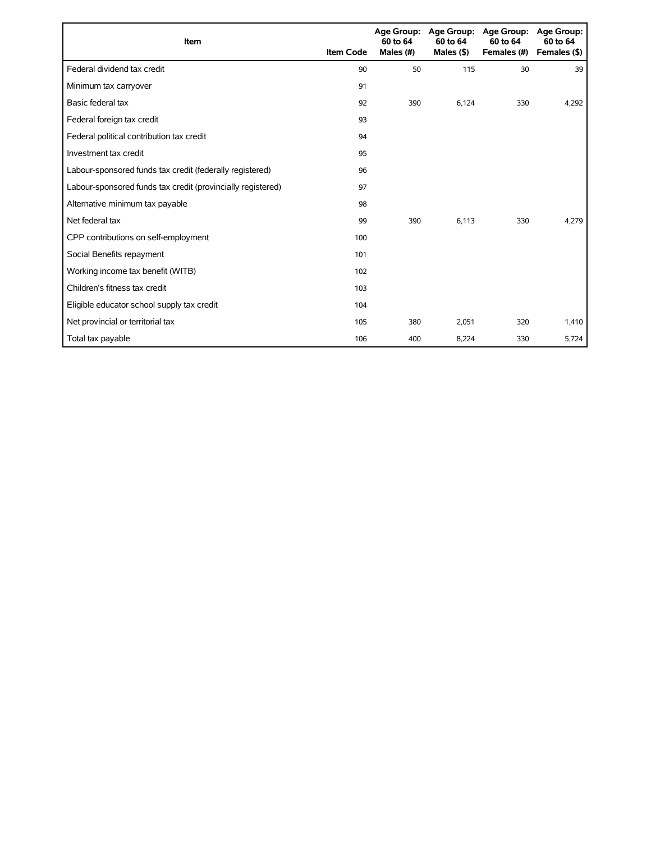| Item                                                        | <b>Item Code</b> | 60 to 64<br>Males (#) | Age Group: Age Group:<br>60 to 64<br>Males $($ \$ $)$ | <b>Age Group:</b><br>60 to 64<br>Females (#) | <b>Age Group:</b><br>60 to 64<br>Females (\$) |
|-------------------------------------------------------------|------------------|-----------------------|-------------------------------------------------------|----------------------------------------------|-----------------------------------------------|
| Federal dividend tax credit                                 | 90               | 50                    | 115                                                   | 30                                           | 39                                            |
| Minimum tax carryover                                       | 91               |                       |                                                       |                                              |                                               |
| Basic federal tax                                           | 92               | 390                   | 6.124                                                 | 330                                          | 4,292                                         |
| Federal foreign tax credit                                  | 93               |                       |                                                       |                                              |                                               |
| Federal political contribution tax credit                   | 94               |                       |                                                       |                                              |                                               |
| Investment tax credit                                       | 95               |                       |                                                       |                                              |                                               |
| Labour-sponsored funds tax credit (federally registered)    | 96               |                       |                                                       |                                              |                                               |
| Labour-sponsored funds tax credit (provincially registered) | 97               |                       |                                                       |                                              |                                               |
| Alternative minimum tax payable                             | 98               |                       |                                                       |                                              |                                               |
| Net federal tax                                             | 99               | 390                   | 6,113                                                 | 330                                          | 4,279                                         |
| CPP contributions on self-employment                        | 100              |                       |                                                       |                                              |                                               |
| Social Benefits repayment                                   | 101              |                       |                                                       |                                              |                                               |
| Working income tax benefit (WITB)                           | 102              |                       |                                                       |                                              |                                               |
| Children's fitness tax credit                               | 103              |                       |                                                       |                                              |                                               |
| Eligible educator school supply tax credit                  | 104              |                       |                                                       |                                              |                                               |
| Net provincial or territorial tax                           | 105              | 380                   | 2,051                                                 | 320                                          | 1,410                                         |
| Total tax payable                                           | 106              | 400                   | 8,224                                                 | 330                                          | 5,724                                         |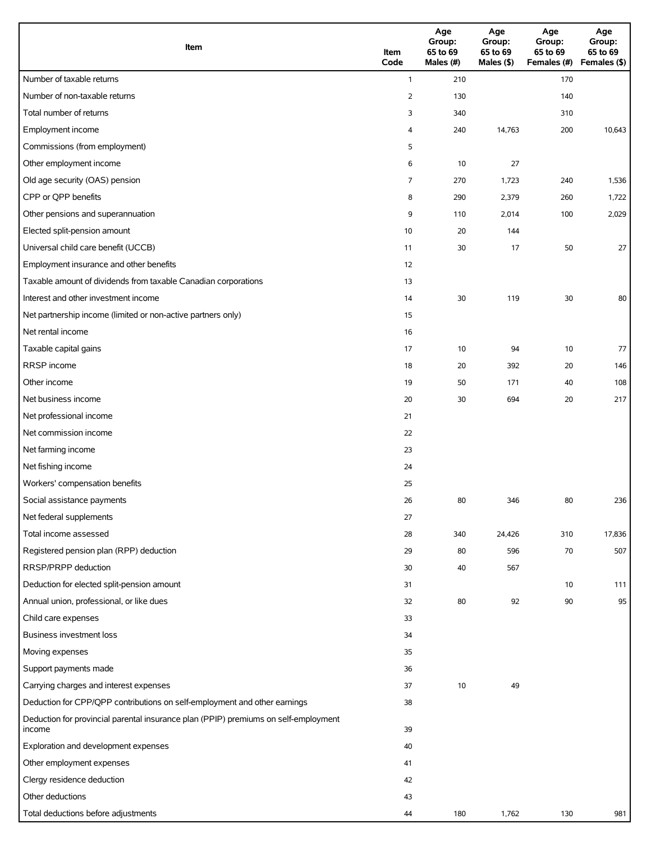| Item                                                                                          | Item<br>Code   | Age<br>Group:<br>65 to 69<br>Males (#) | Age<br>Group:<br>65 to 69<br>Males (\$) | Age<br>Group:<br>65 to 69<br>Females (#) | Age<br>Group:<br>65 to 69<br>Females (\$) |
|-----------------------------------------------------------------------------------------------|----------------|----------------------------------------|-----------------------------------------|------------------------------------------|-------------------------------------------|
| Number of taxable returns                                                                     | $\mathbf{1}$   | 210                                    |                                         | 170                                      |                                           |
| Number of non-taxable returns                                                                 | $\overline{2}$ | 130                                    |                                         | 140                                      |                                           |
| Total number of returns                                                                       | 3              | 340                                    |                                         | 310                                      |                                           |
| Employment income                                                                             | 4              | 240                                    | 14,763                                  | 200                                      | 10,643                                    |
| Commissions (from employment)                                                                 | 5              |                                        |                                         |                                          |                                           |
| Other employment income                                                                       | 6              | 10                                     | 27                                      |                                          |                                           |
| Old age security (OAS) pension                                                                | 7              | 270                                    | 1,723                                   | 240                                      | 1,536                                     |
| CPP or QPP benefits                                                                           | 8              | 290                                    | 2,379                                   | 260                                      | 1,722                                     |
| Other pensions and superannuation                                                             | 9              | 110                                    | 2,014                                   | 100                                      | 2,029                                     |
| Elected split-pension amount                                                                  | 10             | 20                                     | 144                                     |                                          |                                           |
| Universal child care benefit (UCCB)                                                           | 11             | 30                                     | 17                                      | 50                                       | 27                                        |
| Employment insurance and other benefits                                                       | 12             |                                        |                                         |                                          |                                           |
| Taxable amount of dividends from taxable Canadian corporations                                | 13             |                                        |                                         |                                          |                                           |
| Interest and other investment income                                                          | 14             | 30                                     | 119                                     | 30                                       | 80                                        |
| Net partnership income (limited or non-active partners only)                                  | 15             |                                        |                                         |                                          |                                           |
| Net rental income                                                                             | 16             |                                        |                                         |                                          |                                           |
| Taxable capital gains                                                                         | 17             | 10                                     | 94                                      | 10                                       | 77                                        |
| RRSP income                                                                                   | 18             | 20                                     | 392                                     | 20                                       | 146                                       |
| Other income                                                                                  | 19             | 50                                     | 171                                     | 40                                       | 108                                       |
| Net business income                                                                           | 20             | 30                                     | 694                                     | 20                                       | 217                                       |
| Net professional income                                                                       | 21             |                                        |                                         |                                          |                                           |
| Net commission income                                                                         | 22             |                                        |                                         |                                          |                                           |
| Net farming income                                                                            | 23             |                                        |                                         |                                          |                                           |
| Net fishing income                                                                            | 24             |                                        |                                         |                                          |                                           |
| Workers' compensation benefits                                                                | 25             |                                        |                                         |                                          |                                           |
| Social assistance payments                                                                    | 26             | 80                                     | 346                                     | $80\,$                                   | 236                                       |
| Net federal supplements                                                                       | 27             |                                        |                                         |                                          |                                           |
| Total income assessed                                                                         | 28             | 340                                    | 24,426                                  | 310                                      | 17,836                                    |
| Registered pension plan (RPP) deduction                                                       | 29             | 80                                     | 596                                     | 70                                       | 507                                       |
| RRSP/PRPP deduction                                                                           | 30             | 40                                     | 567                                     |                                          |                                           |
| Deduction for elected split-pension amount                                                    | 31             |                                        |                                         | 10                                       | 111                                       |
| Annual union, professional, or like dues                                                      | 32             | 80                                     | 92                                      | 90                                       | 95                                        |
| Child care expenses                                                                           | 33             |                                        |                                         |                                          |                                           |
| Business investment loss                                                                      | 34             |                                        |                                         |                                          |                                           |
| Moving expenses                                                                               | 35             |                                        |                                         |                                          |                                           |
| Support payments made                                                                         | 36             |                                        |                                         |                                          |                                           |
| Carrying charges and interest expenses                                                        | 37             | 10                                     | 49                                      |                                          |                                           |
| Deduction for CPP/QPP contributions on self-employment and other earnings                     | 38             |                                        |                                         |                                          |                                           |
| Deduction for provincial parental insurance plan (PPIP) premiums on self-employment<br>income | 39             |                                        |                                         |                                          |                                           |
| Exploration and development expenses                                                          | 40             |                                        |                                         |                                          |                                           |
| Other employment expenses                                                                     | 41             |                                        |                                         |                                          |                                           |
| Clergy residence deduction                                                                    | 42             |                                        |                                         |                                          |                                           |
| Other deductions                                                                              | 43             |                                        |                                         |                                          |                                           |
| Total deductions before adjustments                                                           | 44             | 180                                    | 1,762                                   | 130                                      | 981                                       |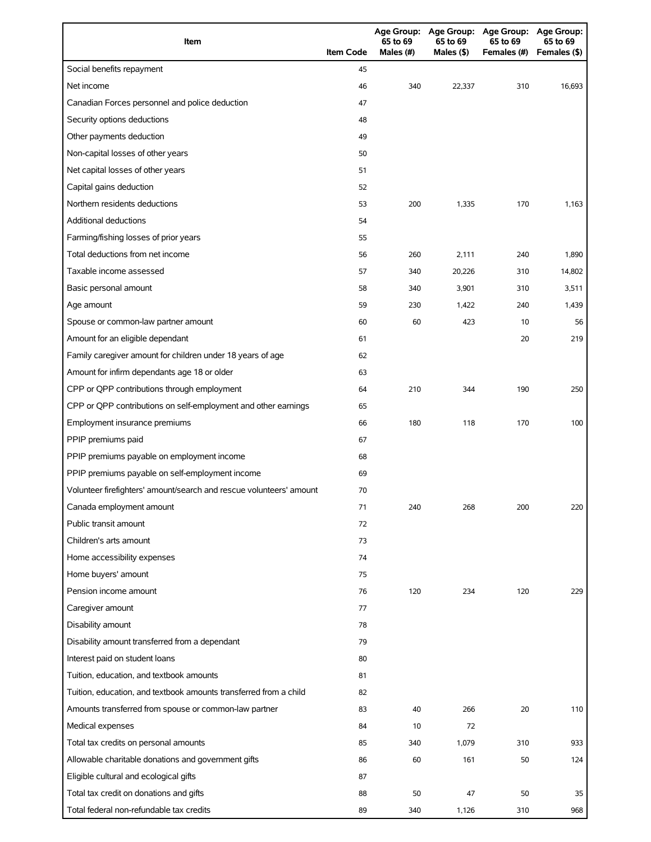| Item                                                                | <b>Item Code</b> | 65 to 69<br>Males $(H)$ | 65 to 69<br>Males (\$) | Age Group: Age Group: Age Group: Age Group:<br>65 to 69<br>Females (#) | 65 to 69<br>Females (\$) |
|---------------------------------------------------------------------|------------------|-------------------------|------------------------|------------------------------------------------------------------------|--------------------------|
| Social benefits repayment                                           | 45               |                         |                        |                                                                        |                          |
| Net income                                                          | 46               | 340                     | 22,337                 | 310                                                                    | 16,693                   |
| Canadian Forces personnel and police deduction                      | 47               |                         |                        |                                                                        |                          |
| Security options deductions                                         | 48               |                         |                        |                                                                        |                          |
| Other payments deduction                                            | 49               |                         |                        |                                                                        |                          |
| Non-capital losses of other years                                   | 50               |                         |                        |                                                                        |                          |
| Net capital losses of other years                                   | 51               |                         |                        |                                                                        |                          |
| Capital gains deduction                                             | 52               |                         |                        |                                                                        |                          |
| Northern residents deductions                                       | 53               | 200                     | 1,335                  | 170                                                                    | 1,163                    |
| <b>Additional deductions</b>                                        | 54               |                         |                        |                                                                        |                          |
| Farming/fishing losses of prior years                               | 55               |                         |                        |                                                                        |                          |
| Total deductions from net income                                    | 56               | 260                     | 2,111                  | 240                                                                    | 1,890                    |
| Taxable income assessed                                             | 57               | 340                     | 20,226                 | 310                                                                    | 14,802                   |
| Basic personal amount                                               | 58               | 340                     | 3,901                  | 310                                                                    | 3,511                    |
| Age amount                                                          | 59               | 230                     | 1,422                  | 240                                                                    | 1,439                    |
| Spouse or common-law partner amount                                 | 60               | 60                      | 423                    | 10                                                                     | 56                       |
| Amount for an eligible dependant                                    | 61               |                         |                        | 20                                                                     | 219                      |
| Family caregiver amount for children under 18 years of age          | 62               |                         |                        |                                                                        |                          |
| Amount for infirm dependants age 18 or older                        | 63               |                         |                        |                                                                        |                          |
| CPP or QPP contributions through employment                         | 64               | 210                     | 344                    | 190                                                                    | 250                      |
| CPP or QPP contributions on self-employment and other earnings      | 65               |                         |                        |                                                                        |                          |
| Employment insurance premiums                                       | 66               | 180                     | 118                    | 170                                                                    | 100                      |
| PPIP premiums paid                                                  | 67               |                         |                        |                                                                        |                          |
| PPIP premiums payable on employment income                          | 68               |                         |                        |                                                                        |                          |
| PPIP premiums payable on self-employment income                     | 69               |                         |                        |                                                                        |                          |
| Volunteer firefighters' amount/search and rescue volunteers' amount | 70               |                         |                        |                                                                        |                          |
| Canada employment amount                                            | 71               | 240                     | 268                    | 200                                                                    | 220                      |
| Public transit amount                                               | 72               |                         |                        |                                                                        |                          |
| Children's arts amount                                              | 73               |                         |                        |                                                                        |                          |
| Home accessibility expenses                                         | 74               |                         |                        |                                                                        |                          |
| Home buyers' amount                                                 | 75               |                         |                        |                                                                        |                          |
| Pension income amount                                               | 76               | 120                     | 234                    | 120                                                                    | 229                      |
| Caregiver amount                                                    | 77               |                         |                        |                                                                        |                          |
| Disability amount                                                   | 78               |                         |                        |                                                                        |                          |
| Disability amount transferred from a dependant                      | 79               |                         |                        |                                                                        |                          |
| Interest paid on student loans                                      | 80               |                         |                        |                                                                        |                          |
| Tuition, education, and textbook amounts                            | 81               |                         |                        |                                                                        |                          |
| Tuition, education, and textbook amounts transferred from a child   | 82               |                         |                        |                                                                        |                          |
| Amounts transferred from spouse or common-law partner               | 83               | 40                      | 266                    | 20                                                                     | 110                      |
| Medical expenses                                                    | 84               | 10                      | 72                     |                                                                        |                          |
| Total tax credits on personal amounts                               | 85               | 340                     | 1,079                  | 310                                                                    | 933                      |
| Allowable charitable donations and government gifts                 | 86               | 60                      | 161                    | 50                                                                     | 124                      |
| Eligible cultural and ecological gifts                              | 87               |                         |                        |                                                                        |                          |
| Total tax credit on donations and gifts                             | 88               | 50                      | 47                     | 50                                                                     | 35                       |
| Total federal non-refundable tax credits                            | 89               | 340                     | 1,126                  | 310                                                                    | 968                      |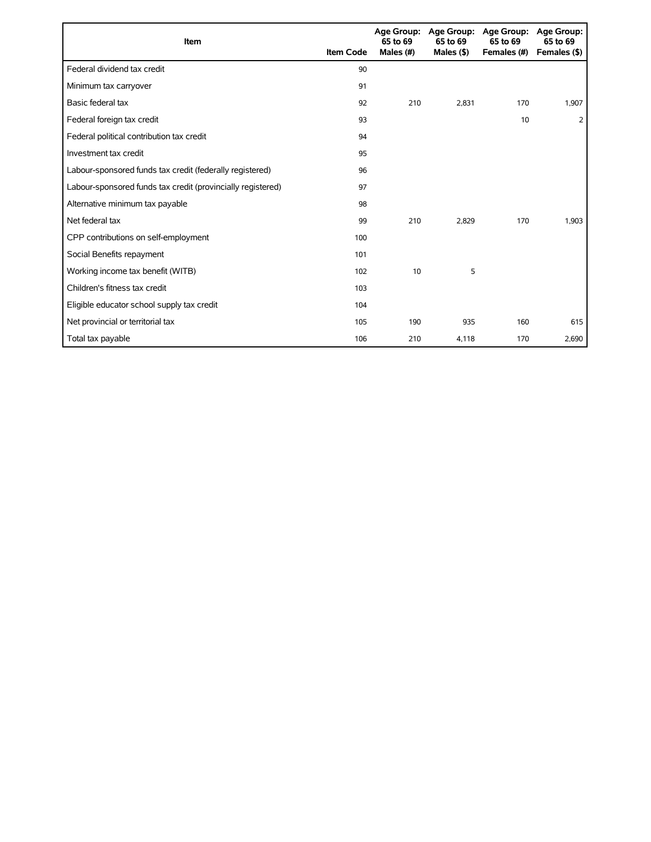| <b>Item</b>                                                 | <b>Item Code</b> | 65 to 69<br>Males (#) | Age Group: Age Group:<br>65 to 69<br>Males $($ \$ $)$ | <b>Age Group:</b><br>65 to 69<br>Females (#) | <b>Age Group:</b><br>65 to 69<br>Females (\$) |
|-------------------------------------------------------------|------------------|-----------------------|-------------------------------------------------------|----------------------------------------------|-----------------------------------------------|
| Federal dividend tax credit                                 | 90               |                       |                                                       |                                              |                                               |
| Minimum tax carryover                                       | 91               |                       |                                                       |                                              |                                               |
| Basic federal tax                                           | 92               | 210                   | 2.831                                                 | 170                                          | 1,907                                         |
| Federal foreign tax credit                                  | 93               |                       |                                                       | 10                                           | 2                                             |
| Federal political contribution tax credit                   | 94               |                       |                                                       |                                              |                                               |
| Investment tax credit                                       | 95               |                       |                                                       |                                              |                                               |
| Labour-sponsored funds tax credit (federally registered)    | 96               |                       |                                                       |                                              |                                               |
| Labour-sponsored funds tax credit (provincially registered) | 97               |                       |                                                       |                                              |                                               |
| Alternative minimum tax payable                             | 98               |                       |                                                       |                                              |                                               |
| Net federal tax                                             | 99               | 210                   | 2,829                                                 | 170                                          | 1,903                                         |
| CPP contributions on self-employment                        | 100              |                       |                                                       |                                              |                                               |
| Social Benefits repayment                                   | 101              |                       |                                                       |                                              |                                               |
| Working income tax benefit (WITB)                           | 102              | 10                    | 5                                                     |                                              |                                               |
| Children's fitness tax credit                               | 103              |                       |                                                       |                                              |                                               |
| Eligible educator school supply tax credit                  | 104              |                       |                                                       |                                              |                                               |
| Net provincial or territorial tax                           | 105              | 190                   | 935                                                   | 160                                          | 615                                           |
| Total tax payable                                           | 106              | 210                   | 4,118                                                 | 170                                          | 2,690                                         |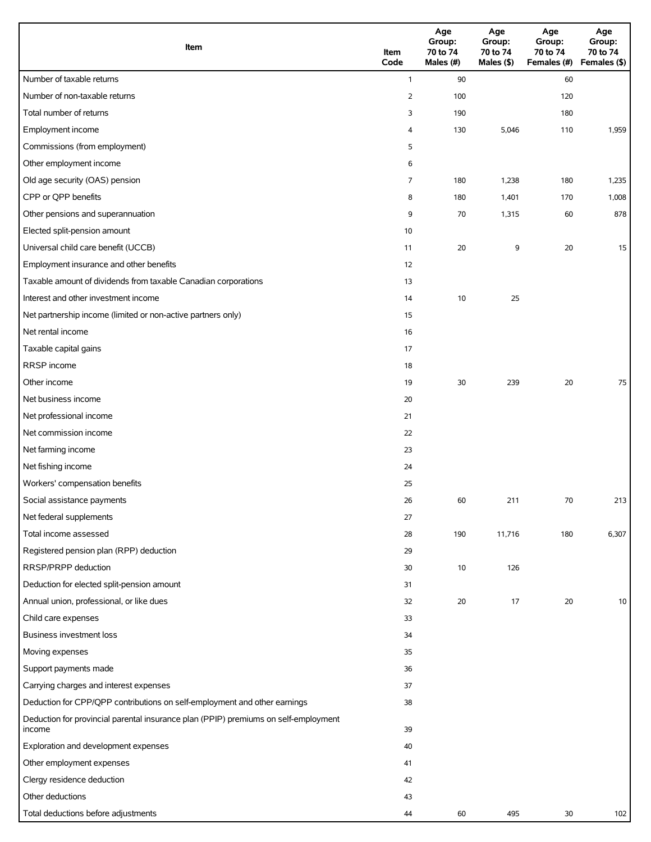| Item                                                                                          | Item<br>Code   | Age<br>Group:<br>70 to 74<br>Males (#) | Age<br>Group:<br>70 to 74<br>Males (\$) | Age<br>Group:<br>70 to 74<br>Females (#) | Age<br>Group:<br>70 to 74<br>Females (\$) |
|-----------------------------------------------------------------------------------------------|----------------|----------------------------------------|-----------------------------------------|------------------------------------------|-------------------------------------------|
| Number of taxable returns                                                                     | $\mathbf{1}$   | 90                                     |                                         | 60                                       |                                           |
| Number of non-taxable returns                                                                 | $\overline{2}$ | 100                                    |                                         | 120                                      |                                           |
| Total number of returns                                                                       | 3              | 190                                    |                                         | 180                                      |                                           |
| Employment income                                                                             | 4              | 130                                    | 5,046                                   | 110                                      | 1,959                                     |
| Commissions (from employment)                                                                 | 5              |                                        |                                         |                                          |                                           |
| Other employment income                                                                       | 6              |                                        |                                         |                                          |                                           |
| Old age security (OAS) pension                                                                | 7              | 180                                    | 1,238                                   | 180                                      | 1,235                                     |
| CPP or QPP benefits                                                                           | 8              | 180                                    | 1,401                                   | 170                                      | 1,008                                     |
| Other pensions and superannuation                                                             | 9              | 70                                     | 1,315                                   | 60                                       | 878                                       |
| Elected split-pension amount                                                                  | 10             |                                        |                                         |                                          |                                           |
| Universal child care benefit (UCCB)                                                           | 11             | 20                                     | 9                                       | 20                                       | 15                                        |
| Employment insurance and other benefits                                                       | 12             |                                        |                                         |                                          |                                           |
| Taxable amount of dividends from taxable Canadian corporations                                | 13             |                                        |                                         |                                          |                                           |
| Interest and other investment income                                                          | 14             | 10                                     | 25                                      |                                          |                                           |
| Net partnership income (limited or non-active partners only)                                  | 15             |                                        |                                         |                                          |                                           |
| Net rental income                                                                             | 16             |                                        |                                         |                                          |                                           |
| Taxable capital gains                                                                         | 17             |                                        |                                         |                                          |                                           |
| RRSP income                                                                                   | 18             |                                        |                                         |                                          |                                           |
| Other income                                                                                  | 19             | 30                                     | 239                                     | 20                                       | 75                                        |
| Net business income                                                                           | 20             |                                        |                                         |                                          |                                           |
| Net professional income                                                                       | 21             |                                        |                                         |                                          |                                           |
| Net commission income                                                                         | 22             |                                        |                                         |                                          |                                           |
| Net farming income                                                                            | 23             |                                        |                                         |                                          |                                           |
| Net fishing income                                                                            | 24             |                                        |                                         |                                          |                                           |
| Workers' compensation benefits                                                                | 25             |                                        |                                         |                                          |                                           |
| Social assistance payments                                                                    | 26             | 60                                     | 211                                     | 70                                       | 213                                       |
| Net federal supplements                                                                       | 27             |                                        |                                         |                                          |                                           |
| Total income assessed                                                                         | 28             | 190                                    | 11,716                                  | 180                                      | 6,307                                     |
| Registered pension plan (RPP) deduction                                                       | 29             |                                        |                                         |                                          |                                           |
| RRSP/PRPP deduction                                                                           | 30             | 10                                     | 126                                     |                                          |                                           |
| Deduction for elected split-pension amount                                                    | 31             |                                        |                                         |                                          |                                           |
| Annual union, professional, or like dues                                                      | 32             | 20                                     | 17                                      | 20                                       | 10                                        |
| Child care expenses                                                                           | 33             |                                        |                                         |                                          |                                           |
| Business investment loss                                                                      | 34             |                                        |                                         |                                          |                                           |
| Moving expenses                                                                               | 35             |                                        |                                         |                                          |                                           |
| Support payments made                                                                         | 36             |                                        |                                         |                                          |                                           |
| Carrying charges and interest expenses                                                        | 37             |                                        |                                         |                                          |                                           |
| Deduction for CPP/QPP contributions on self-employment and other earnings                     | 38             |                                        |                                         |                                          |                                           |
| Deduction for provincial parental insurance plan (PPIP) premiums on self-employment<br>income | 39             |                                        |                                         |                                          |                                           |
| Exploration and development expenses                                                          | 40             |                                        |                                         |                                          |                                           |
| Other employment expenses                                                                     | 41             |                                        |                                         |                                          |                                           |
| Clergy residence deduction                                                                    | 42             |                                        |                                         |                                          |                                           |
| Other deductions                                                                              | 43             |                                        |                                         |                                          |                                           |
| Total deductions before adjustments                                                           | 44             | 60                                     | 495                                     | 30                                       | 102                                       |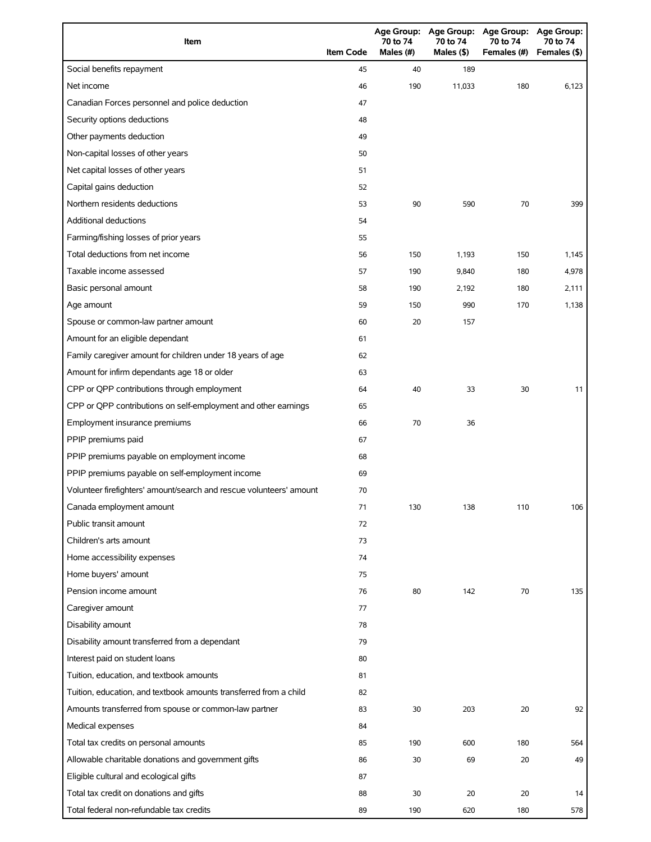| Item                                                                | <b>Item Code</b> | 70 to 74<br>Males (#) | 70 to 74<br>Males (\$) | Age Group: Age Group: Age Group: Age Group:<br>70 to 74<br>Females (#) | 70 to 74<br>Females (\$) |
|---------------------------------------------------------------------|------------------|-----------------------|------------------------|------------------------------------------------------------------------|--------------------------|
| Social benefits repayment                                           | 45               | 40                    | 189                    |                                                                        |                          |
| Net income                                                          | 46               | 190                   | 11,033                 | 180                                                                    | 6,123                    |
| Canadian Forces personnel and police deduction                      | 47               |                       |                        |                                                                        |                          |
| Security options deductions                                         | 48               |                       |                        |                                                                        |                          |
| Other payments deduction                                            | 49               |                       |                        |                                                                        |                          |
| Non-capital losses of other years                                   | 50               |                       |                        |                                                                        |                          |
| Net capital losses of other years                                   | 51               |                       |                        |                                                                        |                          |
| Capital gains deduction                                             | 52               |                       |                        |                                                                        |                          |
| Northern residents deductions                                       | 53               | 90                    | 590                    | 70                                                                     | 399                      |
| Additional deductions                                               | 54               |                       |                        |                                                                        |                          |
| Farming/fishing losses of prior years                               | 55               |                       |                        |                                                                        |                          |
| Total deductions from net income                                    | 56               | 150                   | 1,193                  | 150                                                                    | 1,145                    |
| Taxable income assessed                                             | 57               | 190                   | 9,840                  | 180                                                                    | 4,978                    |
| Basic personal amount                                               | 58               | 190                   | 2,192                  | 180                                                                    | 2,111                    |
| Age amount                                                          | 59               | 150                   | 990                    | 170                                                                    | 1,138                    |
| Spouse or common-law partner amount                                 | 60               | 20                    | 157                    |                                                                        |                          |
| Amount for an eligible dependant                                    | 61               |                       |                        |                                                                        |                          |
| Family caregiver amount for children under 18 years of age          | 62               |                       |                        |                                                                        |                          |
| Amount for infirm dependants age 18 or older                        | 63               |                       |                        |                                                                        |                          |
| CPP or QPP contributions through employment                         | 64               | 40                    | 33                     | 30                                                                     | 11                       |
| CPP or QPP contributions on self-employment and other earnings      | 65               |                       |                        |                                                                        |                          |
| Employment insurance premiums                                       | 66               | 70                    | 36                     |                                                                        |                          |
| PPIP premiums paid                                                  | 67               |                       |                        |                                                                        |                          |
| PPIP premiums payable on employment income                          | 68               |                       |                        |                                                                        |                          |
| PPIP premiums payable on self-employment income                     | 69               |                       |                        |                                                                        |                          |
| Volunteer firefighters' amount/search and rescue volunteers' amount | 70               |                       |                        |                                                                        |                          |
| Canada employment amount                                            | 71               | 130                   | 138                    | 110                                                                    | 106                      |
| Public transit amount                                               | 72               |                       |                        |                                                                        |                          |
| Children's arts amount                                              | 73               |                       |                        |                                                                        |                          |
| Home accessibility expenses                                         | 74               |                       |                        |                                                                        |                          |
| Home buyers' amount                                                 | 75               |                       |                        |                                                                        |                          |
| Pension income amount                                               | 76               | 80                    | 142                    | 70                                                                     | 135                      |
| Caregiver amount                                                    | 77               |                       |                        |                                                                        |                          |
| Disability amount                                                   | 78               |                       |                        |                                                                        |                          |
| Disability amount transferred from a dependant                      | 79               |                       |                        |                                                                        |                          |
| Interest paid on student loans                                      | 80               |                       |                        |                                                                        |                          |
| Tuition, education, and textbook amounts                            | 81               |                       |                        |                                                                        |                          |
| Tuition, education, and textbook amounts transferred from a child   | 82               |                       |                        |                                                                        |                          |
| Amounts transferred from spouse or common-law partner               | 83               | 30                    | 203                    | 20                                                                     | 92                       |
| Medical expenses                                                    | 84               |                       |                        |                                                                        |                          |
| Total tax credits on personal amounts                               | 85               | 190                   | 600                    | 180                                                                    | 564                      |
| Allowable charitable donations and government gifts                 | 86               | 30                    | 69                     | 20                                                                     | 49                       |
| Eligible cultural and ecological gifts                              | 87               |                       |                        |                                                                        |                          |
| Total tax credit on donations and gifts                             | 88               | 30                    | 20                     | 20                                                                     | 14                       |
| Total federal non-refundable tax credits                            | 89               | 190                   | 620                    | 180                                                                    | 578                      |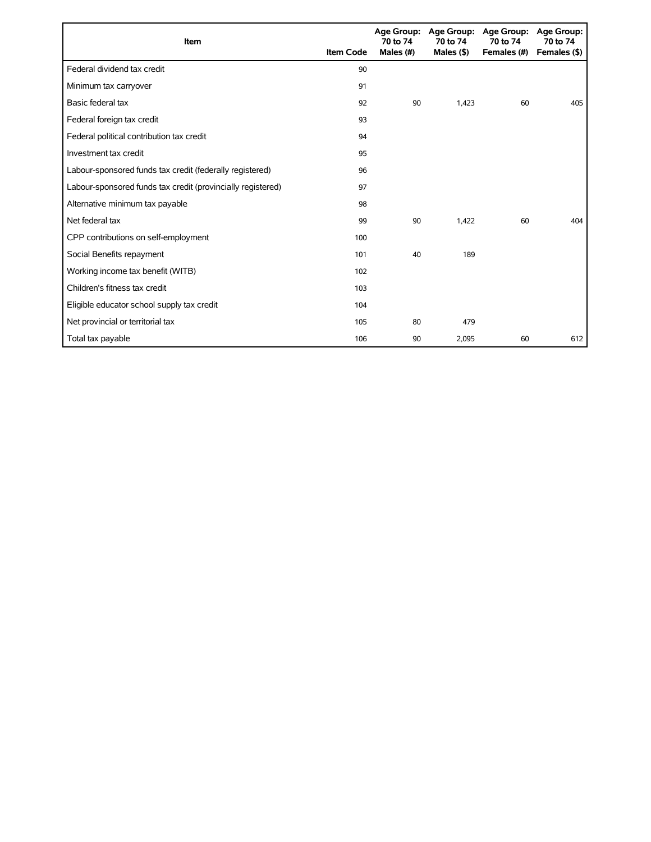| <b>Item</b>                                                 | <b>Item Code</b> | 70 to 74<br>Males (#) | Age Group: Age Group:<br>70 to 74<br>Males $($ \$ $)$ | <b>Age Group:</b><br>70 to 74<br>Females (#) | <b>Age Group:</b><br>70 to 74<br>Females (\$) |
|-------------------------------------------------------------|------------------|-----------------------|-------------------------------------------------------|----------------------------------------------|-----------------------------------------------|
| Federal dividend tax credit                                 | 90               |                       |                                                       |                                              |                                               |
| Minimum tax carryover                                       | 91               |                       |                                                       |                                              |                                               |
| Basic federal tax                                           | 92               | 90                    | 1.423                                                 | 60                                           | 405                                           |
| Federal foreign tax credit                                  | 93               |                       |                                                       |                                              |                                               |
| Federal political contribution tax credit                   | 94               |                       |                                                       |                                              |                                               |
| Investment tax credit                                       | 95               |                       |                                                       |                                              |                                               |
| Labour-sponsored funds tax credit (federally registered)    | 96               |                       |                                                       |                                              |                                               |
| Labour-sponsored funds tax credit (provincially registered) | 97               |                       |                                                       |                                              |                                               |
| Alternative minimum tax payable                             | 98               |                       |                                                       |                                              |                                               |
| Net federal tax                                             | 99               | 90                    | 1,422                                                 | 60                                           | 404                                           |
| CPP contributions on self-employment                        | 100              |                       |                                                       |                                              |                                               |
| Social Benefits repayment                                   | 101              | 40                    | 189                                                   |                                              |                                               |
| Working income tax benefit (WITB)                           | 102              |                       |                                                       |                                              |                                               |
| Children's fitness tax credit                               | 103              |                       |                                                       |                                              |                                               |
| Eligible educator school supply tax credit                  | 104              |                       |                                                       |                                              |                                               |
| Net provincial or territorial tax                           | 105              | 80                    | 479                                                   |                                              |                                               |
| Total tax payable                                           | 106              | 90                    | 2,095                                                 | 60                                           | 612                                           |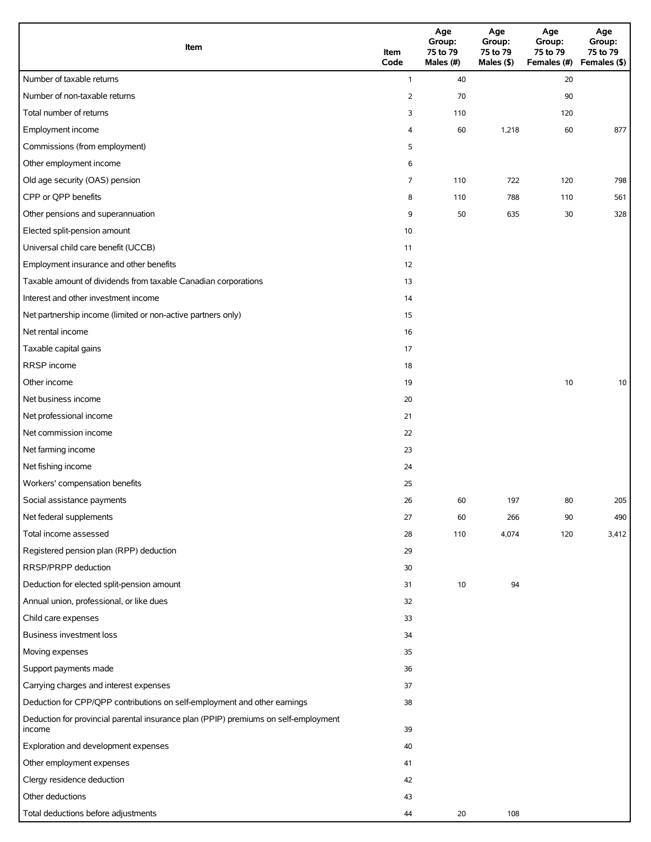| Item                                                                                          | Item<br>Code   | Age<br>Group:<br>75 to 79<br>Males (#)<br>Males (\$) |       | Age<br>Group:<br>75 to 79<br>Females (#) Females (\$) | Age<br>Group:<br>75 to 79 |
|-----------------------------------------------------------------------------------------------|----------------|------------------------------------------------------|-------|-------------------------------------------------------|---------------------------|
| Number of taxable returns                                                                     | $\mathbf{1}$   | 40                                                   |       | 20                                                    |                           |
| Number of non-taxable returns                                                                 | $\overline{2}$ | 70                                                   |       | 90                                                    |                           |
| Total number of returns                                                                       | 3              | 110                                                  |       | 120                                                   |                           |
| Employment income                                                                             | 4              | 60                                                   | 1,218 | 60                                                    | 877                       |
| Commissions (from employment)                                                                 | 5              |                                                      |       |                                                       |                           |
| Other employment income                                                                       | 6              |                                                      |       |                                                       |                           |
| Old age security (OAS) pension                                                                | 7              | 110                                                  | 722   | 120                                                   | 798                       |
| CPP or QPP benefits                                                                           | 8              | 110                                                  | 788   | 110                                                   | 561                       |
| Other pensions and superannuation                                                             | 9              | 50                                                   | 635   | 30                                                    | 328                       |
| Elected split-pension amount                                                                  | 10             |                                                      |       |                                                       |                           |
| Universal child care benefit (UCCB)                                                           | 11             |                                                      |       |                                                       |                           |
| Employment insurance and other benefits                                                       | 12             |                                                      |       |                                                       |                           |
| Taxable amount of dividends from taxable Canadian corporations                                | 13             |                                                      |       |                                                       |                           |
| Interest and other investment income                                                          | 14             |                                                      |       |                                                       |                           |
| Net partnership income (limited or non-active partners only)                                  | 15             |                                                      |       |                                                       |                           |
| Net rental income                                                                             | 16             |                                                      |       |                                                       |                           |
| Taxable capital gains                                                                         | 17             |                                                      |       |                                                       |                           |
| RRSP income                                                                                   | 18             |                                                      |       |                                                       |                           |
| Other income                                                                                  | 19             |                                                      |       | 10                                                    | 10                        |
| Net business income                                                                           | 20             |                                                      |       |                                                       |                           |
| Net professional income                                                                       | 21             |                                                      |       |                                                       |                           |
| Net commission income                                                                         | 22             |                                                      |       |                                                       |                           |
| Net farming income                                                                            | 23             |                                                      |       |                                                       |                           |
| Net fishing income                                                                            | 24             |                                                      |       |                                                       |                           |
| Workers' compensation benefits                                                                | 25             |                                                      |       |                                                       |                           |
| Social assistance payments                                                                    | 26             | 60                                                   | 197   | 80                                                    | 205                       |
| Net federal supplements                                                                       | 27             | 60                                                   | 266   | 90                                                    | 490                       |
| Total income assessed                                                                         | 28             | 110                                                  | 4,074 | 120                                                   | 3,412                     |
| Registered pension plan (RPP) deduction                                                       | 29             |                                                      |       |                                                       |                           |
| RRSP/PRPP deduction                                                                           | 30             |                                                      |       |                                                       |                           |
| Deduction for elected split-pension amount                                                    | 31             | 10                                                   | 94    |                                                       |                           |
| Annual union, professional, or like dues                                                      | 32             |                                                      |       |                                                       |                           |
| Child care expenses                                                                           | 33             |                                                      |       |                                                       |                           |
| Business investment loss                                                                      | 34             |                                                      |       |                                                       |                           |
| Moving expenses                                                                               | 35             |                                                      |       |                                                       |                           |
| Support payments made                                                                         | 36             |                                                      |       |                                                       |                           |
| Carrying charges and interest expenses                                                        | 37             |                                                      |       |                                                       |                           |
| Deduction for CPP/QPP contributions on self-employment and other earnings                     | 38             |                                                      |       |                                                       |                           |
| Deduction for provincial parental insurance plan (PPIP) premiums on self-employment<br>income | 39             |                                                      |       |                                                       |                           |
| Exploration and development expenses                                                          | 40             |                                                      |       |                                                       |                           |
| Other employment expenses                                                                     | 41             |                                                      |       |                                                       |                           |
| Clergy residence deduction                                                                    | 42             |                                                      |       |                                                       |                           |
| Other deductions                                                                              | 43             |                                                      |       |                                                       |                           |
| Total deductions before adjustments                                                           | 44             | 20                                                   | 108   |                                                       |                           |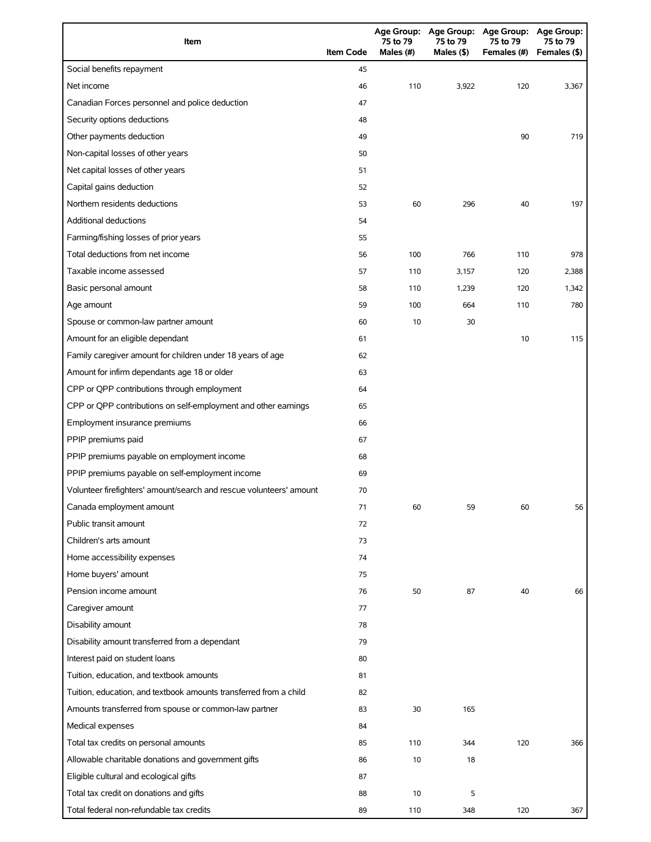| Item                                                                | <b>Item Code</b> | 75 to 79<br>Males (#) | 75 to 79<br>Males $($ \$) | Age Group: Age Group: Age Group: Age Group:<br>75 to 79<br>Females (#) | 75 to 79<br>Females (\$) |
|---------------------------------------------------------------------|------------------|-----------------------|---------------------------|------------------------------------------------------------------------|--------------------------|
| Social benefits repayment                                           | 45               |                       |                           |                                                                        |                          |
| Net income                                                          | 46               | 110                   | 3,922                     | 120                                                                    | 3,367                    |
| Canadian Forces personnel and police deduction                      | 47               |                       |                           |                                                                        |                          |
| Security options deductions                                         | 48               |                       |                           |                                                                        |                          |
| Other payments deduction                                            | 49               |                       |                           | 90                                                                     | 719                      |
| Non-capital losses of other years                                   | 50               |                       |                           |                                                                        |                          |
| Net capital losses of other years                                   | 51               |                       |                           |                                                                        |                          |
| Capital gains deduction                                             | 52               |                       |                           |                                                                        |                          |
| Northern residents deductions                                       | 53               | 60                    | 296                       | 40                                                                     | 197                      |
| <b>Additional deductions</b>                                        | 54               |                       |                           |                                                                        |                          |
| Farming/fishing losses of prior years                               | 55               |                       |                           |                                                                        |                          |
| Total deductions from net income                                    | 56               | 100                   | 766                       | 110                                                                    | 978                      |
| Taxable income assessed                                             | 57               | 110                   | 3,157                     | 120                                                                    | 2,388                    |
| Basic personal amount                                               | 58               | 110                   | 1,239                     | 120                                                                    | 1,342                    |
| Age amount                                                          | 59               | 100                   | 664                       | 110                                                                    | 780                      |
| Spouse or common-law partner amount                                 | 60               | 10                    | 30                        |                                                                        |                          |
| Amount for an eligible dependant                                    | 61               |                       |                           | 10                                                                     | 115                      |
| Family caregiver amount for children under 18 years of age          | 62               |                       |                           |                                                                        |                          |
| Amount for infirm dependants age 18 or older                        | 63               |                       |                           |                                                                        |                          |
| CPP or QPP contributions through employment                         | 64               |                       |                           |                                                                        |                          |
| CPP or QPP contributions on self-employment and other earnings      | 65               |                       |                           |                                                                        |                          |
| Employment insurance premiums                                       | 66               |                       |                           |                                                                        |                          |
| PPIP premiums paid                                                  | 67               |                       |                           |                                                                        |                          |
| PPIP premiums payable on employment income                          | 68               |                       |                           |                                                                        |                          |
| PPIP premiums payable on self-employment income                     | 69               |                       |                           |                                                                        |                          |
| Volunteer firefighters' amount/search and rescue volunteers' amount | 70               |                       |                           |                                                                        |                          |
| Canada employment amount                                            | 71               | 60                    | 59                        | 60                                                                     | 56                       |
| Public transit amount                                               | 72               |                       |                           |                                                                        |                          |
| Children's arts amount                                              | 73               |                       |                           |                                                                        |                          |
| Home accessibility expenses                                         | 74               |                       |                           |                                                                        |                          |
| Home buyers' amount                                                 | 75               |                       |                           |                                                                        |                          |
| Pension income amount                                               | 76               | 50                    | 87                        | 40                                                                     | 66                       |
| Caregiver amount                                                    | 77               |                       |                           |                                                                        |                          |
| Disability amount                                                   | 78               |                       |                           |                                                                        |                          |
| Disability amount transferred from a dependant                      | 79               |                       |                           |                                                                        |                          |
| Interest paid on student loans                                      | 80               |                       |                           |                                                                        |                          |
| Tuition, education, and textbook amounts                            | 81               |                       |                           |                                                                        |                          |
| Tuition, education, and textbook amounts transferred from a child   | 82               |                       |                           |                                                                        |                          |
| Amounts transferred from spouse or common-law partner               | 83               | 30                    | 165                       |                                                                        |                          |
| Medical expenses                                                    | 84               |                       |                           |                                                                        |                          |
| Total tax credits on personal amounts                               | 85               | 110                   | 344                       | 120                                                                    | 366                      |
| Allowable charitable donations and government gifts                 | 86               | 10                    | 18                        |                                                                        |                          |
| Eligible cultural and ecological gifts                              | 87               |                       |                           |                                                                        |                          |
| Total tax credit on donations and gifts                             | 88               | 10                    | 5                         |                                                                        |                          |
| Total federal non-refundable tax credits                            | 89               | 110                   | 348                       | 120                                                                    | 367                      |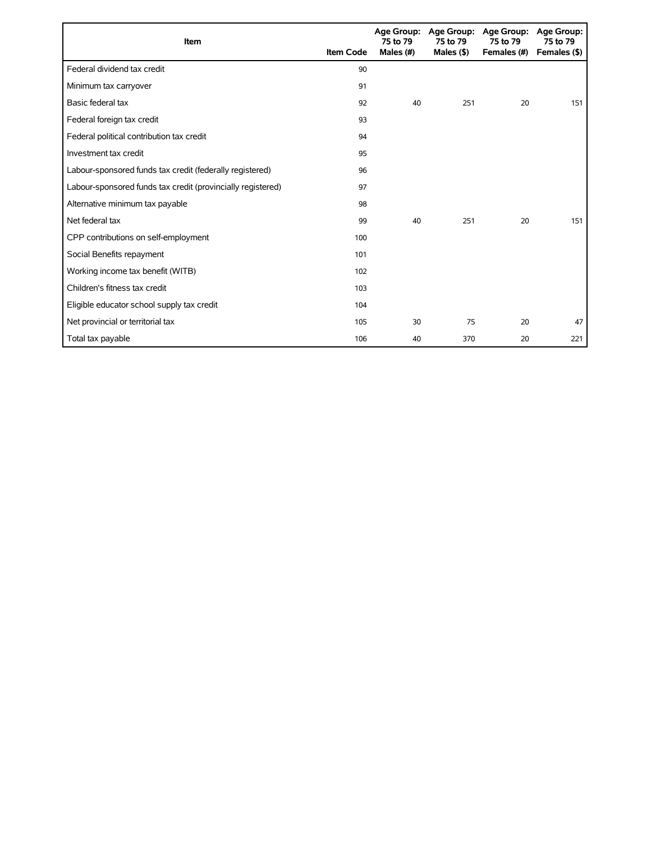| <b>Item</b>                                                 | <b>Item Code</b> | Age Group:<br>75 to 79<br>Males $(#)$ | 75 to 79<br>Males $($ \$ $)$ | Age Group: Age Group:<br>75 to 79<br>Females (#) | Age Group:<br>75 to 79<br>Females (\$) |
|-------------------------------------------------------------|------------------|---------------------------------------|------------------------------|--------------------------------------------------|----------------------------------------|
| Federal dividend tax credit                                 | 90               |                                       |                              |                                                  |                                        |
| Minimum tax carryover                                       | 91               |                                       |                              |                                                  |                                        |
| Basic federal tax                                           | 92               | 40                                    | 251                          | 20                                               | 151                                    |
| Federal foreign tax credit                                  | 93               |                                       |                              |                                                  |                                        |
| Federal political contribution tax credit                   | 94               |                                       |                              |                                                  |                                        |
| Investment tax credit                                       | 95               |                                       |                              |                                                  |                                        |
| Labour-sponsored funds tax credit (federally registered)    | 96               |                                       |                              |                                                  |                                        |
| Labour-sponsored funds tax credit (provincially registered) | 97               |                                       |                              |                                                  |                                        |
| Alternative minimum tax payable                             | 98               |                                       |                              |                                                  |                                        |
| Net federal tax                                             | 99               | 40                                    | 251                          | 20                                               | 151                                    |
| CPP contributions on self-employment                        | 100              |                                       |                              |                                                  |                                        |
| Social Benefits repayment                                   | 101              |                                       |                              |                                                  |                                        |
| Working income tax benefit (WITB)                           | 102              |                                       |                              |                                                  |                                        |
| Children's fitness tax credit                               | 103              |                                       |                              |                                                  |                                        |
| Eligible educator school supply tax credit                  | 104              |                                       |                              |                                                  |                                        |
| Net provincial or territorial tax                           | 105              | 30                                    | 75                           | 20                                               | 47                                     |
| Total tax payable                                           | 106              | 40                                    | 370                          | 20                                               | 221                                    |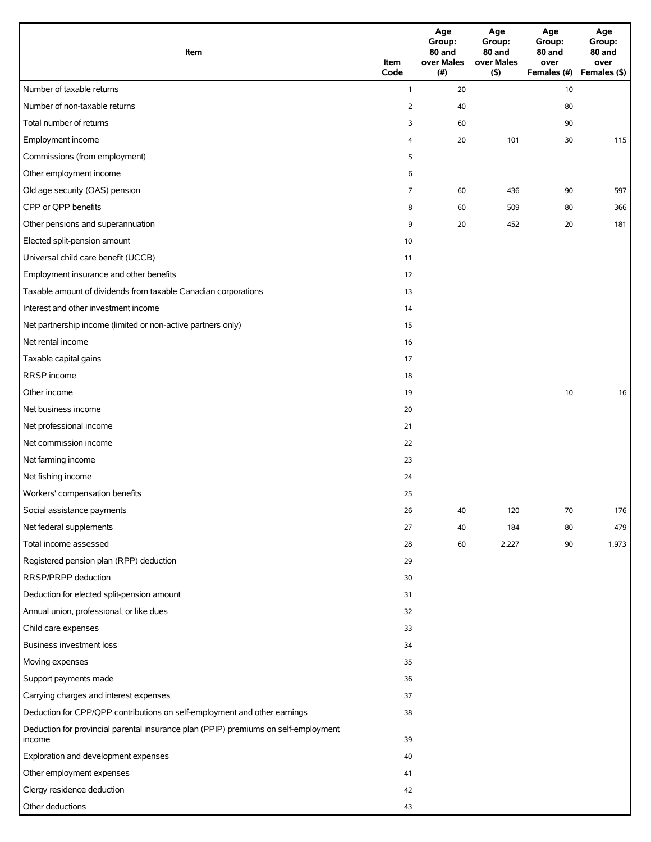| Item                                                                                          | Item<br>Code   | Age<br>Group:<br>80 and<br>over Males<br>(#) | Age<br>Group:<br>80 and<br>over Males<br>(5) | Age<br>Group:<br>80 and<br>over<br>Females (#) | Age<br>Group:<br>80 and<br>over<br>Females (\$) |
|-----------------------------------------------------------------------------------------------|----------------|----------------------------------------------|----------------------------------------------|------------------------------------------------|-------------------------------------------------|
| Number of taxable returns                                                                     | $\mathbf{1}$   | 20                                           |                                              | 10                                             |                                                 |
| Number of non-taxable returns                                                                 | $\overline{2}$ | 40                                           |                                              | 80                                             |                                                 |
| Total number of returns                                                                       | 3              | 60                                           |                                              | 90                                             |                                                 |
| Employment income                                                                             | 4              | 20                                           | 101                                          | 30                                             | 115                                             |
| Commissions (from employment)                                                                 | 5              |                                              |                                              |                                                |                                                 |
| Other employment income                                                                       | 6              |                                              |                                              |                                                |                                                 |
| Old age security (OAS) pension                                                                | 7              | 60                                           | 436                                          | 90                                             | 597                                             |
| CPP or QPP benefits                                                                           | 8              | 60                                           | 509                                          | 80                                             | 366                                             |
| Other pensions and superannuation                                                             | 9              | 20                                           | 452                                          | 20                                             | 181                                             |
| Elected split-pension amount                                                                  | 10             |                                              |                                              |                                                |                                                 |
| Universal child care benefit (UCCB)                                                           | 11             |                                              |                                              |                                                |                                                 |
| Employment insurance and other benefits                                                       | 12             |                                              |                                              |                                                |                                                 |
| Taxable amount of dividends from taxable Canadian corporations                                | 13             |                                              |                                              |                                                |                                                 |
| Interest and other investment income                                                          | 14             |                                              |                                              |                                                |                                                 |
| Net partnership income (limited or non-active partners only)                                  | 15             |                                              |                                              |                                                |                                                 |
| Net rental income                                                                             | 16             |                                              |                                              |                                                |                                                 |
| Taxable capital gains                                                                         | 17             |                                              |                                              |                                                |                                                 |
| RRSP income                                                                                   | 18             |                                              |                                              |                                                |                                                 |
| Other income                                                                                  | 19             |                                              |                                              | 10                                             | 16                                              |
| Net business income                                                                           | 20             |                                              |                                              |                                                |                                                 |
| Net professional income                                                                       | 21             |                                              |                                              |                                                |                                                 |
| Net commission income                                                                         | 22             |                                              |                                              |                                                |                                                 |
| Net farming income                                                                            | 23             |                                              |                                              |                                                |                                                 |
| Net fishing income                                                                            | 24             |                                              |                                              |                                                |                                                 |
| Workers' compensation benefits                                                                | 25             |                                              |                                              |                                                |                                                 |
| Social assistance payments                                                                    | 26             | 40                                           | 120                                          | 70                                             | 176                                             |
| Net federal supplements                                                                       | 27             | 40                                           | 184                                          | 80                                             | 479                                             |
| Total income assessed                                                                         | 28             | 60                                           | 2,227                                        | 90                                             | 1,973                                           |
| Registered pension plan (RPP) deduction                                                       | 29             |                                              |                                              |                                                |                                                 |
| RRSP/PRPP deduction                                                                           | 30             |                                              |                                              |                                                |                                                 |
| Deduction for elected split-pension amount                                                    | 31             |                                              |                                              |                                                |                                                 |
| Annual union, professional, or like dues                                                      | 32             |                                              |                                              |                                                |                                                 |
| Child care expenses                                                                           | 33             |                                              |                                              |                                                |                                                 |
| Business investment loss                                                                      | 34             |                                              |                                              |                                                |                                                 |
| Moving expenses                                                                               | 35             |                                              |                                              |                                                |                                                 |
| Support payments made                                                                         | 36             |                                              |                                              |                                                |                                                 |
| Carrying charges and interest expenses                                                        | 37             |                                              |                                              |                                                |                                                 |
| Deduction for CPP/QPP contributions on self-employment and other earnings                     | 38             |                                              |                                              |                                                |                                                 |
| Deduction for provincial parental insurance plan (PPIP) premiums on self-employment<br>income | 39             |                                              |                                              |                                                |                                                 |
| Exploration and development expenses                                                          | 40             |                                              |                                              |                                                |                                                 |
| Other employment expenses                                                                     | 41             |                                              |                                              |                                                |                                                 |
| Clergy residence deduction                                                                    | 42             |                                              |                                              |                                                |                                                 |
| Other deductions                                                                              | 43             |                                              |                                              |                                                |                                                 |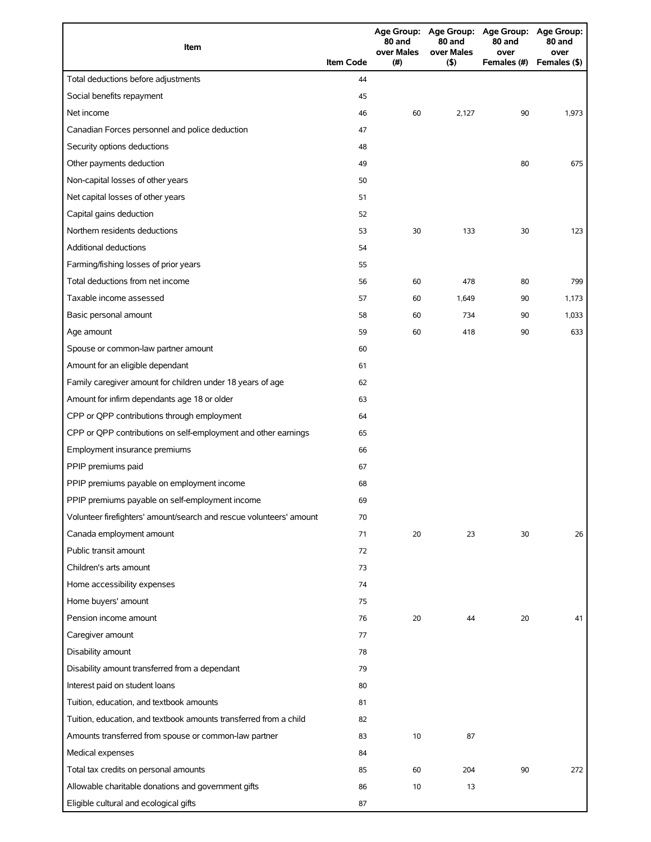| Item                                                                |                  | 80 and<br>over Males | 80 and<br>over Males | Age Group: Age Group: Age Group: Age Group:<br>80 and<br>over | 80 and<br>over |
|---------------------------------------------------------------------|------------------|----------------------|----------------------|---------------------------------------------------------------|----------------|
|                                                                     | <b>Item Code</b> | (#)                  | $($ \$)              | Females (#)                                                   | Females (\$)   |
| Total deductions before adjustments                                 | 44               |                      |                      |                                                               |                |
| Social benefits repayment                                           | 45               |                      |                      |                                                               |                |
| Net income                                                          | 46               | 60                   | 2,127                | 90                                                            | 1,973          |
| Canadian Forces personnel and police deduction                      | 47               |                      |                      |                                                               |                |
| Security options deductions                                         | 48               |                      |                      |                                                               |                |
| Other payments deduction                                            | 49               |                      |                      | 80                                                            | 675            |
| Non-capital losses of other years                                   | 50               |                      |                      |                                                               |                |
| Net capital losses of other years                                   | 51               |                      |                      |                                                               |                |
| Capital gains deduction                                             | 52               |                      |                      |                                                               |                |
| Northern residents deductions                                       | 53               | 30                   | 133                  | 30                                                            | 123            |
| <b>Additional deductions</b>                                        | 54               |                      |                      |                                                               |                |
| Farming/fishing losses of prior years                               | 55               |                      |                      |                                                               |                |
| Total deductions from net income                                    | 56               | 60                   | 478                  | 80                                                            | 799            |
| Taxable income assessed                                             | 57               | 60                   | 1,649                | 90                                                            | 1,173          |
| Basic personal amount                                               | 58               | 60                   | 734                  | 90                                                            | 1,033          |
| Age amount                                                          | 59               | 60                   | 418                  | 90                                                            | 633            |
| Spouse or common-law partner amount                                 | 60               |                      |                      |                                                               |                |
| Amount for an eligible dependant                                    | 61               |                      |                      |                                                               |                |
| Family caregiver amount for children under 18 years of age          | 62               |                      |                      |                                                               |                |
| Amount for infirm dependants age 18 or older                        | 63               |                      |                      |                                                               |                |
| CPP or QPP contributions through employment                         | 64               |                      |                      |                                                               |                |
| CPP or QPP contributions on self-employment and other earnings      | 65               |                      |                      |                                                               |                |
| Employment insurance premiums                                       | 66               |                      |                      |                                                               |                |
| PPIP premiums paid                                                  | 67               |                      |                      |                                                               |                |
| PPIP premiums payable on employment income                          | 68               |                      |                      |                                                               |                |
| PPIP premiums payable on self-employment income                     | 69               |                      |                      |                                                               |                |
| Volunteer firefighters' amount/search and rescue volunteers' amount | 70               |                      |                      |                                                               |                |
| Canada employment amount                                            | 71               | 20                   | 23                   | 30                                                            | 26             |
| Public transit amount                                               | 72               |                      |                      |                                                               |                |
| Children's arts amount                                              | 73               |                      |                      |                                                               |                |
| Home accessibility expenses                                         | 74               |                      |                      |                                                               |                |
| Home buyers' amount                                                 | 75               |                      |                      |                                                               |                |
| Pension income amount                                               | 76               | 20                   | 44                   | 20                                                            | 41             |
| Caregiver amount                                                    | 77               |                      |                      |                                                               |                |
| Disability amount                                                   | 78               |                      |                      |                                                               |                |
| Disability amount transferred from a dependant                      | 79               |                      |                      |                                                               |                |
| Interest paid on student loans                                      | 80               |                      |                      |                                                               |                |
| Tuition, education, and textbook amounts                            | 81               |                      |                      |                                                               |                |
| Tuition, education, and textbook amounts transferred from a child   | 82               |                      |                      |                                                               |                |
| Amounts transferred from spouse or common-law partner               | 83               | 10                   | 87                   |                                                               |                |
| Medical expenses                                                    | 84               |                      |                      |                                                               |                |
| Total tax credits on personal amounts                               | 85               | 60                   | 204                  | 90                                                            | 272            |
| Allowable charitable donations and government gifts                 | 86               | 10                   | 13                   |                                                               |                |
| Eligible cultural and ecological gifts                              | 87               |                      |                      |                                                               |                |